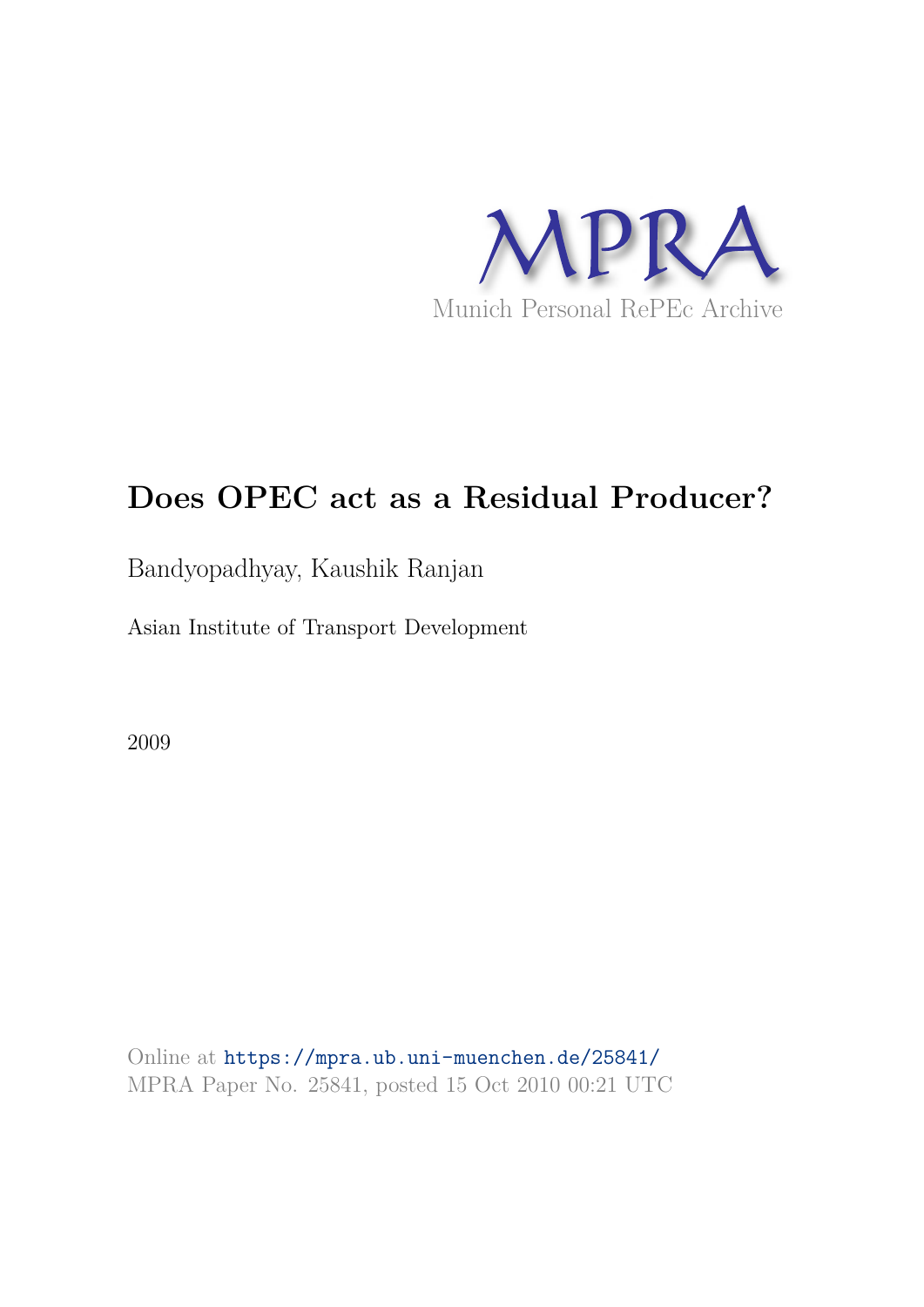

# **Does OPEC act as a Residual Producer?**

## Bandyopadhyay, Kaushik Ranjan

Asian Institute of Transport Development

2009

Online at https://mpra.ub.uni-muenchen.de/25841/ MPRA Paper No. 25841, posted 15 Oct 2010 00:21 UTC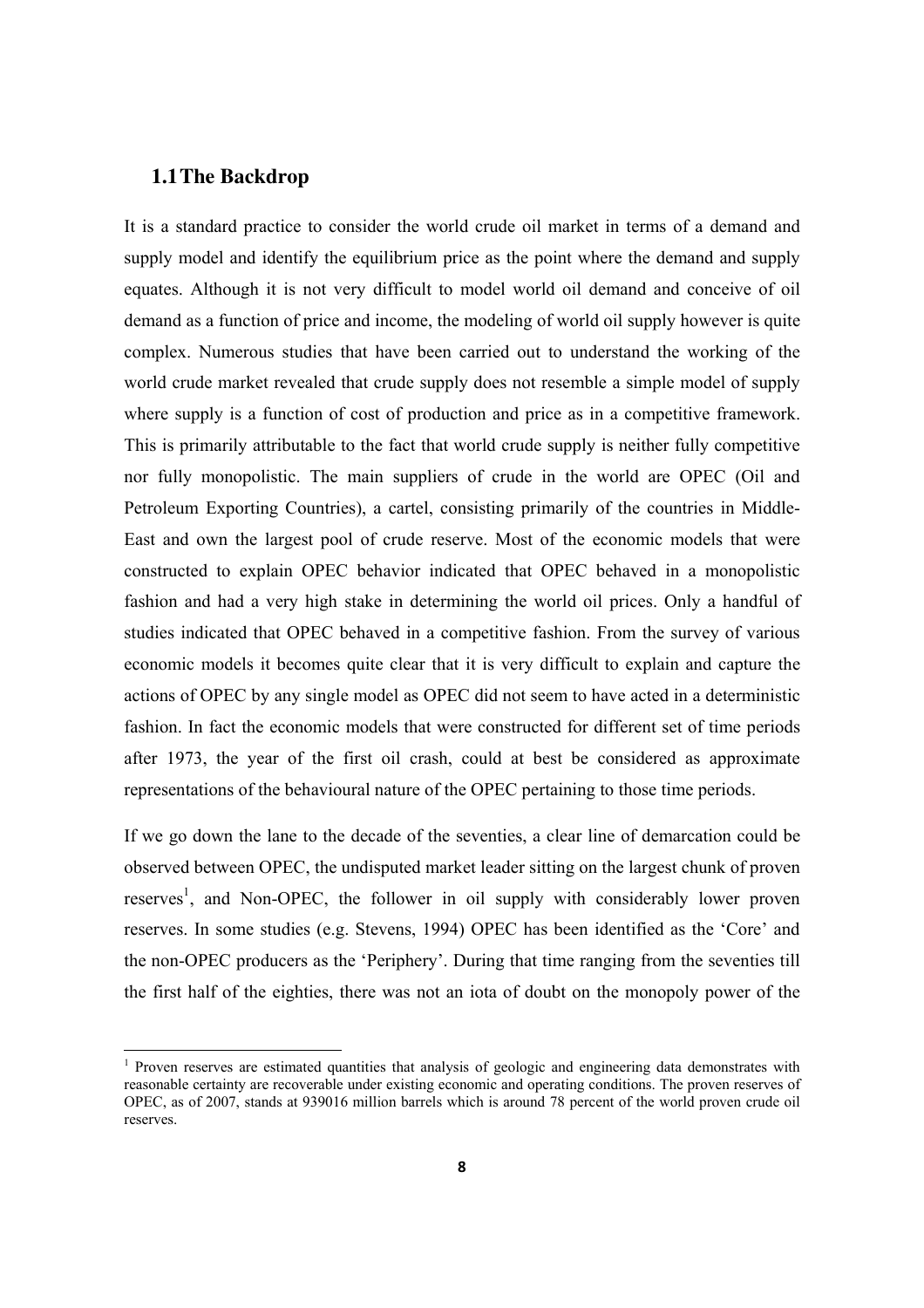#### **1.1The Backdrop**

It is a standard practice to consider the world crude oil market in terms of a demand and supply model and identify the equilibrium price as the point where the demand and supply equates. Although it is not very difficult to model world oil demand and conceive of oil demand as a function of price and income, the modeling of world oil supply however is quite complex. Numerous studies that have been carried out to understand the working of the world crude market revealed that crude supply does not resemble a simple model of supply where supply is a function of cost of production and price as in a competitive framework. This is primarily attributable to the fact that world crude supply is neither fully competitive nor fully monopolistic. The main suppliers of crude in the world are OPEC (Oil and Petroleum Exporting Countries), a cartel, consisting primarily of the countries in Middle-East and own the largest pool of crude reserve. Most of the economic models that were constructed to explain OPEC behavior indicated that OPEC behaved in a monopolistic fashion and had a very high stake in determining the world oil prices. Only a handful of studies indicated that OPEC behaved in a competitive fashion. From the survey of various economic models it becomes quite clear that it is very difficult to explain and capture the actions of OPEC by any single model as OPEC did not seem to have acted in a deterministic fashion. In fact the economic models that were constructed for different set of time periods after 1973, the year of the first oil crash, could at best be considered as approximate representations of the behavioural nature of the OPEC pertaining to those time periods.

If we go down the lane to the decade of the seventies, a clear line of demarcation could be observed between OPEC, the undisputed market leader sitting on the largest chunk of proven reserves<sup>1</sup>, and Non-OPEC, the follower in oil supply with considerably lower proven reserves. In some studies (e.g. Stevens, 1994) OPEC has been identified as the 'Core' and the non-OPEC producers as the 'Periphery'. During that time ranging from the seventies till the first half of the eighties, there was not an iota of doubt on the monopoly power of the

<sup>&</sup>lt;sup>1</sup> Proven reserves are estimated quantities that analysis of geologic and engineering data demonstrates with reasonable certainty are recoverable under existing economic and operating conditions. The proven reserves of OPEC, as of 2007, stands at 939016 million barrels which is around 78 percent of the world proven crude oil reserves.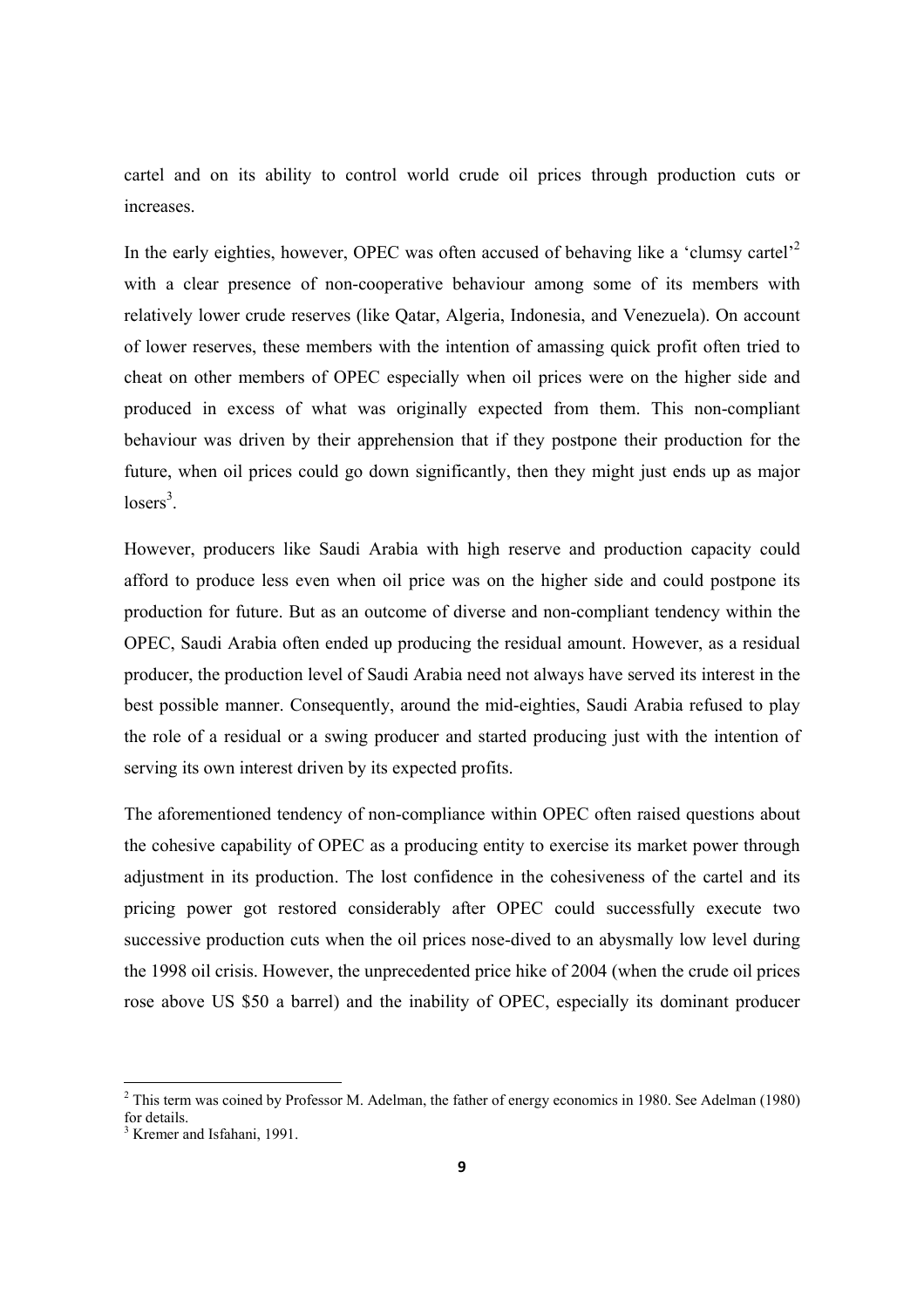cartel and on its ability to control world crude oil prices through production cuts or increases.

In the early eighties, however, OPEC was often accused of behaving like a 'clumsy cartel'<sup>2</sup> with a clear presence of non-cooperative behaviour among some of its members with relatively lower crude reserves (like Qatar, Algeria, Indonesia, and Venezuela). On account of lower reserves, these members with the intention of amassing quick profit often tried to cheat on other members of OPEC especially when oil prices were on the higher side and produced in excess of what was originally expected from them. This non-compliant behaviour was driven by their apprehension that if they postpone their production for the future, when oil prices could go down significantly, then they might just ends up as major  $losers^3$ .

However, producers like Saudi Arabia with high reserve and production capacity could afford to produce less even when oil price was on the higher side and could postpone its production for future. But as an outcome of diverse and non-compliant tendency within the OPEC, Saudi Arabia often ended up producing the residual amount. However, as a residual producer, the production level of Saudi Arabia need not always have served its interest in the best possible manner. Consequently, around the mid-eighties, Saudi Arabia refused to play the role of a residual or a swing producer and started producing just with the intention of serving its own interest driven by its expected profits.

The aforementioned tendency of non-compliance within OPEC often raised questions about the cohesive capability of OPEC as a producing entity to exercise its market power through adjustment in its production. The lost confidence in the cohesiveness of the cartel and its pricing power got restored considerably after OPEC could successfully execute two successive production cuts when the oil prices nose-dived to an abysmally low level during the 1998 oil crisis. However, the unprecedented price hike of 2004 (when the crude oil prices rose above US \$50 a barrel) and the inability of OPEC, especially its dominant producer

 $2$  This term was coined by Professor M. Adelman, the father of energy economics in 1980. See Adelman (1980) for details.

<sup>&</sup>lt;sup>3</sup> Kremer and Isfahani, 1991.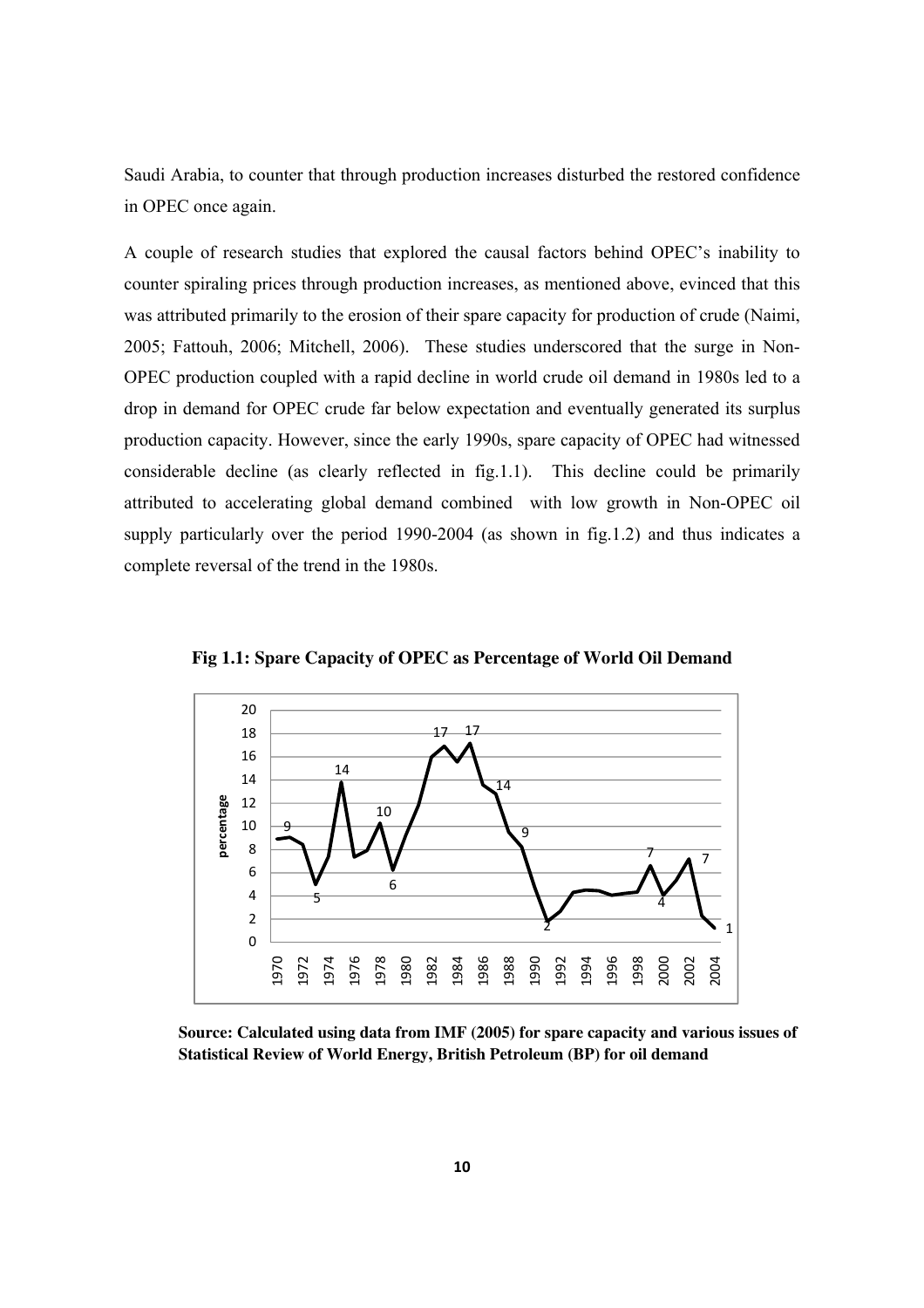Saudi Arabia, to counter that through production increases disturbed the restored confidence in OPEC once again.

A couple of research studies that explored the causal factors behind OPEC's inability to counter spiraling prices through production increases, as mentioned above, evinced that this was attributed primarily to the erosion of their spare capacity for production of crude (Naimi, 2005; Fattouh, 2006; Mitchell, 2006). These studies underscored that the surge in Non-OPEC production coupled with a rapid decline in world crude oil demand in 1980s led to a drop in demand for OPEC crude far below expectation and eventually generated its surplus production capacity. However, since the early 1990s, spare capacity of OPEC had witnessed considerable decline (as clearly reflected in fig.1.1). This decline could be primarily attributed to accelerating global demand combined with low growth in Non-OPEC oil supply particularly over the period 1990-2004 (as shown in fig.1.2) and thus indicates a complete reversal of the trend in the 1980s.



**Fig 1.1: Spare Capacity of OPEC as Percentage of World Oil Demand**

**Source: Calculated using data from IMF (2005) for spare capacity and various issues of Statistical Review of World Energy, British Petroleum (BP) for oil demand**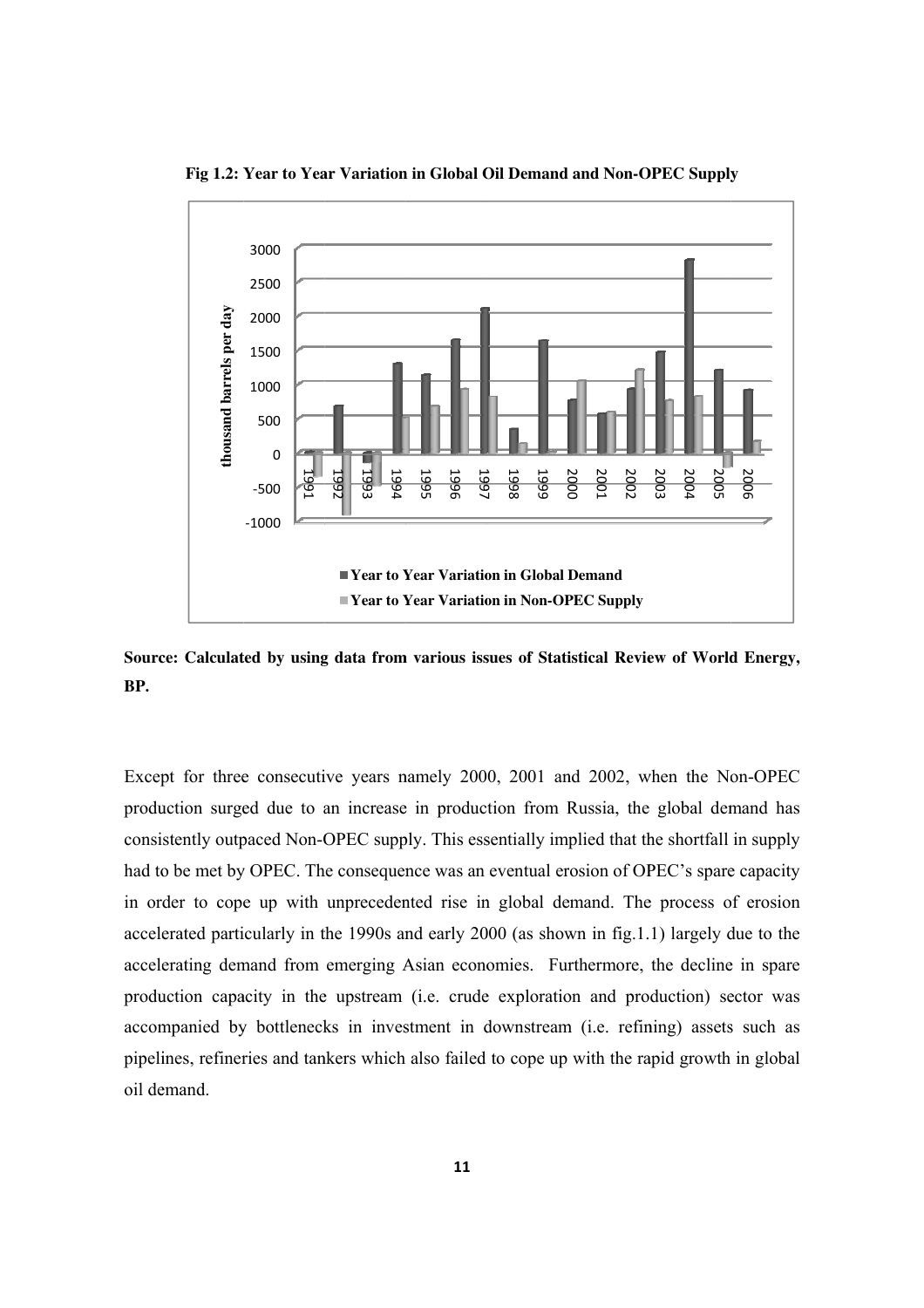

**Fig 1.2: Year to Year Variation in Global Oil Demand and Non-OPEC Supply** 

Source: Calculated by using data from various issues of Statistical Review of World Energy, **BP.** 

Except for three consecutive years namely 2000, 2001 and 2002, when the Non-OPEC production surged due to an increase in production from Russia, the global demand has consistently outpaced Non-OPEC supply. This essentially implied that the shortfall in supply had to be met by OPEC. The consequence was an eventual erosion of OPEC's spare capacity in order to cope up with unprecedented rise in global demand. The process of erosion accelerated particularly in the 1990s and early 2000 (as shown in fig.1.1) largely due to the accelerating demand from emerging Asian economies. Furthermore, the decline in spare production capacity in the upstream (i.e. crude exploration and production) sector was accompanied by bottlenecks in investment in downstream (i.e. refining) assets such as pipelines, refineries and tankers which also failed to cope up oil demand. **Example 1998**<br> **Near to Year to Year to Year to Year to Year to Year to Year to Year to Year to Year to Year to Year to Year to Year to Year to Year to Year to Year to Year to Year to Year to Year to Year to Year the 199** External Vear Variation<br>
Year Variation<br>
Year Variation<br>
Year Variation<br>
Year Variation<br>
Year Variation<br>
Year Variation<br>
Year Variation<br>
Year Variation<br>
This ess<br>
Nuclear Condensity<br>
200<br>
Nusian econd<br>
(i.e. crudensity 200 Branch<br>
Branch<br>
Demand<br>
EC Supply<br>
stical Revie<br>
stical Revie<br>
demand EC Supply<br>
demand and the plied that the<br>
plied that the pline of OH<br>
mand The<br>
mand provies<br>
in and provies<br>
(i.e. refin<br>
with the ra Bestern 2003<br>
and 2003<br>
Extra discussions<br>
internal dependence<br>
2004 2015<br>
2016<br>
2016<br>
2019<br>
2019<br>
2019<br>
2019<br>
2019<br>
2019<br>
2019<br>
2019<br>
2019<br>
2019<br>
2019<br>
2019<br>
2019<br>
2019<br>
2019<br>
2019<br>
2019<br>
2019<br>
2019<br>
2019<br>
2019<br>
2019<br>
201 be a contracted a metal contracted as in supply a capacity of erosion the extraction of the state of the state of the state of the state of the state of the state of the state of the state of the state of the state of the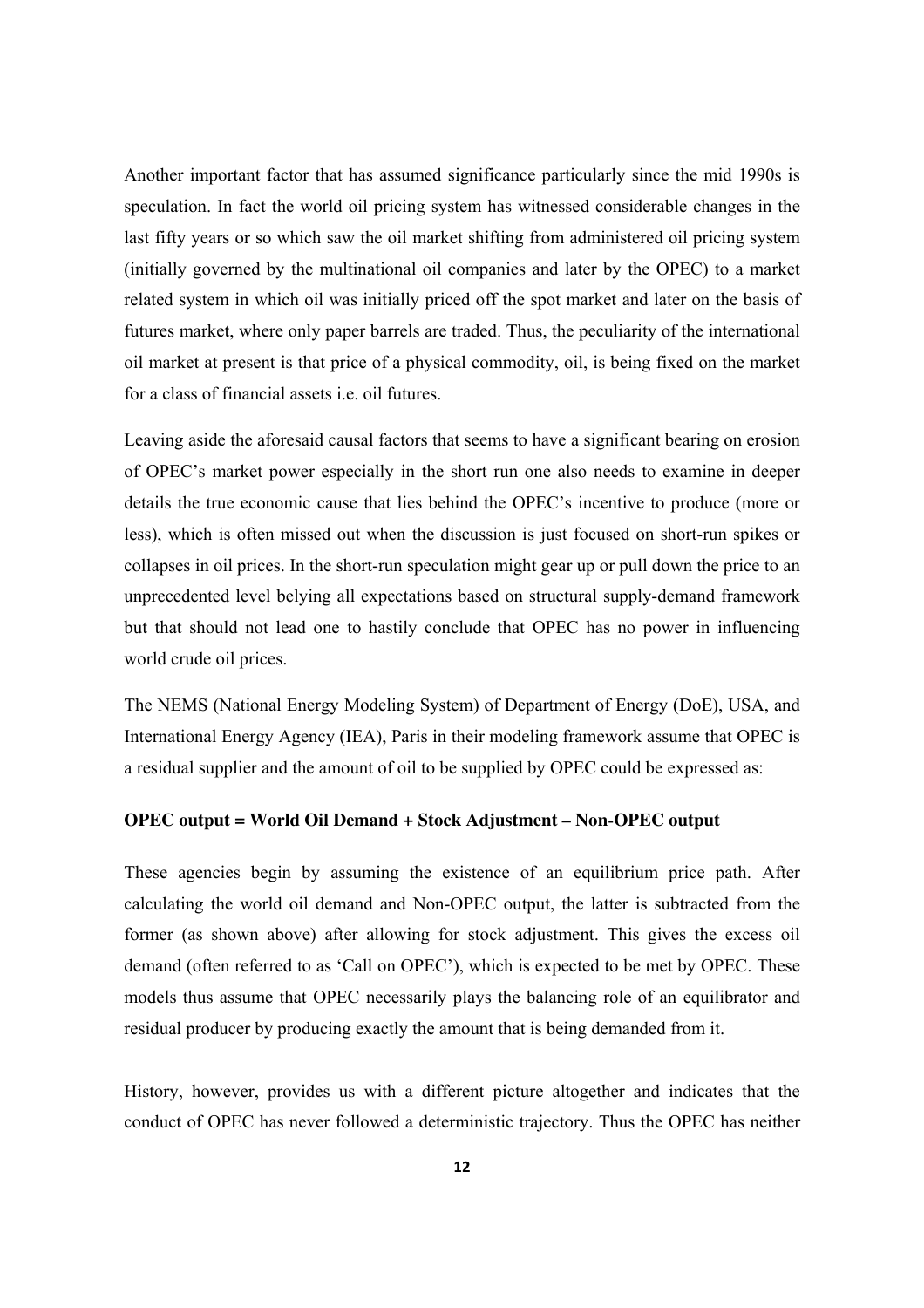Another important factor that has assumed significance particularly since the mid 1990s is speculation. In fact the world oil pricing system has witnessed considerable changes in the last fifty years or so which saw the oil market shifting from administered oil pricing system (initially governed by the multinational oil companies and later by the OPEC) to a market related system in which oil was initially priced off the spot market and later on the basis of futures market, where only paper barrels are traded. Thus, the peculiarity of the international oil market at present is that price of a physical commodity, oil, is being fixed on the market for a class of financial assets i.e. oil futures.

Leaving aside the aforesaid causal factors that seems to have a significant bearing on erosion of OPEC's market power especially in the short run one also needs to examine in deeper details the true economic cause that lies behind the OPEC's incentive to produce (more or less), which is often missed out when the discussion is just focused on short-run spikes or collapses in oil prices. In the short-run speculation might gear up or pull down the price to an unprecedented level belying all expectations based on structural supply-demand framework but that should not lead one to hastily conclude that OPEC has no power in influencing world crude oil prices.

The NEMS (National Energy Modeling System) of Department of Energy (DoE), USA, and International Energy Agency (IEA), Paris in their modeling framework assume that OPEC is a residual supplier and the amount of oil to be supplied by OPEC could be expressed as:

#### **OPEC output = World Oil Demand + Stock Adjustment – Non-OPEC output**

These agencies begin by assuming the existence of an equilibrium price path. After calculating the world oil demand and Non-OPEC output, the latter is subtracted from the former (as shown above) after allowing for stock adjustment. This gives the excess oil demand (often referred to as 'Call on OPEC'), which is expected to be met by OPEC. These models thus assume that OPEC necessarily plays the balancing role of an equilibrator and residual producer by producing exactly the amount that is being demanded from it.

History, however, provides us with a different picture altogether and indicates that the conduct of OPEC has never followed a deterministic trajectory. Thus the OPEC has neither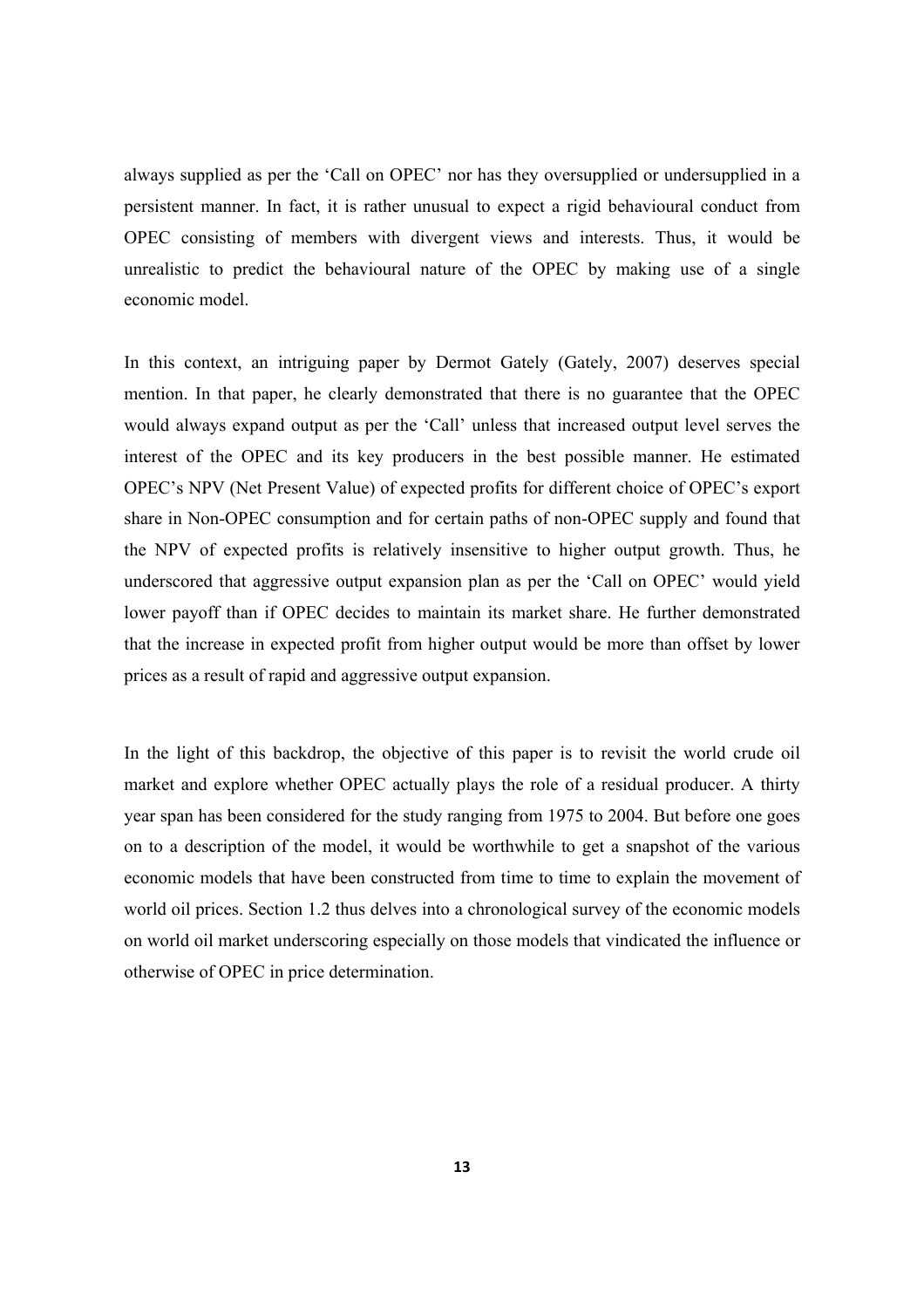always supplied as per the 'Call on OPEC' nor has they oversupplied or undersupplied in a persistent manner. In fact, it is rather unusual to expect a rigid behavioural conduct from OPEC consisting of members with divergent views and interests. Thus, it would be unrealistic to predict the behavioural nature of the OPEC by making use of a single economic model.

In this context, an intriguing paper by Dermot Gately (Gately, 2007) deserves special mention. In that paper, he clearly demonstrated that there is no guarantee that the OPEC would always expand output as per the 'Call' unless that increased output level serves the interest of the OPEC and its key producers in the best possible manner. He estimated OPEC's NPV (Net Present Value) of expected profits for different choice of OPEC's export share in Non-OPEC consumption and for certain paths of non-OPEC supply and found that the NPV of expected profits is relatively insensitive to higher output growth. Thus, he underscored that aggressive output expansion plan as per the 'Call on OPEC' would yield lower payoff than if OPEC decides to maintain its market share. He further demonstrated that the increase in expected profit from higher output would be more than offset by lower prices as a result of rapid and aggressive output expansion.

In the light of this backdrop, the objective of this paper is to revisit the world crude oil market and explore whether OPEC actually plays the role of a residual producer. A thirty year span has been considered for the study ranging from 1975 to 2004. But before one goes on to a description of the model, it would be worthwhile to get a snapshot of the various economic models that have been constructed from time to time to explain the movement of world oil prices. Section 1.2 thus delves into a chronological survey of the economic models on world oil market underscoring especially on those models that vindicated the influence or otherwise of OPEC in price determination.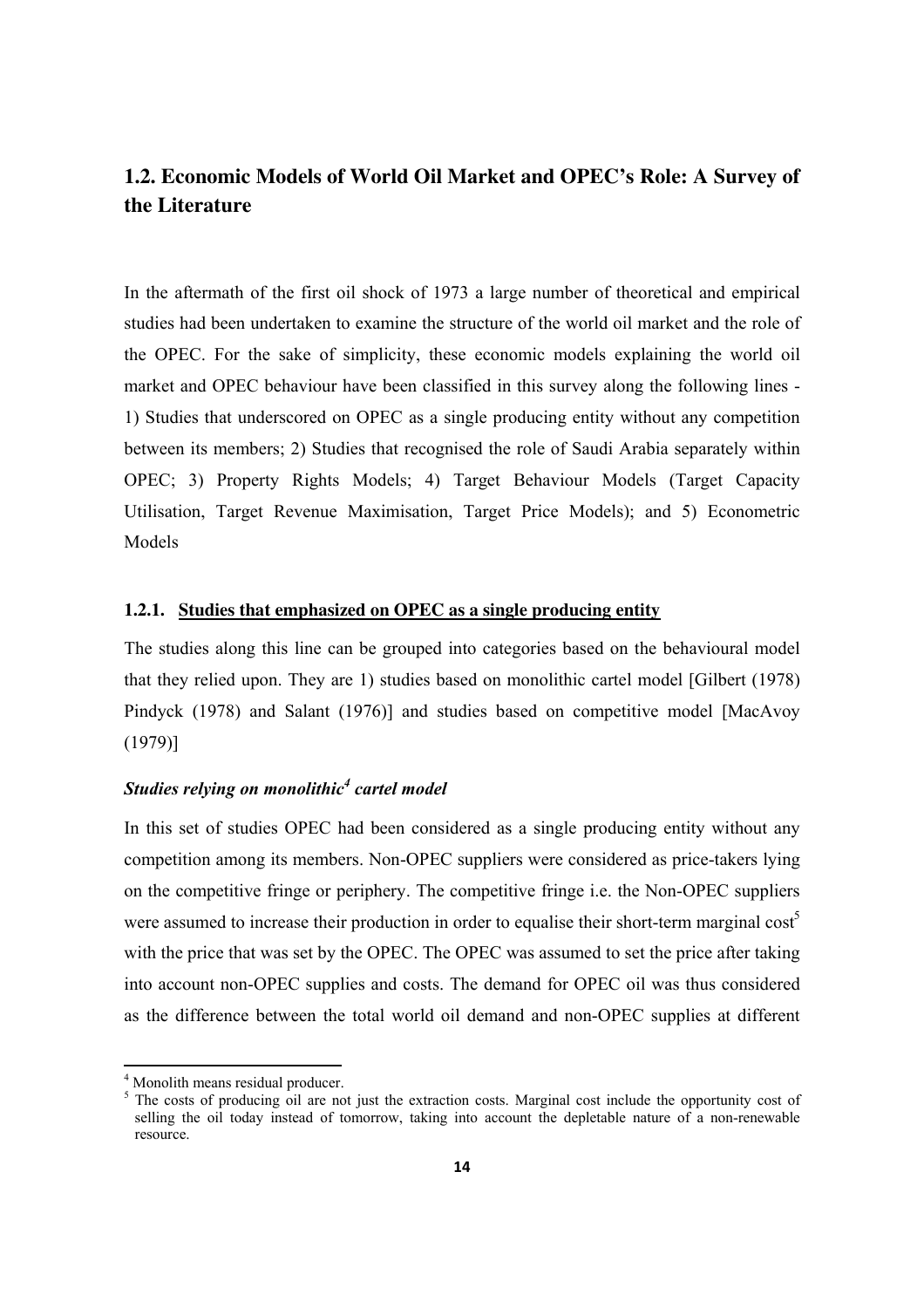## **1.2. Economic Models of World Oil Market and OPEC's Role: A Survey of the Literature**

In the aftermath of the first oil shock of 1973 a large number of theoretical and empirical studies had been undertaken to examine the structure of the world oil market and the role of the OPEC. For the sake of simplicity, these economic models explaining the world oil market and OPEC behaviour have been classified in this survey along the following lines - 1) Studies that underscored on OPEC as a single producing entity without any competition between its members; 2) Studies that recognised the role of Saudi Arabia separately within OPEC; 3) Property Rights Models; 4) Target Behaviour Models (Target Capacity Utilisation, Target Revenue Maximisation, Target Price Models); and 5) Econometric Models

#### **1.2.1. Studies that emphasized on OPEC as a single producing entity**

The studies along this line can be grouped into categories based on the behavioural model that they relied upon. They are 1) studies based on monolithic cartel model [Gilbert (1978) Pindyck (1978) and Salant (1976)] and studies based on competitive model [MacAvoy (1979)]

#### *Studies relying on monolithic<sup>4</sup> cartel model*

In this set of studies OPEC had been considered as a single producing entity without any competition among its members. Non-OPEC suppliers were considered as price-takers lying on the competitive fringe or periphery. The competitive fringe i.e. the Non-OPEC suppliers were assumed to increase their production in order to equalise their short-term marginal cost<sup>5</sup> with the price that was set by the OPEC. The OPEC was assumed to set the price after taking into account non-OPEC supplies and costs. The demand for OPEC oil was thus considered as the difference between the total world oil demand and non-OPEC supplies at different

 4 Monolith means residual producer.

<sup>&</sup>lt;sup>5</sup> The costs of producing oil are not just the extraction costs. Marginal cost include the opportunity cost of selling the oil today instead of tomorrow, taking into account the depletable nature of a non-renewable resource.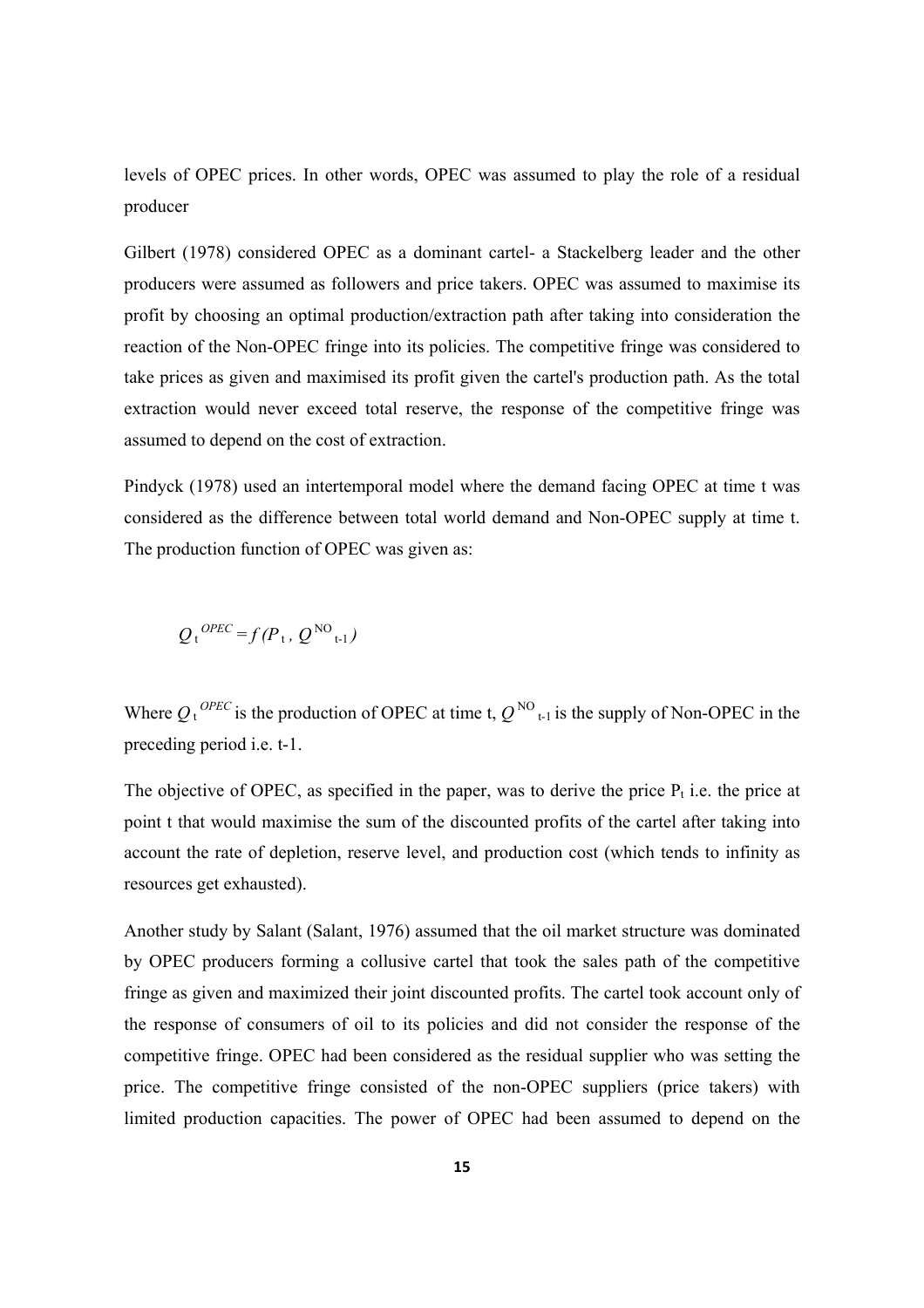levels of OPEC prices. In other words, OPEC was assumed to play the role of a residual producer

Gilbert (1978) considered OPEC as a dominant cartel- a Stackelberg leader and the other producers were assumed as followers and price takers. OPEC was assumed to maximise its profit by choosing an optimal production/extraction path after taking into consideration the reaction of the Non-OPEC fringe into its policies. The competitive fringe was considered to take prices as given and maximised its profit given the cartel's production path. As the total extraction would never exceed total reserve, the response of the competitive fringe was assumed to depend on the cost of extraction.

Pindyck (1978) used an intertemporal model where the demand facing OPEC at time t was considered as the difference between total world demand and Non-OPEC supply at time t. The production function of OPEC was given as:

$$
Q_t^{OPEC} = f(P_t, Q^{NO_{t-1}})
$$

Where  $Q_t^{OPEC}$  is the production of OPEC at time t,  $Q^{NO}$ <sub>t-1</sub> is the supply of Non-OPEC in the preceding period i.e. t-1.

The objective of OPEC, as specified in the paper, was to derive the price  $P_t$  i.e. the price at point t that would maximise the sum of the discounted profits of the cartel after taking into account the rate of depletion, reserve level, and production cost (which tends to infinity as resources get exhausted).

Another study by Salant (Salant, 1976) assumed that the oil market structure was dominated by OPEC producers forming a collusive cartel that took the sales path of the competitive fringe as given and maximized their joint discounted profits. The cartel took account only of the response of consumers of oil to its policies and did not consider the response of the competitive fringe. OPEC had been considered as the residual supplier who was setting the price. The competitive fringe consisted of the non-OPEC suppliers (price takers) with limited production capacities. The power of OPEC had been assumed to depend on the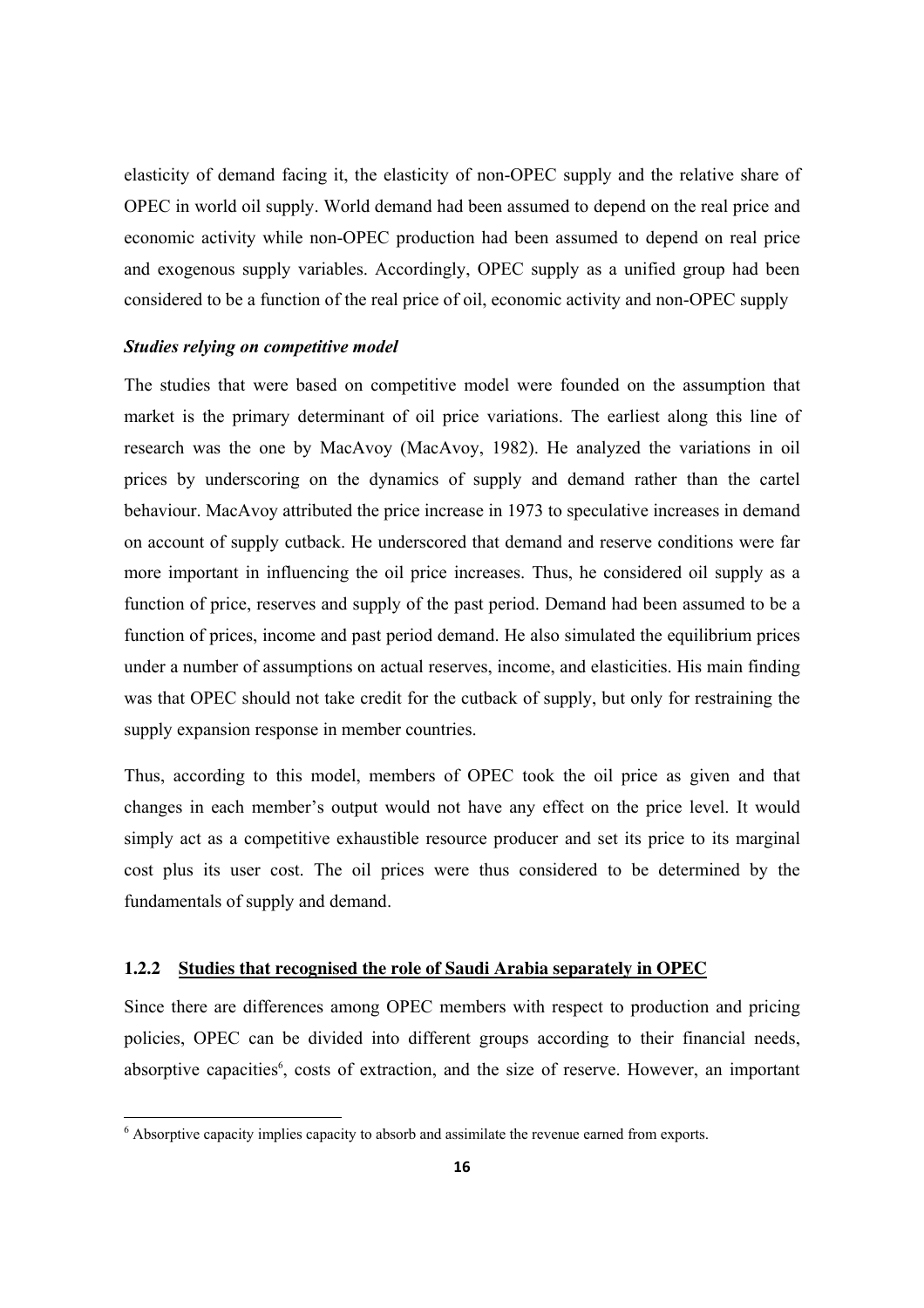elasticity of demand facing it, the elasticity of non-OPEC supply and the relative share of OPEC in world oil supply. World demand had been assumed to depend on the real price and economic activity while non-OPEC production had been assumed to depend on real price and exogenous supply variables. Accordingly, OPEC supply as a unified group had been considered to be a function of the real price of oil, economic activity and non-OPEC supply

#### *Studies relying on competitive model*

The studies that were based on competitive model were founded on the assumption that market is the primary determinant of oil price variations. The earliest along this line of research was the one by MacAvoy (MacAvoy, 1982). He analyzed the variations in oil prices by underscoring on the dynamics of supply and demand rather than the cartel behaviour. MacAvoy attributed the price increase in 1973 to speculative increases in demand on account of supply cutback. He underscored that demand and reserve conditions were far more important in influencing the oil price increases. Thus, he considered oil supply as a function of price, reserves and supply of the past period. Demand had been assumed to be a function of prices, income and past period demand. He also simulated the equilibrium prices under a number of assumptions on actual reserves, income, and elasticities. His main finding was that OPEC should not take credit for the cutback of supply, but only for restraining the supply expansion response in member countries.

Thus, according to this model, members of OPEC took the oil price as given and that changes in each member's output would not have any effect on the price level. It would simply act as a competitive exhaustible resource producer and set its price to its marginal cost plus its user cost. The oil prices were thus considered to be determined by the fundamentals of supply and demand.

#### **1.2.2 Studies that recognised the role of Saudi Arabia separately in OPEC**

Since there are differences among OPEC members with respect to production and pricing policies, OPEC can be divided into different groups according to their financial needs, absorptive capacities<sup>6</sup>, costs of extraction, and the size of reserve. However, an important

<sup>&</sup>lt;sup>6</sup> Absorptive capacity implies capacity to absorb and assimilate the revenue earned from exports.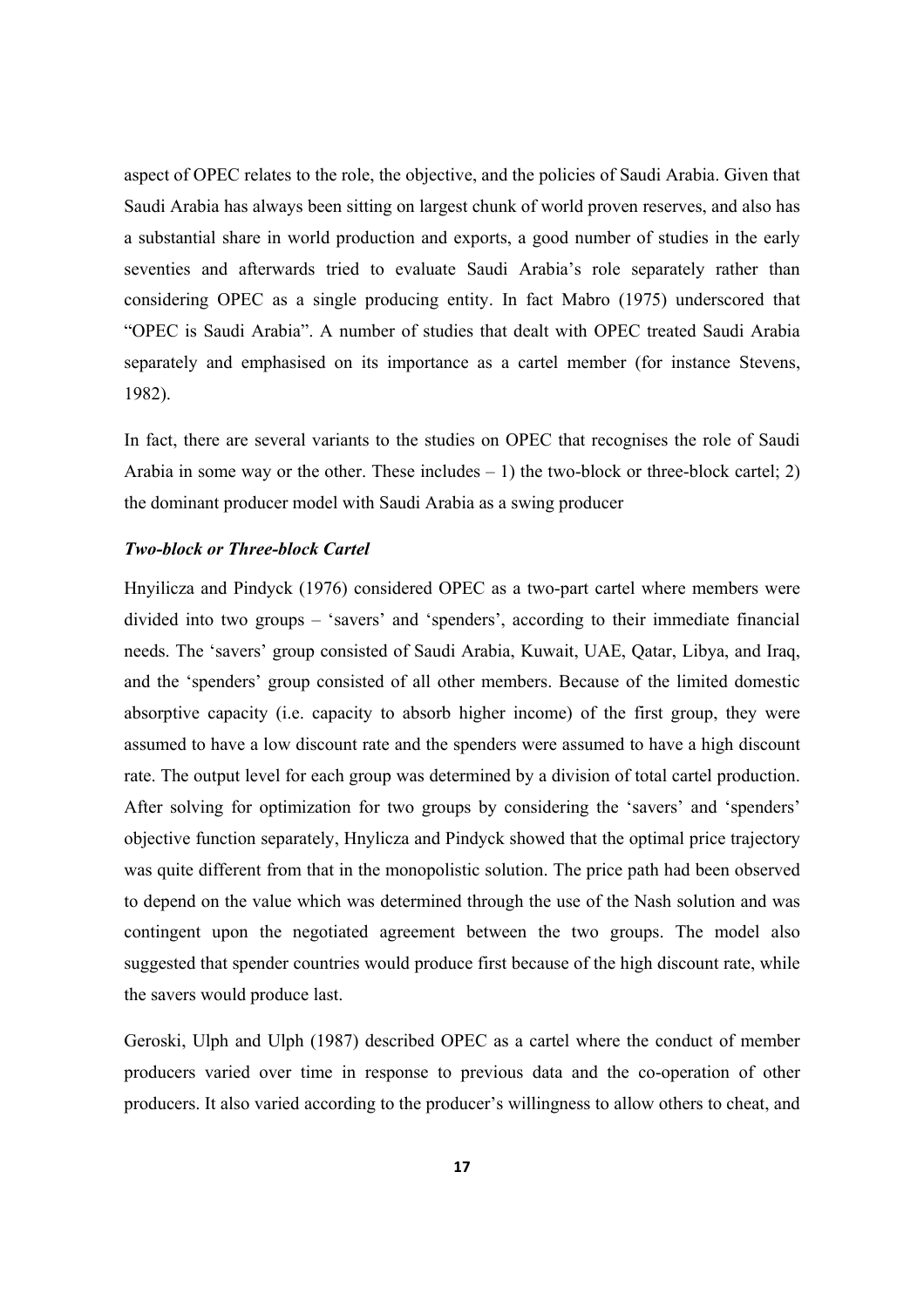aspect of OPEC relates to the role, the objective, and the policies of Saudi Arabia. Given that Saudi Arabia has always been sitting on largest chunk of world proven reserves, and also has a substantial share in world production and exports, a good number of studies in the early seventies and afterwards tried to evaluate Saudi Arabia's role separately rather than considering OPEC as a single producing entity. In fact Mabro (1975) underscored that "OPEC is Saudi Arabia". A number of studies that dealt with OPEC treated Saudi Arabia separately and emphasised on its importance as a cartel member (for instance Stevens, 1982).

In fact, there are several variants to the studies on OPEC that recognises the role of Saudi Arabia in some way or the other. These includes  $-1$ ) the two-block or three-block cartel; 2) the dominant producer model with Saudi Arabia as a swing producer

#### *Two-block or Three-block Cartel*

Hnyilicza and Pindyck (1976) considered OPEC as a two-part cartel where members were divided into two groups – 'savers' and 'spenders', according to their immediate financial needs. The 'savers' group consisted of Saudi Arabia, Kuwait, UAE, Qatar, Libya, and Iraq, and the 'spenders' group consisted of all other members. Because of the limited domestic absorptive capacity (i.e. capacity to absorb higher income) of the first group, they were assumed to have a low discount rate and the spenders were assumed to have a high discount rate. The output level for each group was determined by a division of total cartel production. After solving for optimization for two groups by considering the 'savers' and 'spenders' objective function separately, Hnylicza and Pindyck showed that the optimal price trajectory was quite different from that in the monopolistic solution. The price path had been observed to depend on the value which was determined through the use of the Nash solution and was contingent upon the negotiated agreement between the two groups. The model also suggested that spender countries would produce first because of the high discount rate, while the savers would produce last.

Geroski, Ulph and Ulph (1987) described OPEC as a cartel where the conduct of member producers varied over time in response to previous data and the co-operation of other producers. It also varied according to the producer's willingness to allow others to cheat, and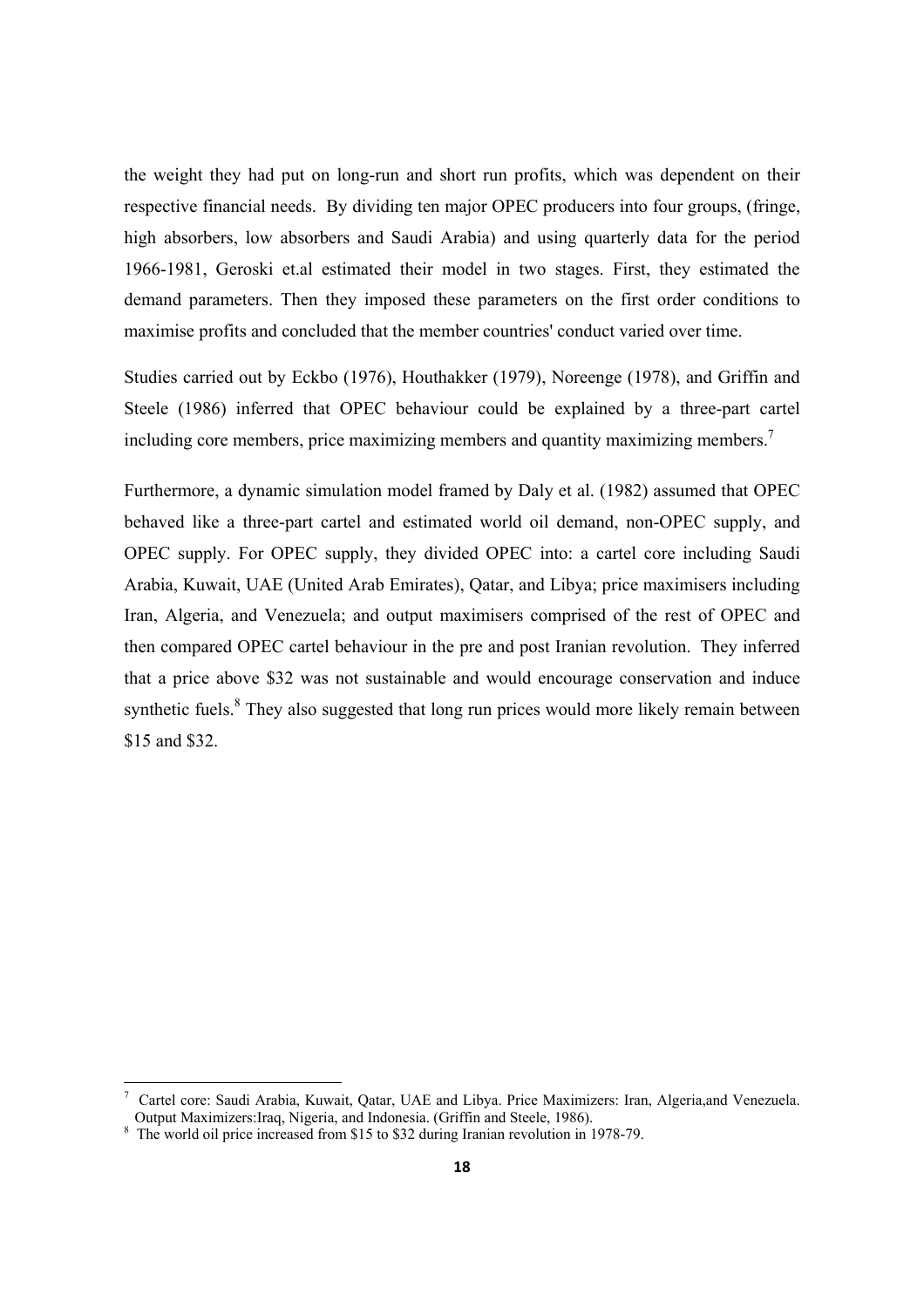the weight they had put on long-run and short run profits, which was dependent on their respective financial needs. By dividing ten major OPEC producers into four groups, (fringe, high absorbers, low absorbers and Saudi Arabia) and using quarterly data for the period 1966-1981, Geroski et.al estimated their model in two stages. First, they estimated the demand parameters. Then they imposed these parameters on the first order conditions to maximise profits and concluded that the member countries' conduct varied over time.

Studies carried out by Eckbo (1976), Houthakker (1979), Noreenge (1978), and Griffin and Steele (1986) inferred that OPEC behaviour could be explained by a three-part cartel including core members, price maximizing members and quantity maximizing members.<sup>7</sup>

Furthermore, a dynamic simulation model framed by Daly et al. (1982) assumed that OPEC behaved like a three-part cartel and estimated world oil demand, non-OPEC supply, and OPEC supply. For OPEC supply, they divided OPEC into: a cartel core including Saudi Arabia, Kuwait, UAE (United Arab Emirates), Qatar, and Libya; price maximisers including Iran, Algeria, and Venezuela; and output maximisers comprised of the rest of OPEC and then compared OPEC cartel behaviour in the pre and post Iranian revolution. They inferred that a price above \$32 was not sustainable and would encourage conservation and induce synthetic fuels.<sup>8</sup> They also suggested that long run prices would more likely remain between \$15 and \$32.

<sup>7</sup> Cartel core: Saudi Arabia, Kuwait, Qatar, UAE and Libya. Price Maximizers: Iran, Algeria,and Venezuela. Output Maximizers:Iraq, Nigeria, and Indonesia. (Griffin and Steele, 1986).

<sup>8</sup> The world oil price increased from \$15 to \$32 during Iranian revolution in 1978-79.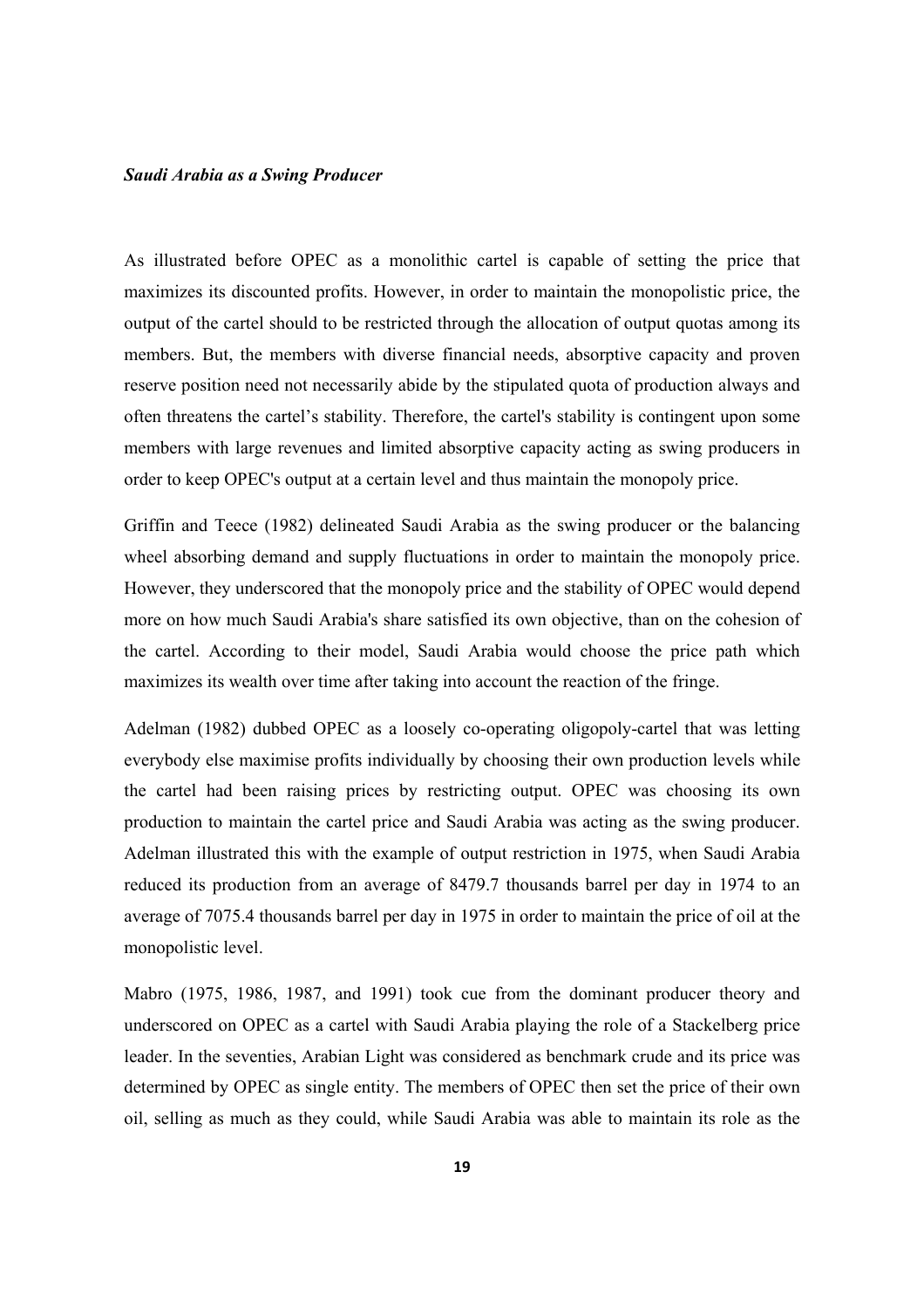#### *Saudi Arabia as a Swing Producer*

As illustrated before OPEC as a monolithic cartel is capable of setting the price that maximizes its discounted profits. However, in order to maintain the monopolistic price, the output of the cartel should to be restricted through the allocation of output quotas among its members. But, the members with diverse financial needs, absorptive capacity and proven reserve position need not necessarily abide by the stipulated quota of production always and often threatens the cartel's stability. Therefore, the cartel's stability is contingent upon some members with large revenues and limited absorptive capacity acting as swing producers in order to keep OPEC's output at a certain level and thus maintain the monopoly price.

Griffin and Teece (1982) delineated Saudi Arabia as the swing producer or the balancing wheel absorbing demand and supply fluctuations in order to maintain the monopoly price. However, they underscored that the monopoly price and the stability of OPEC would depend more on how much Saudi Arabia's share satisfied its own objective, than on the cohesion of the cartel. According to their model, Saudi Arabia would choose the price path which maximizes its wealth over time after taking into account the reaction of the fringe.

Adelman (1982) dubbed OPEC as a loosely co-operating oligopoly-cartel that was letting everybody else maximise profits individually by choosing their own production levels while the cartel had been raising prices by restricting output. OPEC was choosing its own production to maintain the cartel price and Saudi Arabia was acting as the swing producer. Adelman illustrated this with the example of output restriction in 1975, when Saudi Arabia reduced its production from an average of 8479.7 thousands barrel per day in 1974 to an average of 7075.4 thousands barrel per day in 1975 in order to maintain the price of oil at the monopolistic level.

Mabro (1975, 1986, 1987, and 1991) took cue from the dominant producer theory and underscored on OPEC as a cartel with Saudi Arabia playing the role of a Stackelberg price leader. In the seventies, Arabian Light was considered as benchmark crude and its price was determined by OPEC as single entity. The members of OPEC then set the price of their own oil, selling as much as they could, while Saudi Arabia was able to maintain its role as the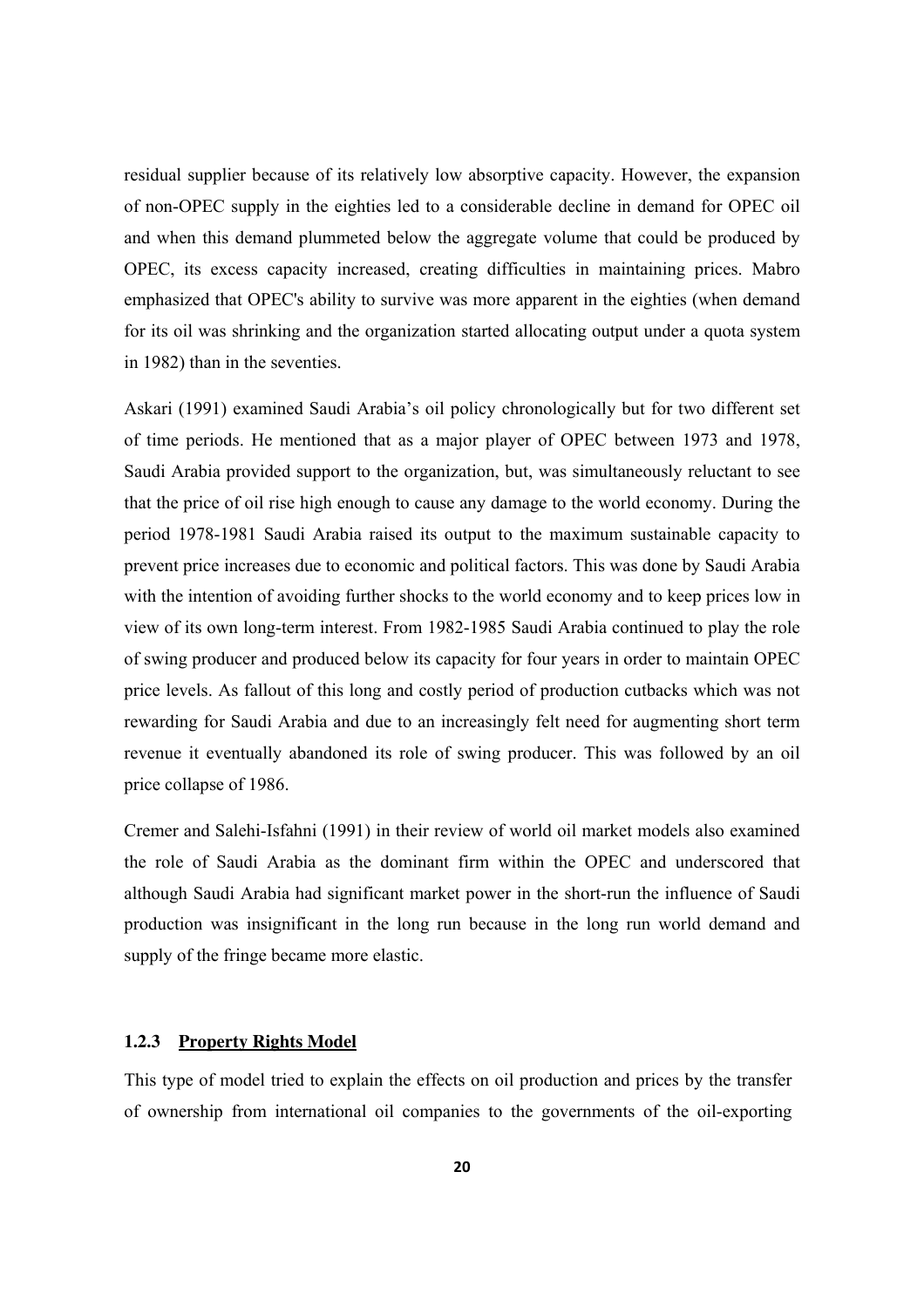residual supplier because of its relatively low absorptive capacity. However, the expansion of non-OPEC supply in the eighties led to a considerable decline in demand for OPEC oil and when this demand plummeted below the aggregate volume that could be produced by OPEC, its excess capacity increased, creating difficulties in maintaining prices. Mabro emphasized that OPEC's ability to survive was more apparent in the eighties (when demand for its oil was shrinking and the organization started allocating output under a quota system in 1982) than in the seventies.

Askari (1991) examined Saudi Arabia's oil policy chronologically but for two different set of time periods. He mentioned that as a major player of OPEC between 1973 and 1978, Saudi Arabia provided support to the organization, but, was simultaneously reluctant to see that the price of oil rise high enough to cause any damage to the world economy. During the period 1978-1981 Saudi Arabia raised its output to the maximum sustainable capacity to prevent price increases due to economic and political factors. This was done by Saudi Arabia with the intention of avoiding further shocks to the world economy and to keep prices low in view of its own long-term interest. From 1982-1985 Saudi Arabia continued to play the role of swing producer and produced below its capacity for four years in order to maintain OPEC price levels. As fallout of this long and costly period of production cutbacks which was not rewarding for Saudi Arabia and due to an increasingly felt need for augmenting short term revenue it eventually abandoned its role of swing producer. This was followed by an oil price collapse of 1986.

Cremer and Salehi-Isfahni (1991) in their review of world oil market models also examined the role of Saudi Arabia as the dominant firm within the OPEC and underscored that although Saudi Arabia had significant market power in the short-run the influence of Saudi production was insignificant in the long run because in the long run world demand and supply of the fringe became more elastic.

#### **1.2.3 Property Rights Model**

This type of model tried to explain the effects on oil production and prices by the transfer of ownership from international oil companies to the governments of the oil-exporting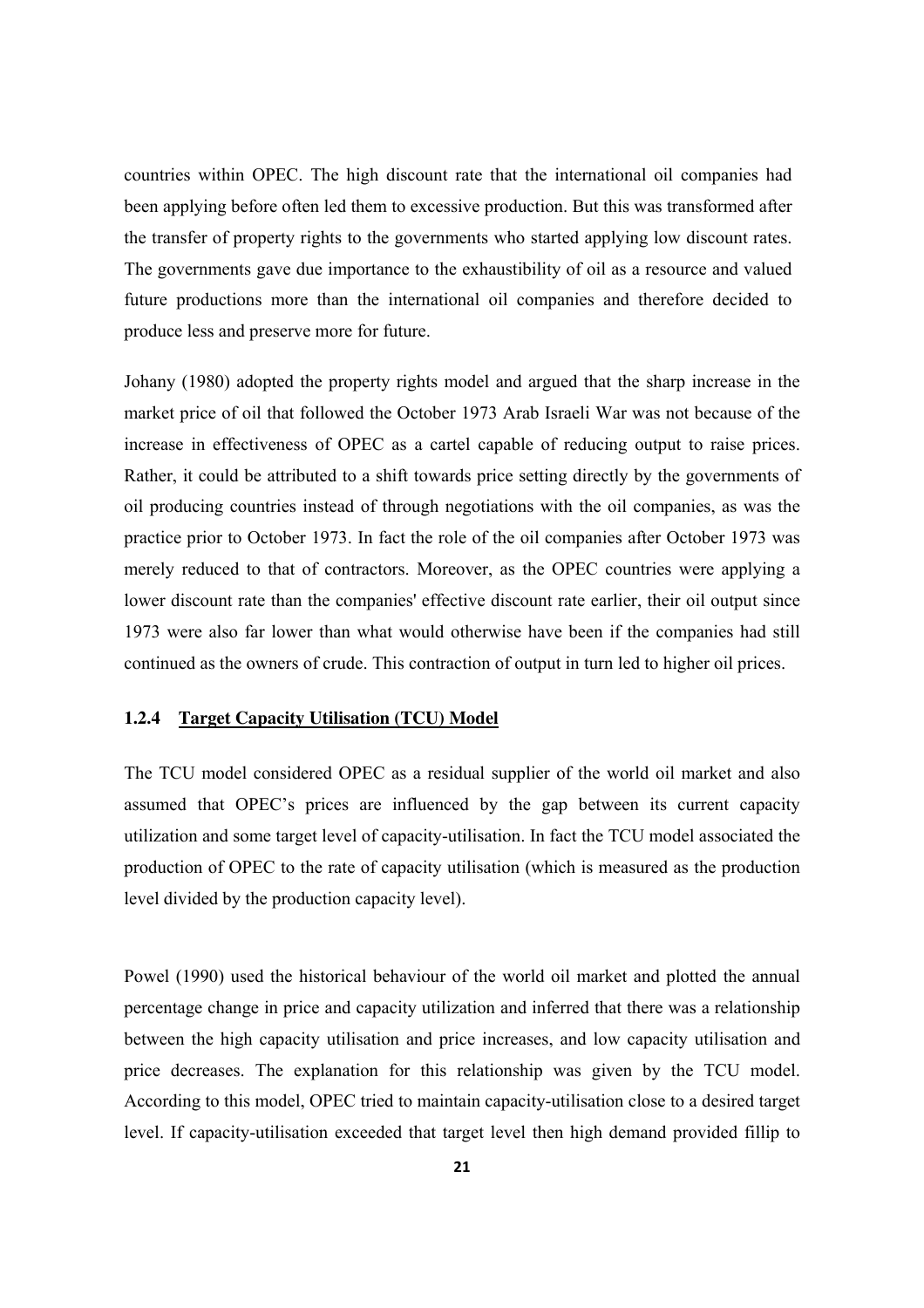countries within OPEC. The high discount rate that the international oil companies had been applying before often led them to excessive production. But this was transformed after the transfer of property rights to the governments who started applying low discount rates. The governments gave due importance to the exhaustibility of oil as a resource and valued future productions more than the international oil companies and therefore decided to produce less and preserve more for future.

Johany (1980) adopted the property rights model and argued that the sharp increase in the market price of oil that followed the October 1973 Arab Israeli War was not because of the increase in effectiveness of OPEC as a cartel capable of reducing output to raise prices. Rather, it could be attributed to a shift towards price setting directly by the governments of oil producing countries instead of through negotiations with the oil companies, as was the practice prior to October 1973. In fact the role of the oil companies after October 1973 was merely reduced to that of contractors. Moreover, as the OPEC countries were applying a lower discount rate than the companies' effective discount rate earlier, their oil output since 1973 were also far lower than what would otherwise have been if the companies had still continued as the owners of crude. This contraction of output in turn led to higher oil prices.

#### **1.2.4 Target Capacity Utilisation (TCU) Model**

The TCU model considered OPEC as a residual supplier of the world oil market and also assumed that OPEC's prices are influenced by the gap between its current capacity utilization and some target level of capacity-utilisation. In fact the TCU model associated the production of OPEC to the rate of capacity utilisation (which is measured as the production level divided by the production capacity level).

Powel (1990) used the historical behaviour of the world oil market and plotted the annual percentage change in price and capacity utilization and inferred that there was a relationship between the high capacity utilisation and price increases, and low capacity utilisation and price decreases. The explanation for this relationship was given by the TCU model. According to this model, OPEC tried to maintain capacity-utilisation close to a desired target level. If capacity-utilisation exceeded that target level then high demand provided fillip to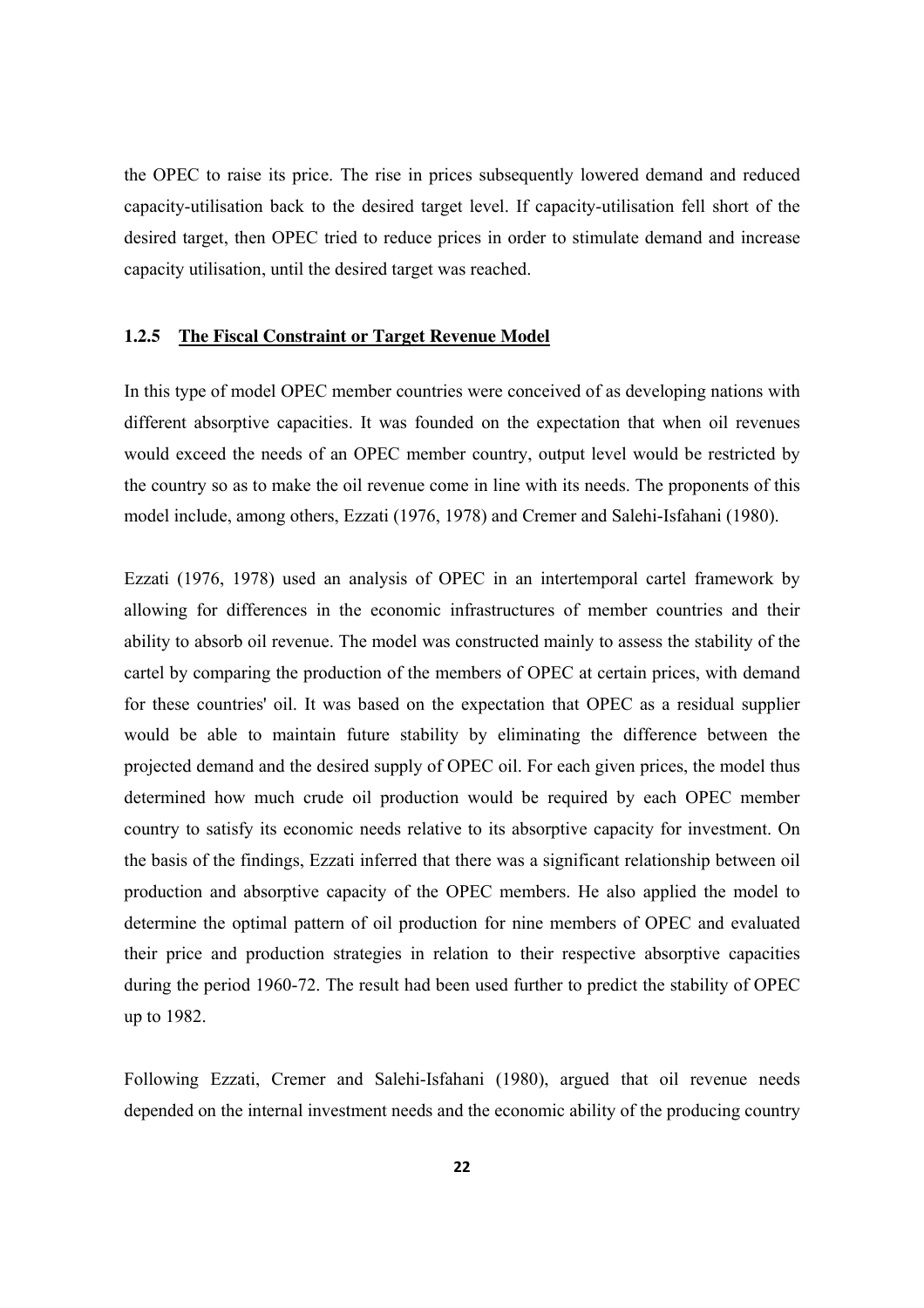the OPEC to raise its price. The rise in prices subsequently lowered demand and reduced capacity-utilisation back to the desired target level. If capacity-utilisation fell short of the desired target, then OPEC tried to reduce prices in order to stimulate demand and increase capacity utilisation, until the desired target was reached.

#### **1.2.5 The Fiscal Constraint or Target Revenue Model**

In this type of model OPEC member countries were conceived of as developing nations with different absorptive capacities. It was founded on the expectation that when oil revenues would exceed the needs of an OPEC member country, output level would be restricted by the country so as to make the oil revenue come in line with its needs. The proponents of this model include, among others, Ezzati (1976, 1978) and Cremer and Salehi-Isfahani (1980).

Ezzati (1976, 1978) used an analysis of OPEC in an intertemporal cartel framework by allowing for differences in the economic infrastructures of member countries and their ability to absorb oil revenue. The model was constructed mainly to assess the stability of the cartel by comparing the production of the members of OPEC at certain prices, with demand for these countries' oil. It was based on the expectation that OPEC as a residual supplier would be able to maintain future stability by eliminating the difference between the projected demand and the desired supply of OPEC oil. For each given prices, the model thus determined how much crude oil production would be required by each OPEC member country to satisfy its economic needs relative to its absorptive capacity for investment. On the basis of the findings, Ezzati inferred that there was a significant relationship between oil production and absorptive capacity of the OPEC members. He also applied the model to determine the optimal pattern of oil production for nine members of OPEC and evaluated their price and production strategies in relation to their respective absorptive capacities during the period 1960-72. The result had been used further to predict the stability of OPEC up to 1982.

Following Ezzati, Cremer and Salehi-Isfahani (1980), argued that oil revenue needs depended on the internal investment needs and the economic ability of the producing country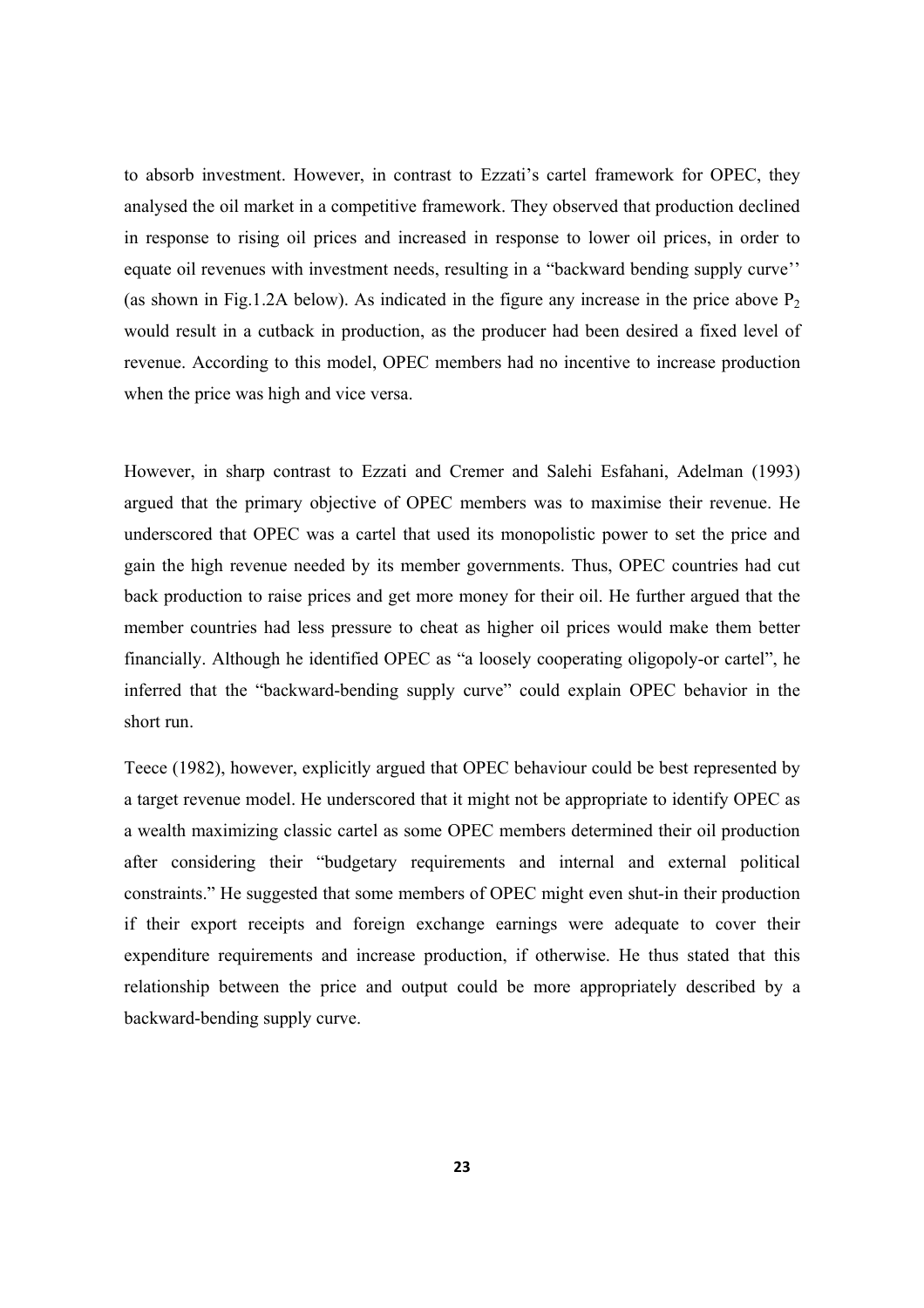to absorb investment. However, in contrast to Ezzati's cartel framework for OPEC, they analysed the oil market in a competitive framework. They observed that production declined in response to rising oil prices and increased in response to lower oil prices, in order to equate oil revenues with investment needs, resulting in a "backward bending supply curve'' (as shown in Fig.1.2A below). As indicated in the figure any increase in the price above  $P_2$ would result in a cutback in production, as the producer had been desired a fixed level of revenue. According to this model, OPEC members had no incentive to increase production when the price was high and vice versa.

However, in sharp contrast to Ezzati and Cremer and Salehi Esfahani, Adelman (1993) argued that the primary objective of OPEC members was to maximise their revenue. He underscored that OPEC was a cartel that used its monopolistic power to set the price and gain the high revenue needed by its member governments. Thus, OPEC countries had cut back production to raise prices and get more money for their oil. He further argued that the member countries had less pressure to cheat as higher oil prices would make them better financially. Although he identified OPEC as "a loosely cooperating oligopoly-or cartel", he inferred that the "backward-bending supply curve" could explain OPEC behavior in the short run.

Teece (1982), however, explicitly argued that OPEC behaviour could be best represented by a target revenue model. He underscored that it might not be appropriate to identify OPEC as a wealth maximizing classic cartel as some OPEC members determined their oil production after considering their "budgetary requirements and internal and external political constraints." He suggested that some members of OPEC might even shut-in their production if their export receipts and foreign exchange earnings were adequate to cover their expenditure requirements and increase production, if otherwise. He thus stated that this relationship between the price and output could be more appropriately described by a backward-bending supply curve.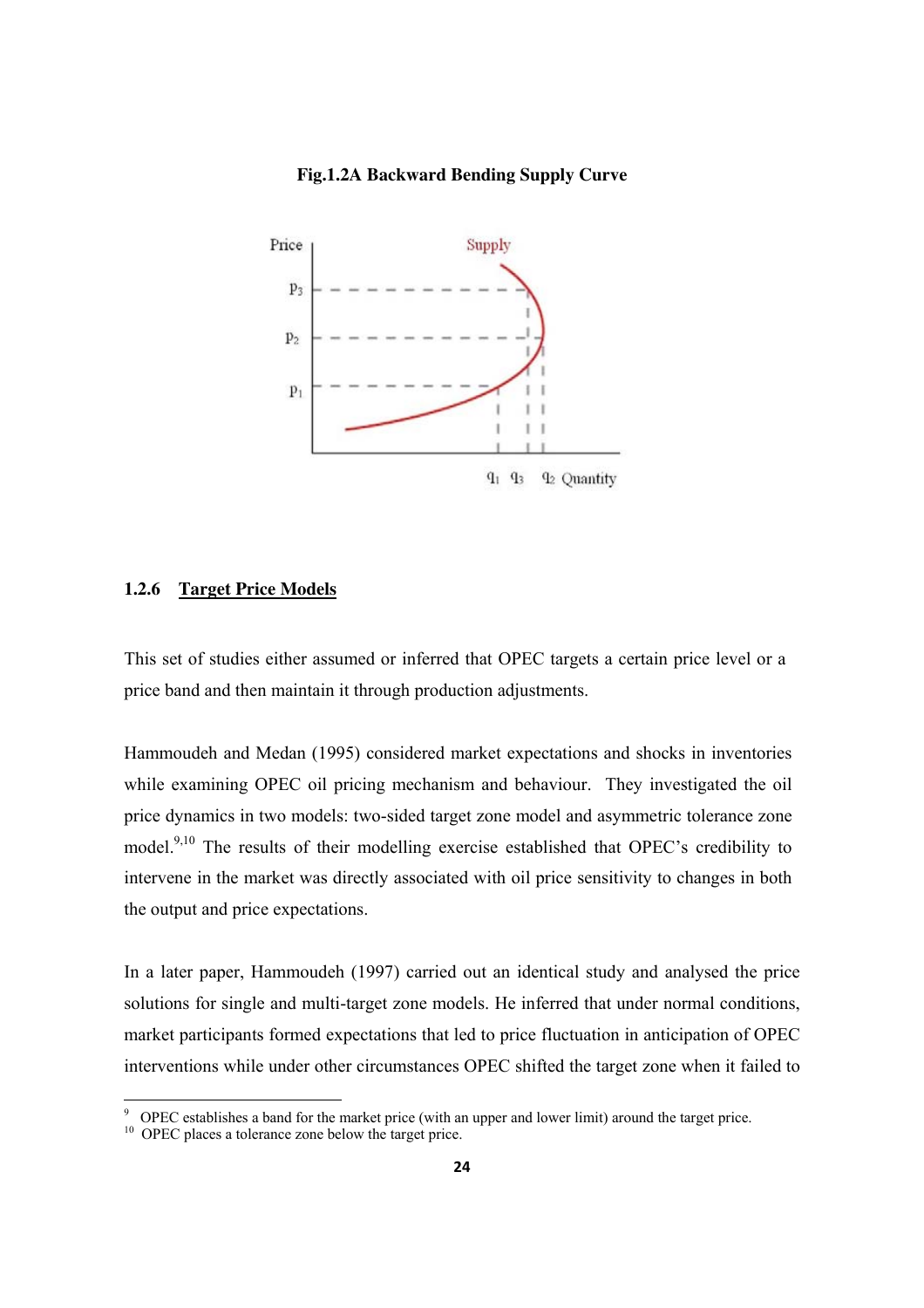#### **Fig.1.2A Backward Bending Supply Curve**



#### **1.2.6 Target Price Models**

This set of studies either assumed or inferred that OPEC targets a certain price level or a price band and then maintain it through production adjustments.

Hammoudeh and Medan (1995) considered market expectations and shocks in inventories while examining OPEC oil pricing mechanism and behaviour. They investigated the oil price dynamics in two models: two-sided target zone model and asymmetric tolerance zone model.9,10 The results of their modelling exercise established that OPEC's credibility to intervene in the market was directly associated with oil price sensitivity to changes in both the output and price expectations.

In a later paper, Hammoudeh (1997) carried out an identical study and analysed the price solutions for single and multi-target zone models. He inferred that under normal conditions, market participants formed expectations that led to price fluctuation in anticipation of OPEC interventions while under other circumstances OPEC shifted the target zone when it failed to

<sup>9</sup> OPEC establishes a band for the market price (with an upper and lower limit) around the target price.

<sup>&</sup>lt;sup>10</sup> OPEC places a tolerance zone below the target price.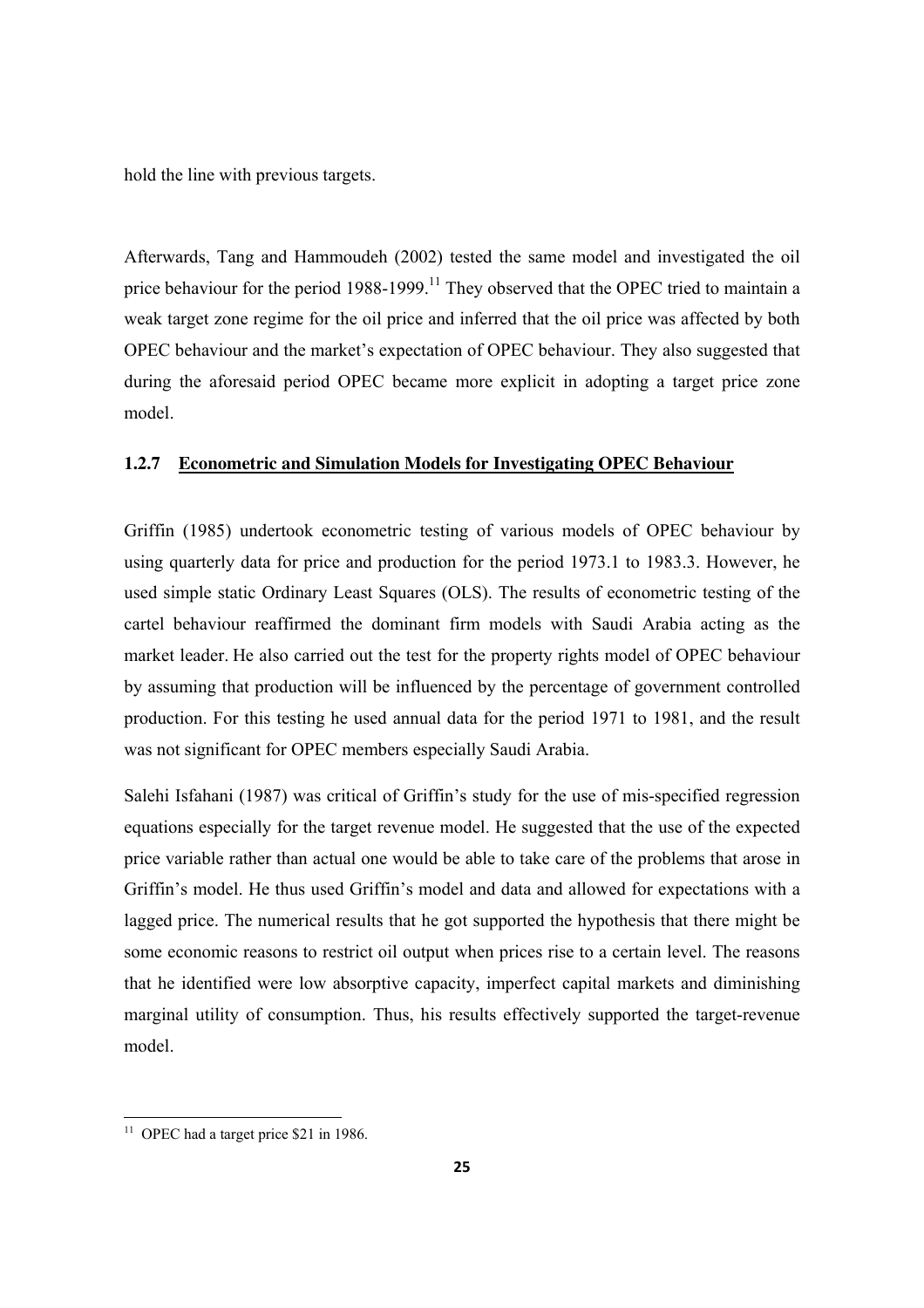hold the line with previous targets.

Afterwards, Tang and Hammoudeh (2002) tested the same model and investigated the oil price behaviour for the period 1988-1999.<sup>11</sup> They observed that the OPEC tried to maintain a weak target zone regime for the oil price and inferred that the oil price was affected by both OPEC behaviour and the market's expectation of OPEC behaviour. They also suggested that during the aforesaid period OPEC became more explicit in adopting a target price zone model.

#### **1.2.7 Econometric and Simulation Models for Investigating OPEC Behaviour**

Griffin (1985) undertook econometric testing of various models of OPEC behaviour by using quarterly data for price and production for the period 1973.1 to 1983.3. However, he used simple static Ordinary Least Squares (OLS). The results of econometric testing of the cartel behaviour reaffirmed the dominant firm models with Saudi Arabia acting as the market leader. He also carried out the test for the property rights model of OPEC behaviour by assuming that production will be influenced by the percentage of government controlled production. For this testing he used annual data for the period 1971 to 1981, and the result was not significant for OPEC members especially Saudi Arabia.

Salehi Isfahani (1987) was critical of Griffin's study for the use of mis-specified regression equations especially for the target revenue model. He suggested that the use of the expected price variable rather than actual one would be able to take care of the problems that arose in Griffin's model. He thus used Griffin's model and data and allowed for expectations with a lagged price. The numerical results that he got supported the hypothesis that there might be some economic reasons to restrict oil output when prices rise to a certain level. The reasons that he identified were low absorptive capacity, imperfect capital markets and diminishing marginal utility of consumption. Thus, his results effectively supported the target-revenue model.

 $11$  OPEC had a target price \$21 in 1986.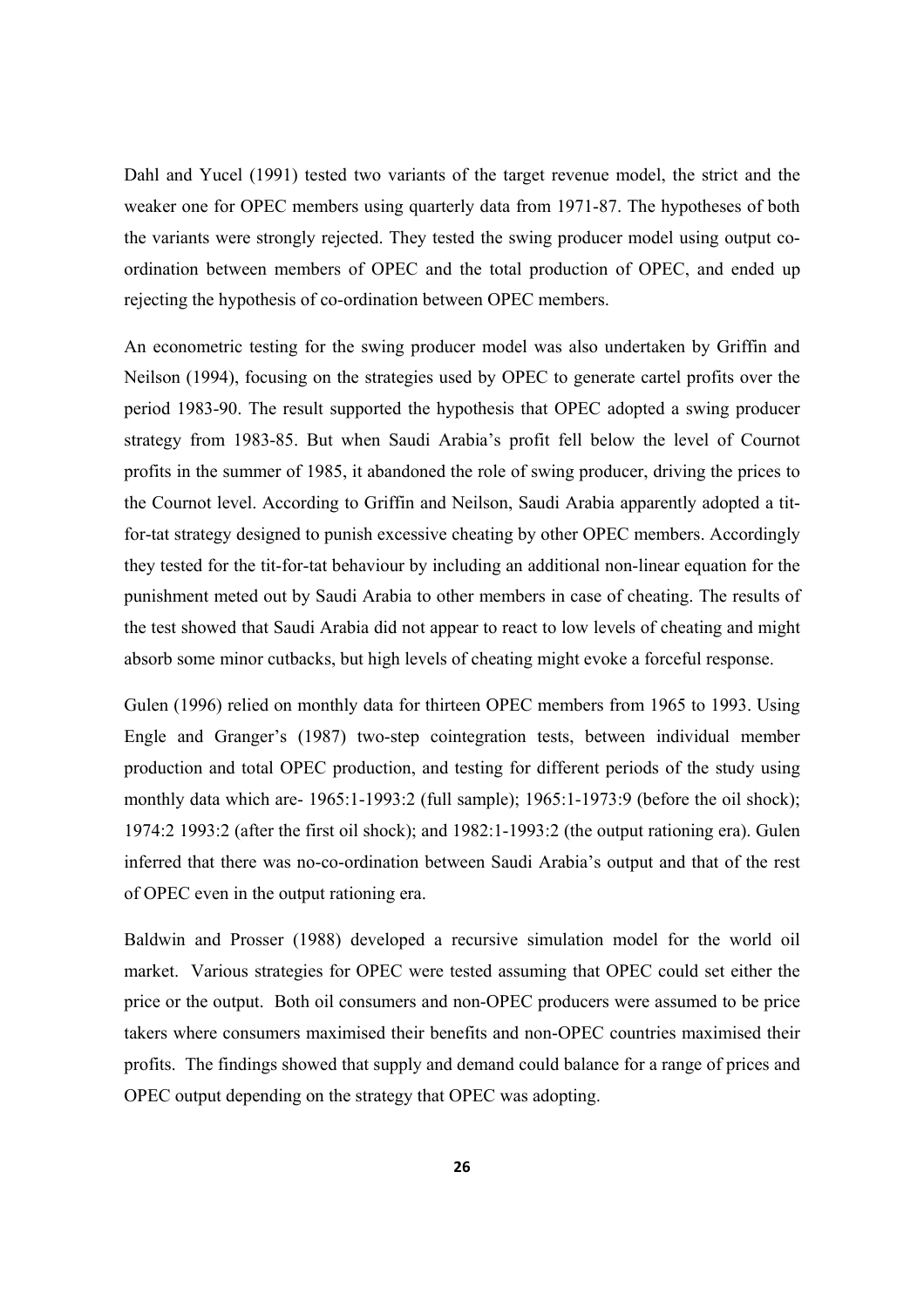Dahl and Yucel (1991) tested two variants of the target revenue model, the strict and the weaker one for OPEC members using quarterly data from 1971-87. The hypotheses of both the variants were strongly rejected. They tested the swing producer model using output coordination between members of OPEC and the total production of OPEC, and ended up rejecting the hypothesis of co-ordination between OPEC members.

An econometric testing for the swing producer model was also undertaken by Griffin and Neilson (1994), focusing on the strategies used by OPEC to generate cartel profits over the period 1983-90. The result supported the hypothesis that OPEC adopted a swing producer strategy from 1983-85. But when Saudi Arabia's profit fell below the level of Cournot profits in the summer of 1985, it abandoned the role of swing producer, driving the prices to the Cournot level. According to Griffin and Neilson, Saudi Arabia apparently adopted a titfor-tat strategy designed to punish excessive cheating by other OPEC members. Accordingly they tested for the tit-for-tat behaviour by including an additional non-linear equation for the punishment meted out by Saudi Arabia to other members in case of cheating. The results of the test showed that Saudi Arabia did not appear to react to low levels of cheating and might absorb some minor cutbacks, but high levels of cheating might evoke a forceful response.

Gulen (1996) relied on monthly data for thirteen OPEC members from 1965 to 1993. Using Engle and Granger's (1987) two-step cointegration tests, between individual member production and total OPEC production, and testing for different periods of the study using monthly data which are- 1965:1-1993:2 (full sample); 1965:1-1973:9 (before the oil shock); 1974:2 1993:2 (after the first oil shock); and 1982:1-1993:2 (the output rationing era). Gulen inferred that there was no-co-ordination between Saudi Arabia's output and that of the rest of OPEC even in the output rationing era.

Baldwin and Prosser (1988) developed a recursive simulation model for the world oil market. Various strategies for OPEC were tested assuming that OPEC could set either the price or the output. Both oil consumers and non-OPEC producers were assumed to be price takers where consumers maximised their benefits and non-OPEC countries maximised their profits. The findings showed that supply and demand could balance for a range of prices and OPEC output depending on the strategy that OPEC was adopting.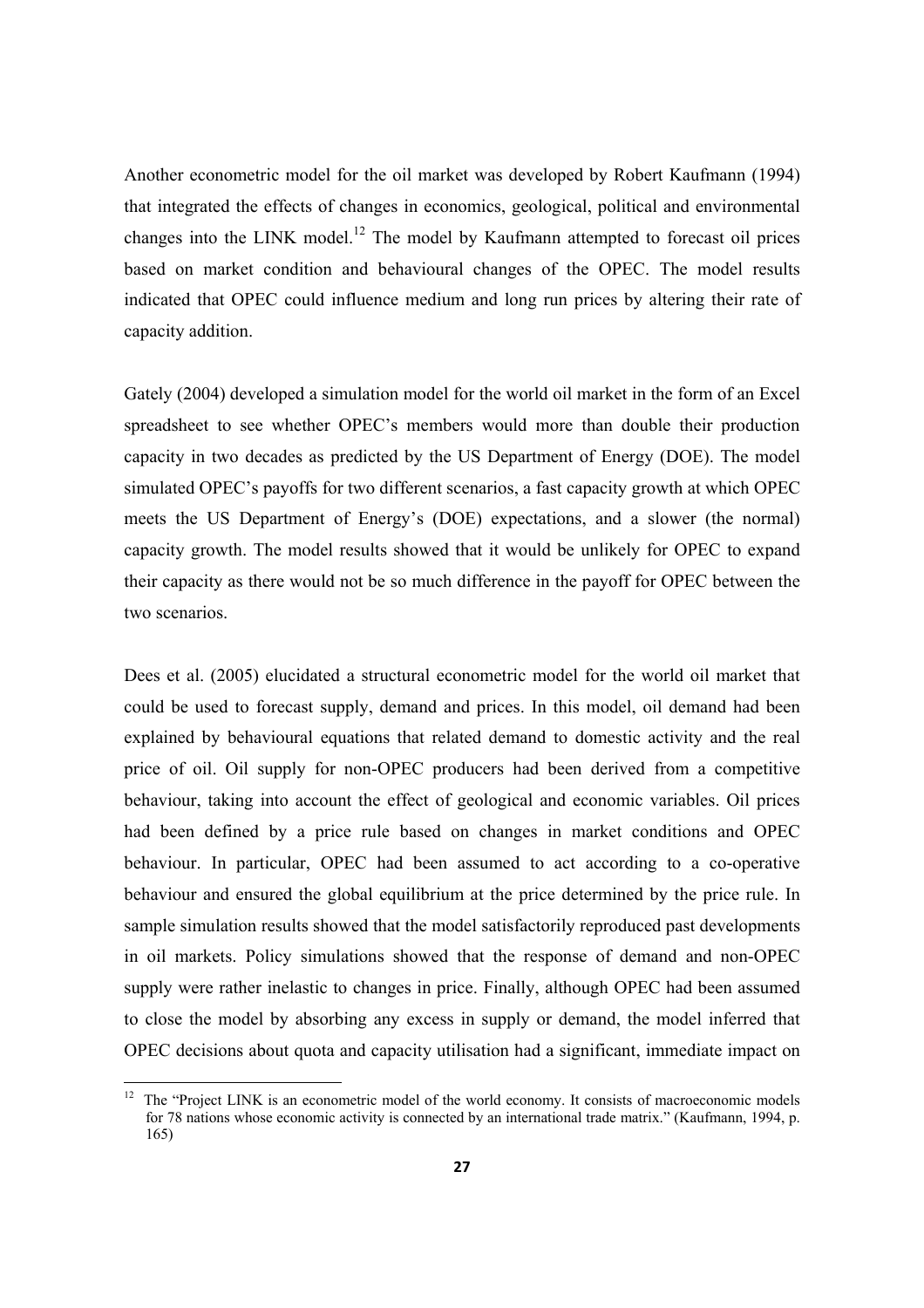Another econometric model for the oil market was developed by Robert Kaufmann (1994) that integrated the effects of changes in economics, geological, political and environmental changes into the LINK model.<sup>12</sup> The model by Kaufmann attempted to forecast oil prices based on market condition and behavioural changes of the OPEC. The model results indicated that OPEC could influence medium and long run prices by altering their rate of capacity addition.

Gately (2004) developed a simulation model for the world oil market in the form of an Excel spreadsheet to see whether OPEC's members would more than double their production capacity in two decades as predicted by the US Department of Energy (DOE). The model simulated OPEC's payoffs for two different scenarios, a fast capacity growth at which OPEC meets the US Department of Energy's (DOE) expectations, and a slower (the normal) capacity growth. The model results showed that it would be unlikely for OPEC to expand their capacity as there would not be so much difference in the payoff for OPEC between the two scenarios.

Dees et al. (2005) elucidated a structural econometric model for the world oil market that could be used to forecast supply, demand and prices. In this model, oil demand had been explained by behavioural equations that related demand to domestic activity and the real price of oil. Oil supply for non-OPEC producers had been derived from a competitive behaviour, taking into account the effect of geological and economic variables. Oil prices had been defined by a price rule based on changes in market conditions and OPEC behaviour. In particular, OPEC had been assumed to act according to a co-operative behaviour and ensured the global equilibrium at the price determined by the price rule. In sample simulation results showed that the model satisfactorily reproduced past developments in oil markets. Policy simulations showed that the response of demand and non-OPEC supply were rather inelastic to changes in price. Finally, although OPEC had been assumed to close the model by absorbing any excess in supply or demand, the model inferred that OPEC decisions about quota and capacity utilisation had a significant, immediate impact on

<sup>&</sup>lt;sup>12</sup> The "Project LINK is an econometric model of the world economy. It consists of macroeconomic models for 78 nations whose economic activity is connected by an international trade matrix." (Kaufmann, 1994, p. 165)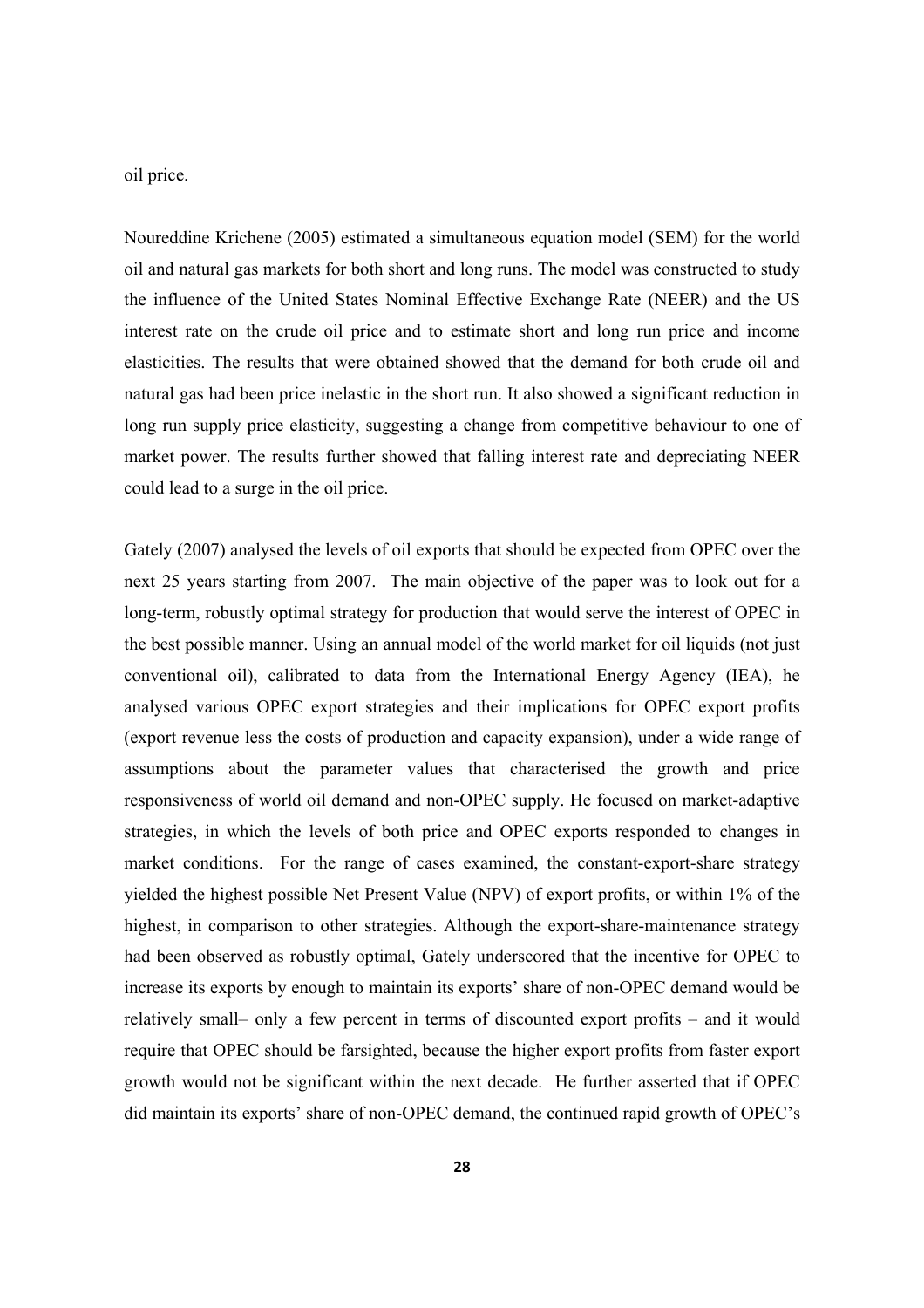oil price.

Noureddine Krichene (2005) estimated a simultaneous equation model (SEM) for the world oil and natural gas markets for both short and long runs. The model was constructed to study the influence of the United States Nominal Effective Exchange Rate (NEER) and the US interest rate on the crude oil price and to estimate short and long run price and income elasticities. The results that were obtained showed that the demand for both crude oil and natural gas had been price inelastic in the short run. It also showed a significant reduction in long run supply price elasticity, suggesting a change from competitive behaviour to one of market power. The results further showed that falling interest rate and depreciating NEER could lead to a surge in the oil price.

Gately (2007) analysed the levels of oil exports that should be expected from OPEC over the next 25 years starting from 2007. The main objective of the paper was to look out for a long-term, robustly optimal strategy for production that would serve the interest of OPEC in the best possible manner. Using an annual model of the world market for oil liquids (not just conventional oil), calibrated to data from the International Energy Agency (IEA), he analysed various OPEC export strategies and their implications for OPEC export profits (export revenue less the costs of production and capacity expansion), under a wide range of assumptions about the parameter values that characterised the growth and price responsiveness of world oil demand and non-OPEC supply. He focused on market-adaptive strategies, in which the levels of both price and OPEC exports responded to changes in market conditions. For the range of cases examined, the constant-export-share strategy yielded the highest possible Net Present Value (NPV) of export profits, or within 1% of the highest, in comparison to other strategies. Although the export-share-maintenance strategy had been observed as robustly optimal, Gately underscored that the incentive for OPEC to increase its exports by enough to maintain its exports' share of non-OPEC demand would be relatively small– only a few percent in terms of discounted export profits – and it would require that OPEC should be farsighted, because the higher export profits from faster export growth would not be significant within the next decade. He further asserted that if OPEC did maintain its exports' share of non-OPEC demand, the continued rapid growth of OPEC's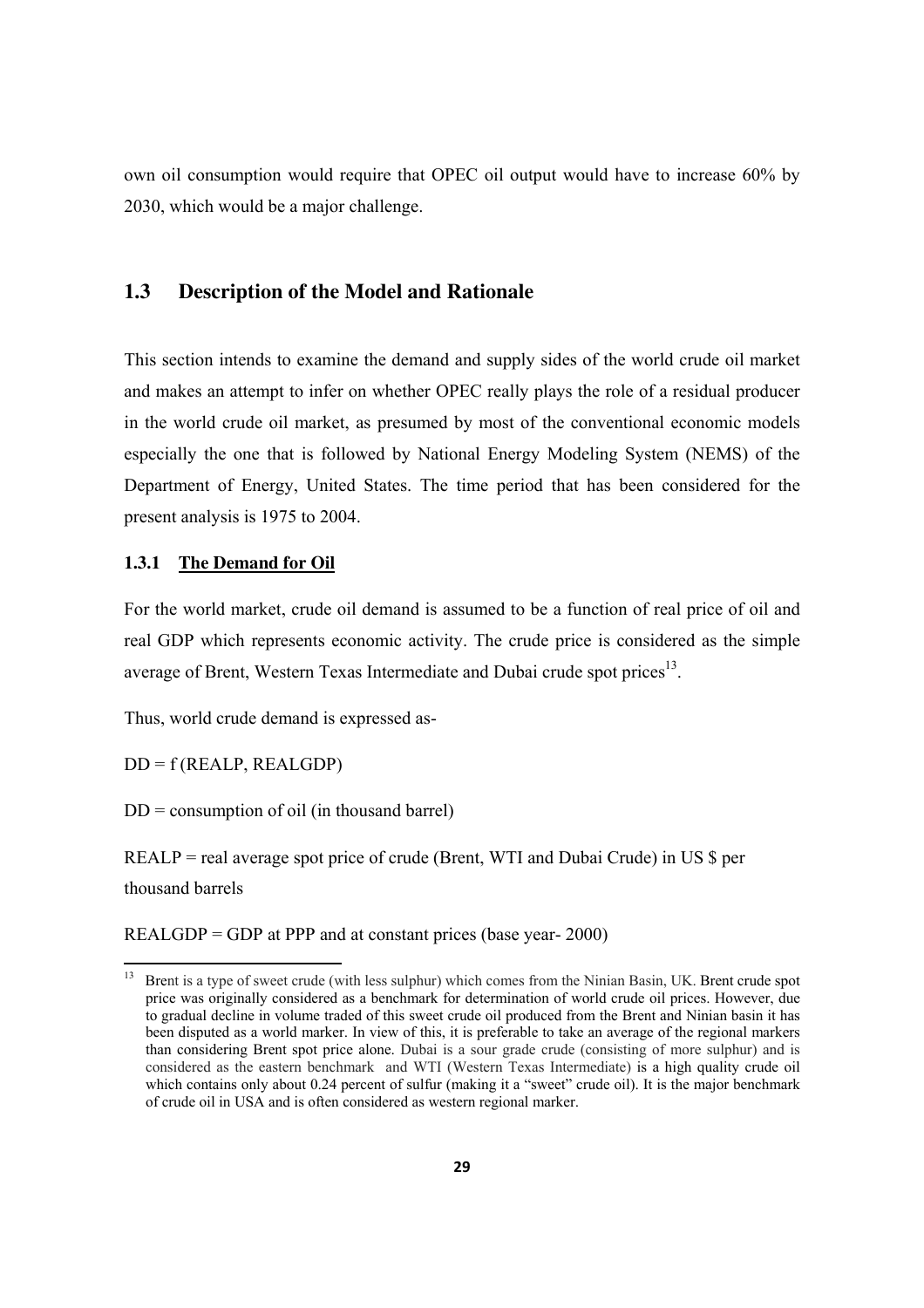own oil consumption would require that OPEC oil output would have to increase 60% by 2030, which would be a major challenge.

#### **1.3 Description of the Model and Rationale**

This section intends to examine the demand and supply sides of the world crude oil market and makes an attempt to infer on whether OPEC really plays the role of a residual producer in the world crude oil market, as presumed by most of the conventional economic models especially the one that is followed by National Energy Modeling System (NEMS) of the Department of Energy, United States. The time period that has been considered for the present analysis is 1975 to 2004.

#### **1.3.1 The Demand for Oil**

For the world market, crude oil demand is assumed to be a function of real price of oil and real GDP which represents economic activity. The crude price is considered as the simple average of Brent, Western Texas Intermediate and Dubai crude spot prices $^{13}$ .

Thus, world crude demand is expressed as-

 $DD = f (REALP, REALGDP)$ 

 $DD =$  consumption of oil (in thousand barrel)

REALP = real average spot price of crude (Brent, WTI and Dubai Crude) in US \$ per thousand barrels

REALGDP = GDP at PPP and at constant prices (base year- 2000)

<sup>13</sup> Brent is a type of sweet crude (with less sulphur) which comes from the Ninian Basin, UK. Brent crude spot price was originally considered as a benchmark for determination of world crude oil prices. However, due to gradual decline in volume traded of this sweet crude oil produced from the Brent and Ninian basin it has been disputed as a world marker. In view of this, it is preferable to take an average of the regional markers than considering Brent spot price alone. Dubai is a sour grade crude (consisting of more sulphur) and is considered as the eastern benchmark and WTI (Western Texas Intermediate) is a high quality crude oil which contains only about 0.24 percent of sulfur (making it a "sweet" crude oil). It is the major benchmark of crude oil in USA and is often considered as western regional marker.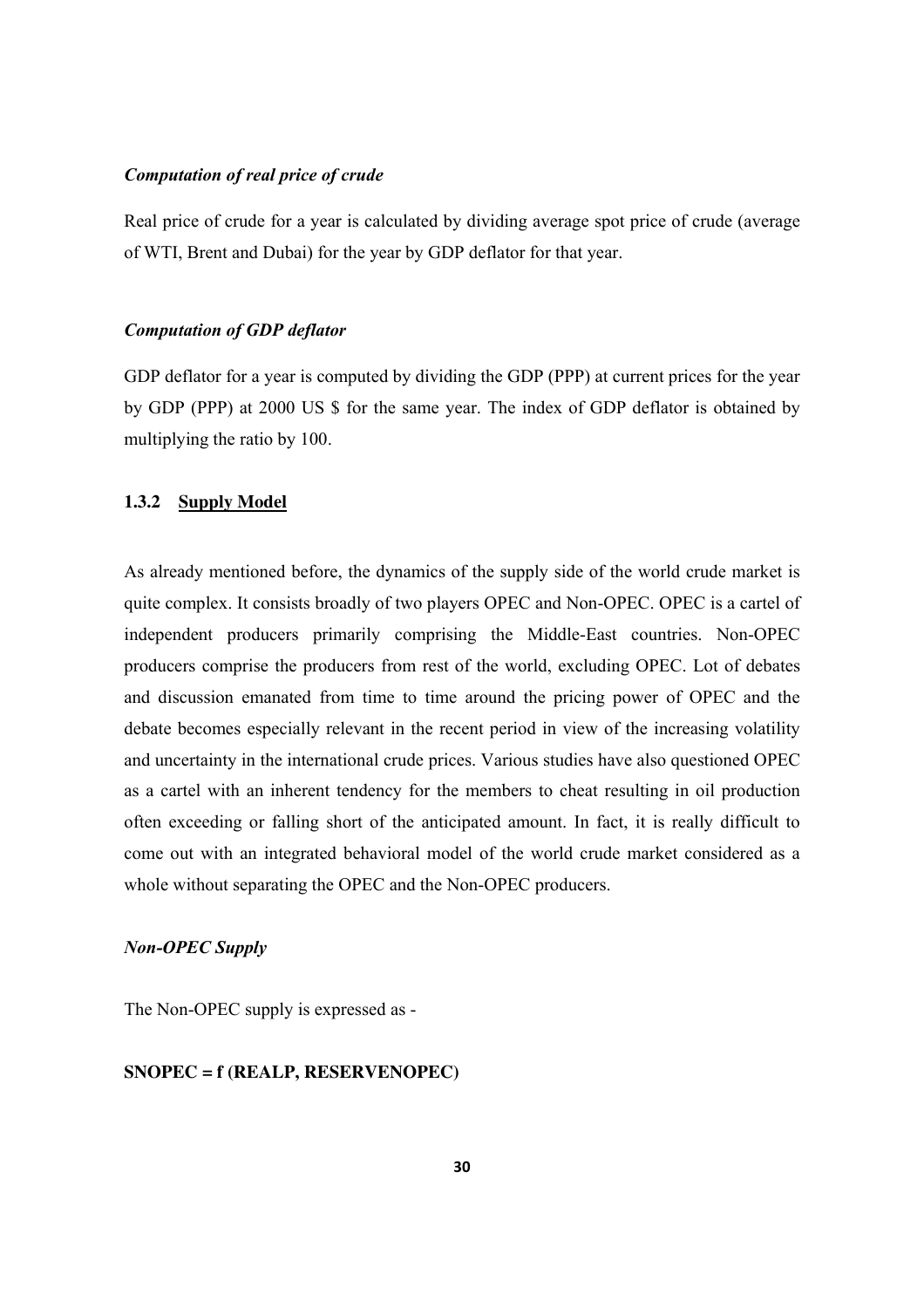#### *Computation of real price of crude*

Real price of crude for a year is calculated by dividing average spot price of crude (average of WTI, Brent and Dubai) for the year by GDP deflator for that year.

#### *Computation of GDP deflator*

GDP deflator for a year is computed by dividing the GDP (PPP) at current prices for the year by GDP (PPP) at 2000 US \$ for the same year. The index of GDP deflator is obtained by multiplying the ratio by 100.

#### **1.3.2 Supply Model**

As already mentioned before, the dynamics of the supply side of the world crude market is quite complex. It consists broadly of two players OPEC and Non-OPEC. OPEC is a cartel of independent producers primarily comprising the Middle-East countries. Non-OPEC producers comprise the producers from rest of the world, excluding OPEC. Lot of debates and discussion emanated from time to time around the pricing power of OPEC and the debate becomes especially relevant in the recent period in view of the increasing volatility and uncertainty in the international crude prices. Various studies have also questioned OPEC as a cartel with an inherent tendency for the members to cheat resulting in oil production often exceeding or falling short of the anticipated amount. In fact, it is really difficult to come out with an integrated behavioral model of the world crude market considered as a whole without separating the OPEC and the Non-OPEC producers.

#### *Non-OPEC Supply*

The Non-OPEC supply is expressed as -

#### **SNOPEC = f (REALP, RESERVENOPEC)**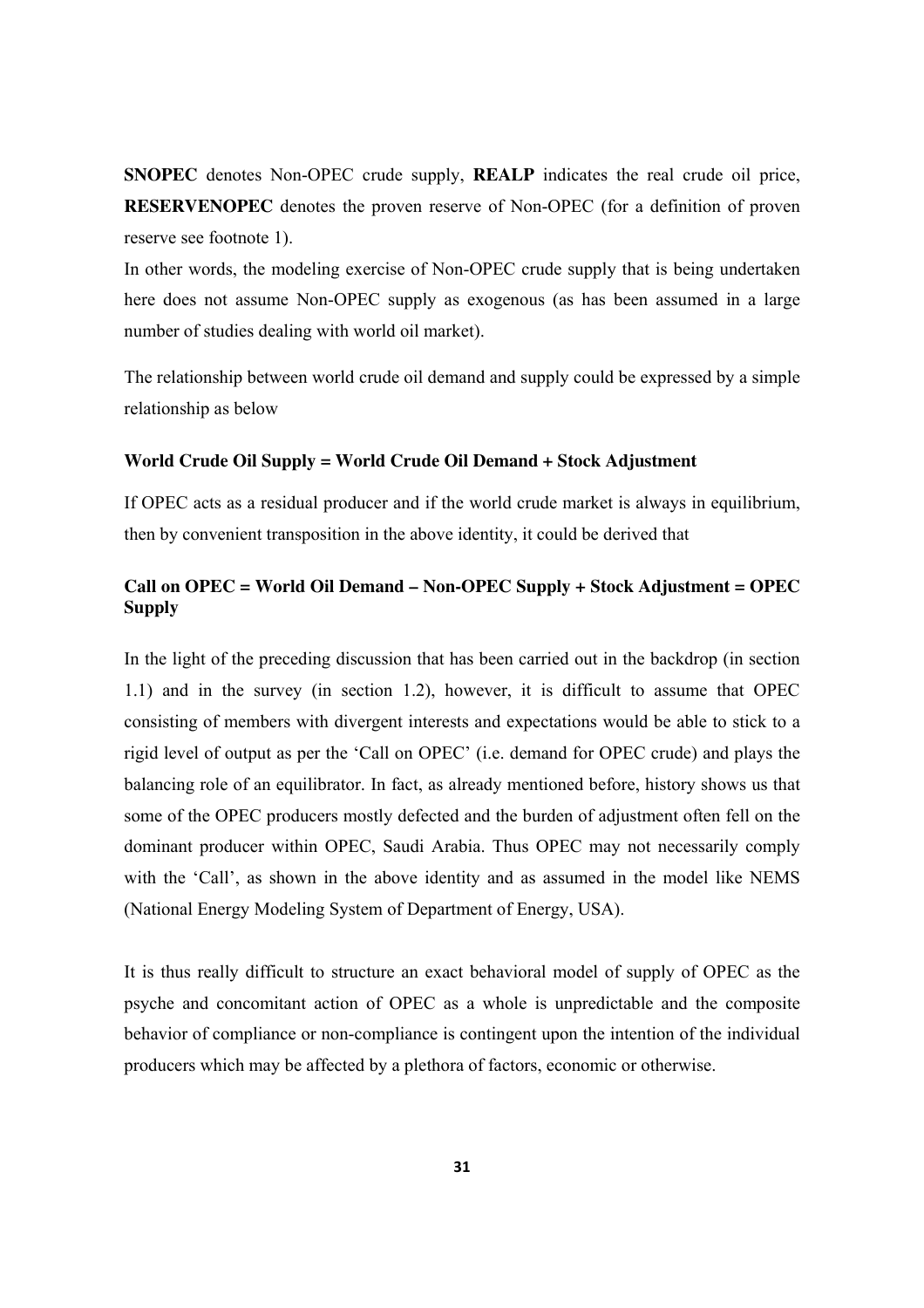**SNOPEC** denotes Non-OPEC crude supply, **REALP** indicates the real crude oil price, **RESERVENOPEC** denotes the proven reserve of Non-OPEC (for a definition of proven reserve see footnote 1).

In other words, the modeling exercise of Non-OPEC crude supply that is being undertaken here does not assume Non-OPEC supply as exogenous (as has been assumed in a large number of studies dealing with world oil market).

The relationship between world crude oil demand and supply could be expressed by a simple relationship as below

#### **World Crude Oil Supply = World Crude Oil Demand + Stock Adjustment**

If OPEC acts as a residual producer and if the world crude market is always in equilibrium, then by convenient transposition in the above identity, it could be derived that

### **Call on OPEC = World Oil Demand – Non-OPEC Supply + Stock Adjustment = OPEC Supply**

In the light of the preceding discussion that has been carried out in the backdrop (in section 1.1) and in the survey (in section 1.2), however, it is difficult to assume that OPEC consisting of members with divergent interests and expectations would be able to stick to a rigid level of output as per the 'Call on OPEC' (i.e. demand for OPEC crude) and plays the balancing role of an equilibrator. In fact, as already mentioned before, history shows us that some of the OPEC producers mostly defected and the burden of adjustment often fell on the dominant producer within OPEC, Saudi Arabia. Thus OPEC may not necessarily comply with the 'Call', as shown in the above identity and as assumed in the model like NEMS (National Energy Modeling System of Department of Energy, USA).

It is thus really difficult to structure an exact behavioral model of supply of OPEC as the psyche and concomitant action of OPEC as a whole is unpredictable and the composite behavior of compliance or non-compliance is contingent upon the intention of the individual producers which may be affected by a plethora of factors, economic or otherwise.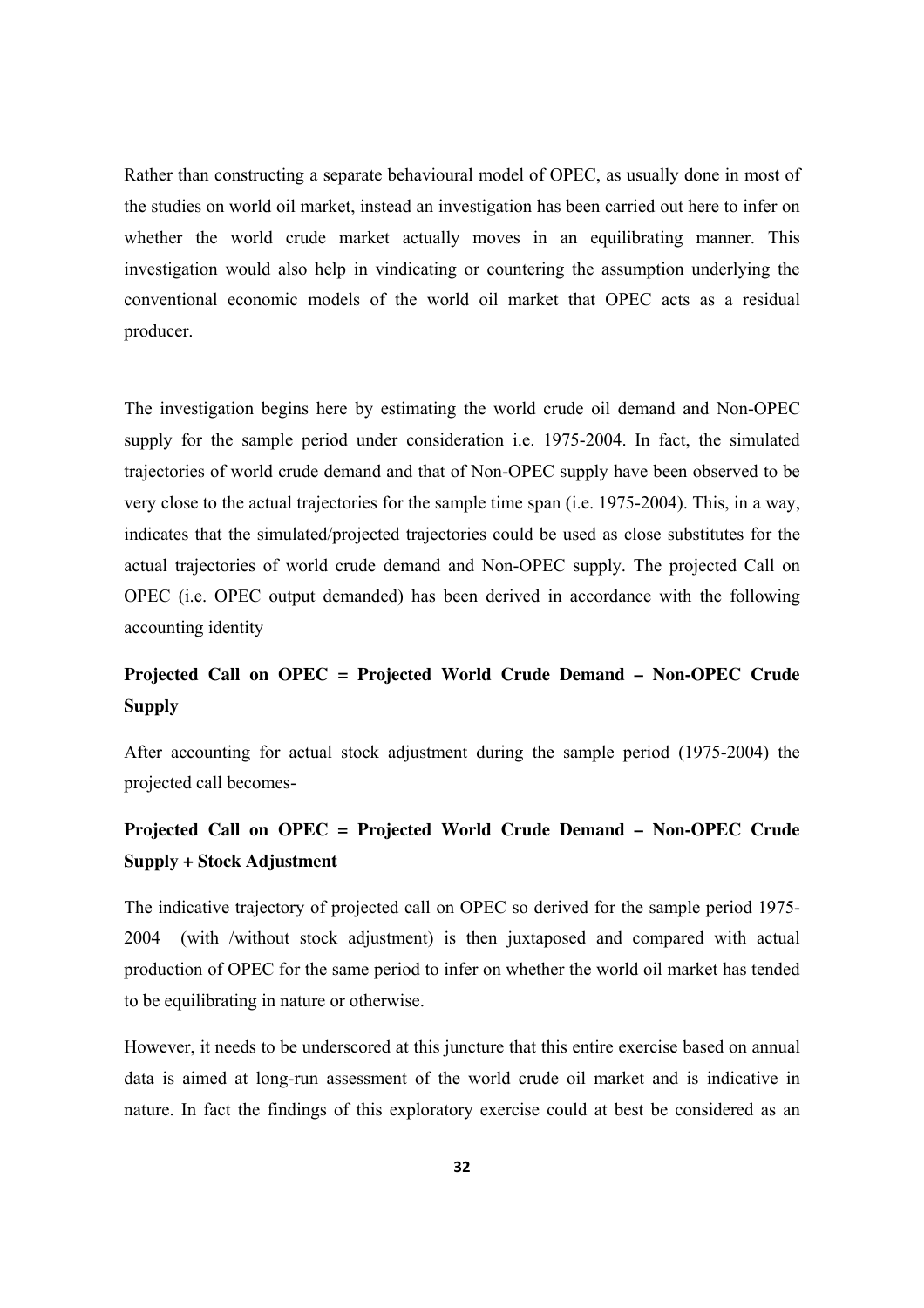Rather than constructing a separate behavioural model of OPEC, as usually done in most of the studies on world oil market, instead an investigation has been carried out here to infer on whether the world crude market actually moves in an equilibrating manner. This investigation would also help in vindicating or countering the assumption underlying the conventional economic models of the world oil market that OPEC acts as a residual producer.

The investigation begins here by estimating the world crude oil demand and Non-OPEC supply for the sample period under consideration i.e. 1975-2004. In fact, the simulated trajectories of world crude demand and that of Non-OPEC supply have been observed to be very close to the actual trajectories for the sample time span (i.e. 1975-2004). This, in a way, indicates that the simulated/projected trajectories could be used as close substitutes for the actual trajectories of world crude demand and Non-OPEC supply. The projected Call on OPEC (i.e. OPEC output demanded) has been derived in accordance with the following accounting identity

## **Projected Call on OPEC = Projected World Crude Demand – Non-OPEC Crude Supply**

After accounting for actual stock adjustment during the sample period (1975-2004) the projected call becomes-

## **Projected Call on OPEC = Projected World Crude Demand – Non-OPEC Crude Supply + Stock Adjustment**

The indicative trajectory of projected call on OPEC so derived for the sample period 1975- 2004 (with /without stock adjustment) is then juxtaposed and compared with actual production of OPEC for the same period to infer on whether the world oil market has tended to be equilibrating in nature or otherwise.

However, it needs to be underscored at this juncture that this entire exercise based on annual data is aimed at long-run assessment of the world crude oil market and is indicative in nature. In fact the findings of this exploratory exercise could at best be considered as an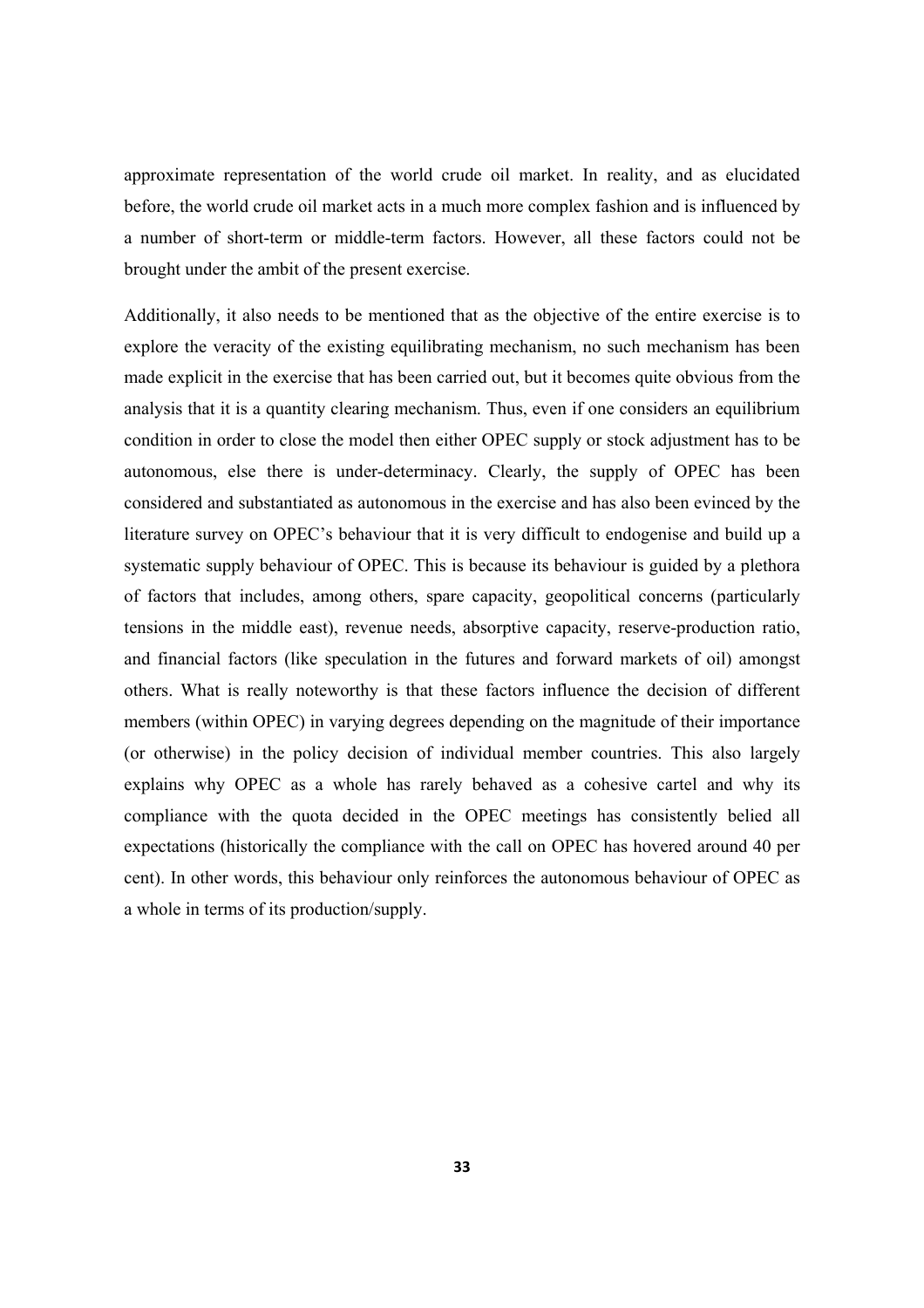approximate representation of the world crude oil market. In reality, and as elucidated before, the world crude oil market acts in a much more complex fashion and is influenced by a number of short-term or middle-term factors. However, all these factors could not be brought under the ambit of the present exercise.

Additionally, it also needs to be mentioned that as the objective of the entire exercise is to explore the veracity of the existing equilibrating mechanism, no such mechanism has been made explicit in the exercise that has been carried out, but it becomes quite obvious from the analysis that it is a quantity clearing mechanism. Thus, even if one considers an equilibrium condition in order to close the model then either OPEC supply or stock adjustment has to be autonomous, else there is under-determinacy. Clearly, the supply of OPEC has been considered and substantiated as autonomous in the exercise and has also been evinced by the literature survey on OPEC's behaviour that it is very difficult to endogenise and build up a systematic supply behaviour of OPEC. This is because its behaviour is guided by a plethora of factors that includes, among others, spare capacity, geopolitical concerns (particularly tensions in the middle east), revenue needs, absorptive capacity, reserve-production ratio, and financial factors (like speculation in the futures and forward markets of oil) amongst others. What is really noteworthy is that these factors influence the decision of different members (within OPEC) in varying degrees depending on the magnitude of their importance (or otherwise) in the policy decision of individual member countries. This also largely explains why OPEC as a whole has rarely behaved as a cohesive cartel and why its compliance with the quota decided in the OPEC meetings has consistently belied all expectations (historically the compliance with the call on OPEC has hovered around 40 per cent). In other words, this behaviour only reinforces the autonomous behaviour of OPEC as a whole in terms of its production/supply.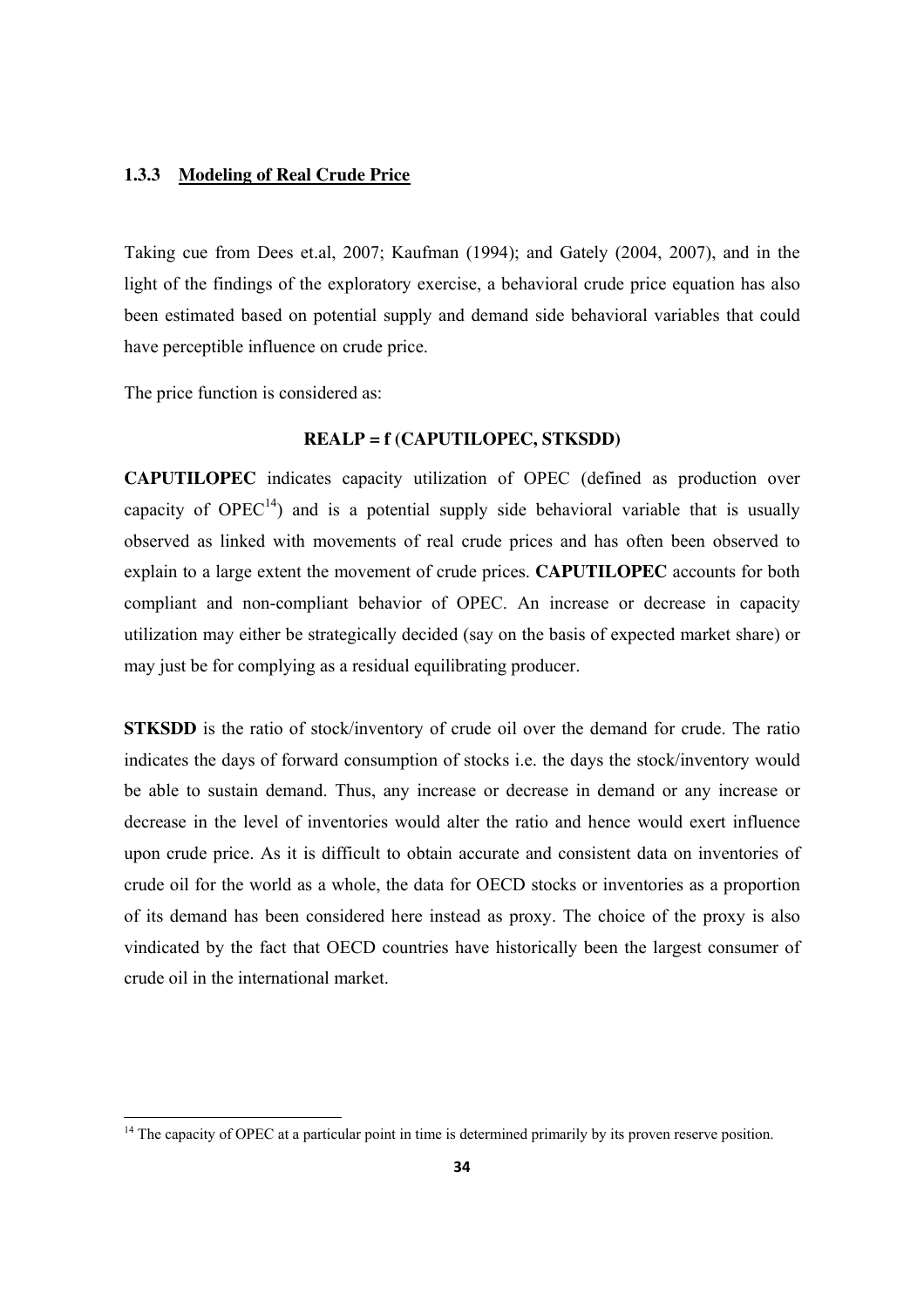#### **1.3.3 Modeling of Real Crude Price**

Taking cue from Dees et.al, 2007; Kaufman (1994); and Gately (2004, 2007), and in the light of the findings of the exploratory exercise, a behavioral crude price equation has also been estimated based on potential supply and demand side behavioral variables that could have perceptible influence on crude price.

The price function is considered as:

#### **REALP = f (CAPUTILOPEC, STKSDD)**

**CAPUTILOPEC** indicates capacity utilization of OPEC (defined as production over capacity of  $OPEC^{14}$ ) and is a potential supply side behavioral variable that is usually observed as linked with movements of real crude prices and has often been observed to explain to a large extent the movement of crude prices. **CAPUTILOPEC** accounts for both compliant and non-compliant behavior of OPEC. An increase or decrease in capacity utilization may either be strategically decided (say on the basis of expected market share) or may just be for complying as a residual equilibrating producer.

**STKSDD** is the ratio of stock/inventory of crude oil over the demand for crude. The ratio indicates the days of forward consumption of stocks i.e. the days the stock/inventory would be able to sustain demand. Thus, any increase or decrease in demand or any increase or decrease in the level of inventories would alter the ratio and hence would exert influence upon crude price. As it is difficult to obtain accurate and consistent data on inventories of crude oil for the world as a whole, the data for OECD stocks or inventories as a proportion of its demand has been considered here instead as proxy. The choice of the proxy is also vindicated by the fact that OECD countries have historically been the largest consumer of crude oil in the international market.

 $14$  The capacity of OPEC at a particular point in time is determined primarily by its proven reserve position.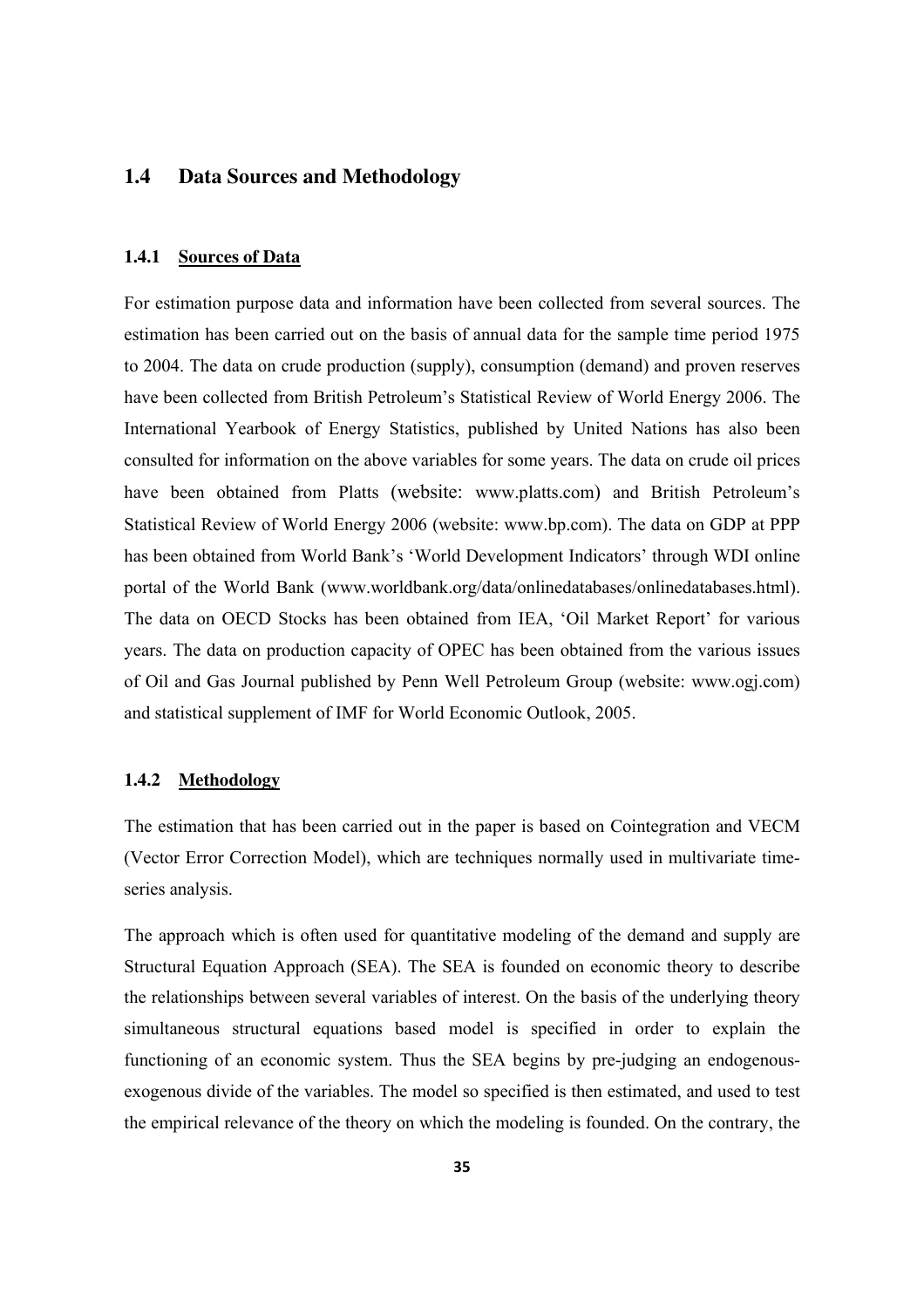#### **1.4 Data Sources and Methodology**

#### **1.4.1 Sources of Data**

For estimation purpose data and information have been collected from several sources. The estimation has been carried out on the basis of annual data for the sample time period 1975 to 2004. The data on crude production (supply), consumption (demand) and proven reserves have been collected from British Petroleum's Statistical Review of World Energy 2006. The International Yearbook of Energy Statistics, published by United Nations has also been consulted for information on the above variables for some years. The data on crude oil prices have been obtained from Platts (website: www.platts.com) and British Petroleum's Statistical Review of World Energy 2006 (website: www.bp.com). The data on GDP at PPP has been obtained from World Bank's 'World Development Indicators' through WDI online portal of the World Bank (www.worldbank.org/data/onlinedatabases/onlinedatabases.html). The data on OECD Stocks has been obtained from IEA, 'Oil Market Report' for various years. The data on production capacity of OPEC has been obtained from the various issues of Oil and Gas Journal published by Penn Well Petroleum Group (website: www.ogj.com) and statistical supplement of IMF for World Economic Outlook, 2005.

#### **1.4.2 Methodology**

The estimation that has been carried out in the paper is based on Cointegration and VECM (Vector Error Correction Model), which are techniques normally used in multivariate timeseries analysis.

The approach which is often used for quantitative modeling of the demand and supply are Structural Equation Approach (SEA). The SEA is founded on economic theory to describe the relationships between several variables of interest. On the basis of the underlying theory simultaneous structural equations based model is specified in order to explain the functioning of an economic system. Thus the SEA begins by pre-judging an endogenousexogenous divide of the variables. The model so specified is then estimated, and used to test the empirical relevance of the theory on which the modeling is founded. On the contrary, the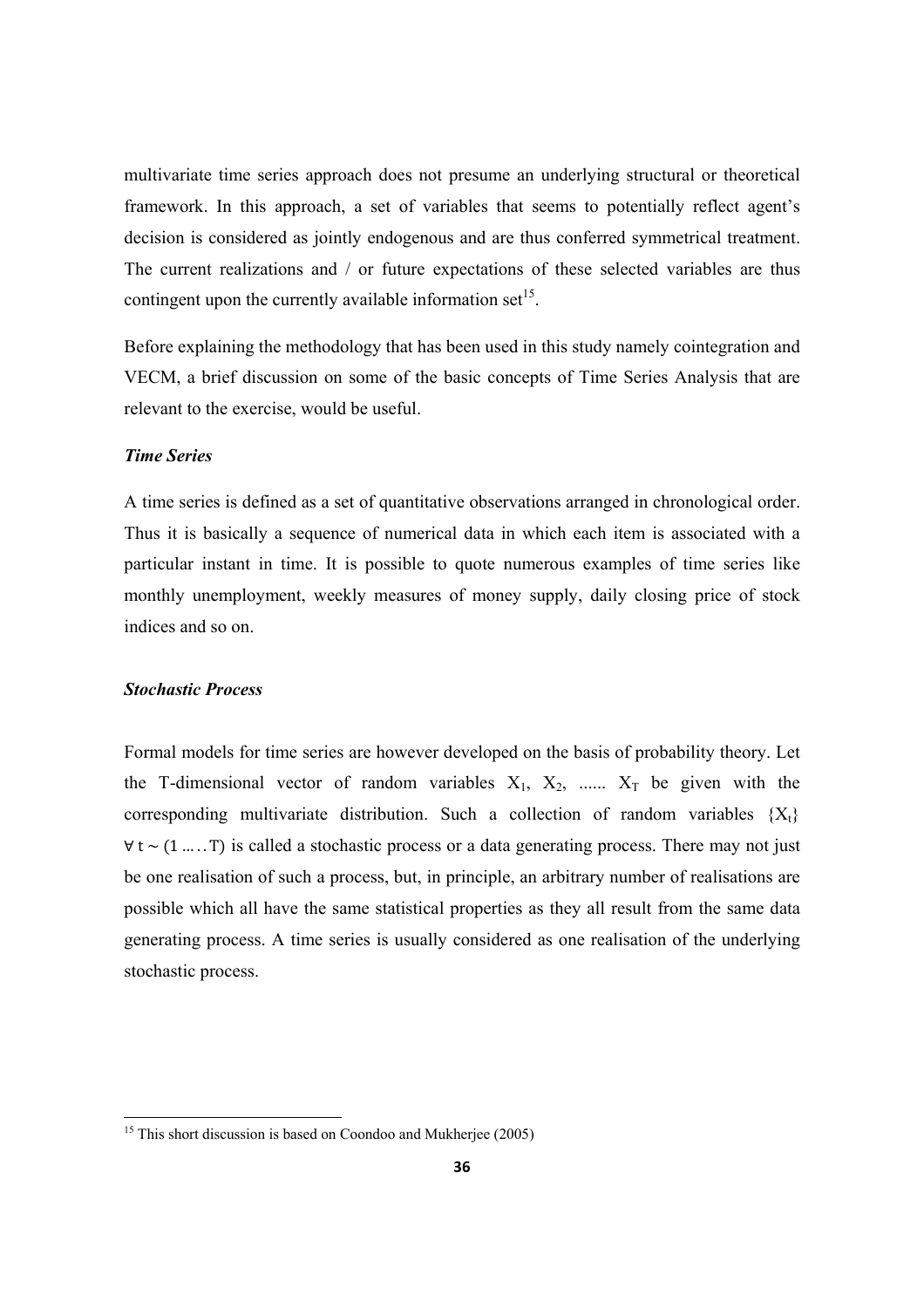multivariate time series approach does not presume an underlying structural or theoretical framework. In this approach, a set of variables that seems to potentially reflect agent's decision is considered as jointly endogenous and are thus conferred symmetrical treatment. The current realizations and / or future expectations of these selected variables are thus contingent upon the currently available information set<sup>15</sup>.

Before explaining the methodology that has been used in this study namely cointegration and VECM, a brief discussion on some of the basic concepts of Time Series Analysis that are relevant to the exercise, would be useful.

#### *Time Series*

A time series is defined as a set of quantitative observations arranged in chronological order. Thus it is basically a sequence of numerical data in which each item is associated with a particular instant in time. It is possible to quote numerous examples of time series like monthly unemployment, weekly measures of money supply, daily closing price of stock indices and so on.

#### *Stochastic Process*

Formal models for time series are however developed on the basis of probability theory. Let the T-dimensional vector of random variables  $X_1, X_2, \ldots, X_T$  be given with the corresponding multivariate distribution. Such a collection of random variables  ${X_t}$  $\forall t$  ~ (1 ..... T) is called a stochastic process or a data generating process. There may not just be one realisation of such a process, but, in principle, an arbitrary number of realisations are possible which all have the same statistical properties as they all result from the same data generating process. A time series is usually considered as one realisation of the underlying stochastic process.

 $15$  This short discussion is based on Coondoo and Mukherjee (2005)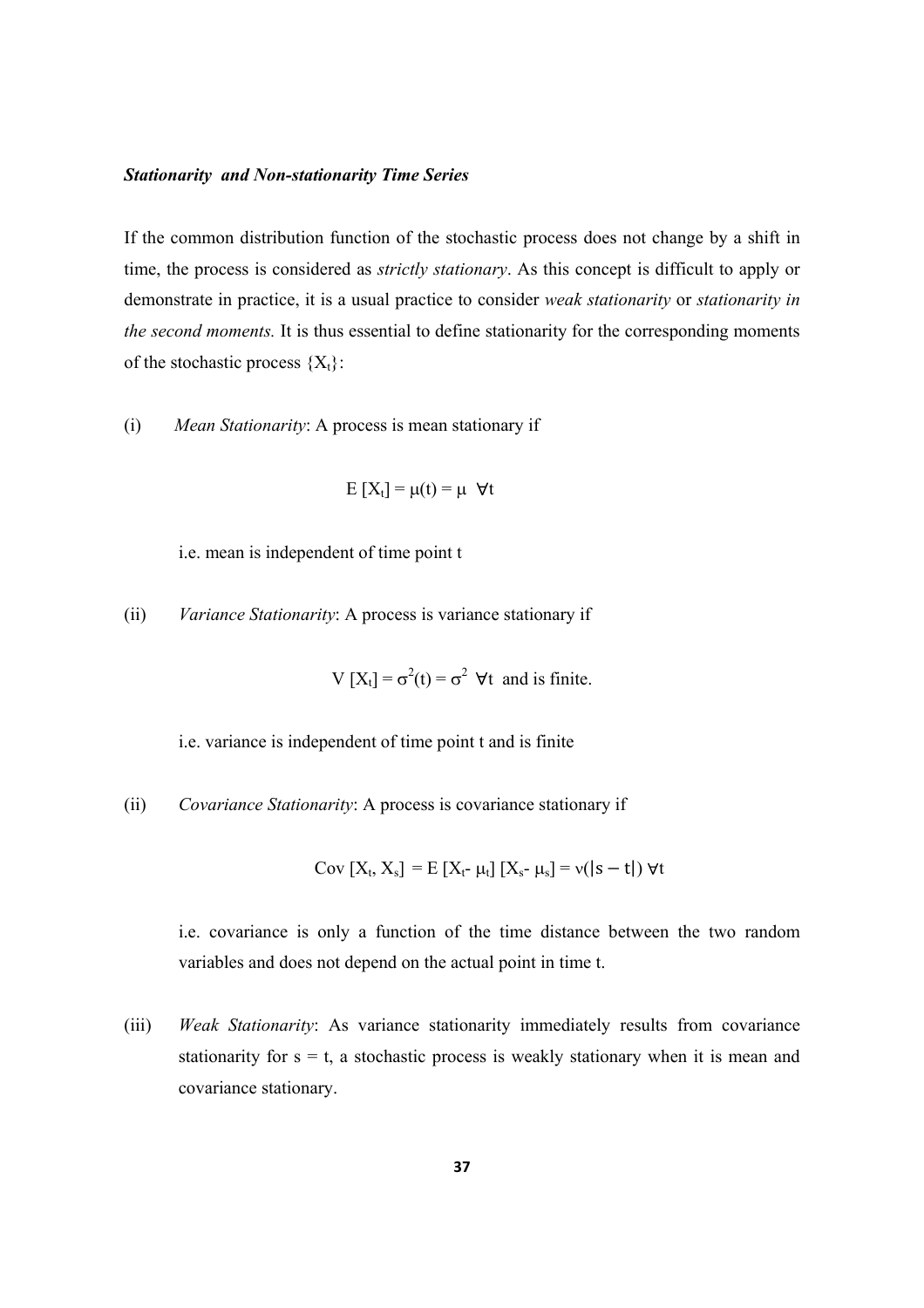#### *Stationarity and Non-stationarity Time Series*

If the common distribution function of the stochastic process does not change by a shift in time, the process is considered as *strictly stationary*. As this concept is difficult to apply or demonstrate in practice, it is a usual practice to consider *weak stationarity* or *stationarity in the second moments.* It is thus essential to define stationarity for the corresponding moments of the stochastic process  ${X_t}$ :

(i) *Mean Stationarity*: A process is mean stationary if

$$
E[X_t] = \mu(t) = \mu \ \forall t
$$

i.e. mean is independent of time point t

(ii) *Variance Stationarity*: A process is variance stationary if

 $V [X_t] = \sigma^2(t) = \sigma^2 \ \forall t$  and is finite.

i.e. variance is independent of time point t and is finite

(ii) *Covariance Stationarity*: A process is covariance stationary if

Cov  $[X_t, X_s] = E [X_t - \mu_t] [X_s - \mu_s] = v(|s - t|) \forall t$ 

i.e. covariance is only a function of the time distance between the two random variables and does not depend on the actual point in time t.

(iii) *Weak Stationarity*: As variance stationarity immediately results from covariance stationarity for  $s = t$ , a stochastic process is weakly stationary when it is mean and covariance stationary.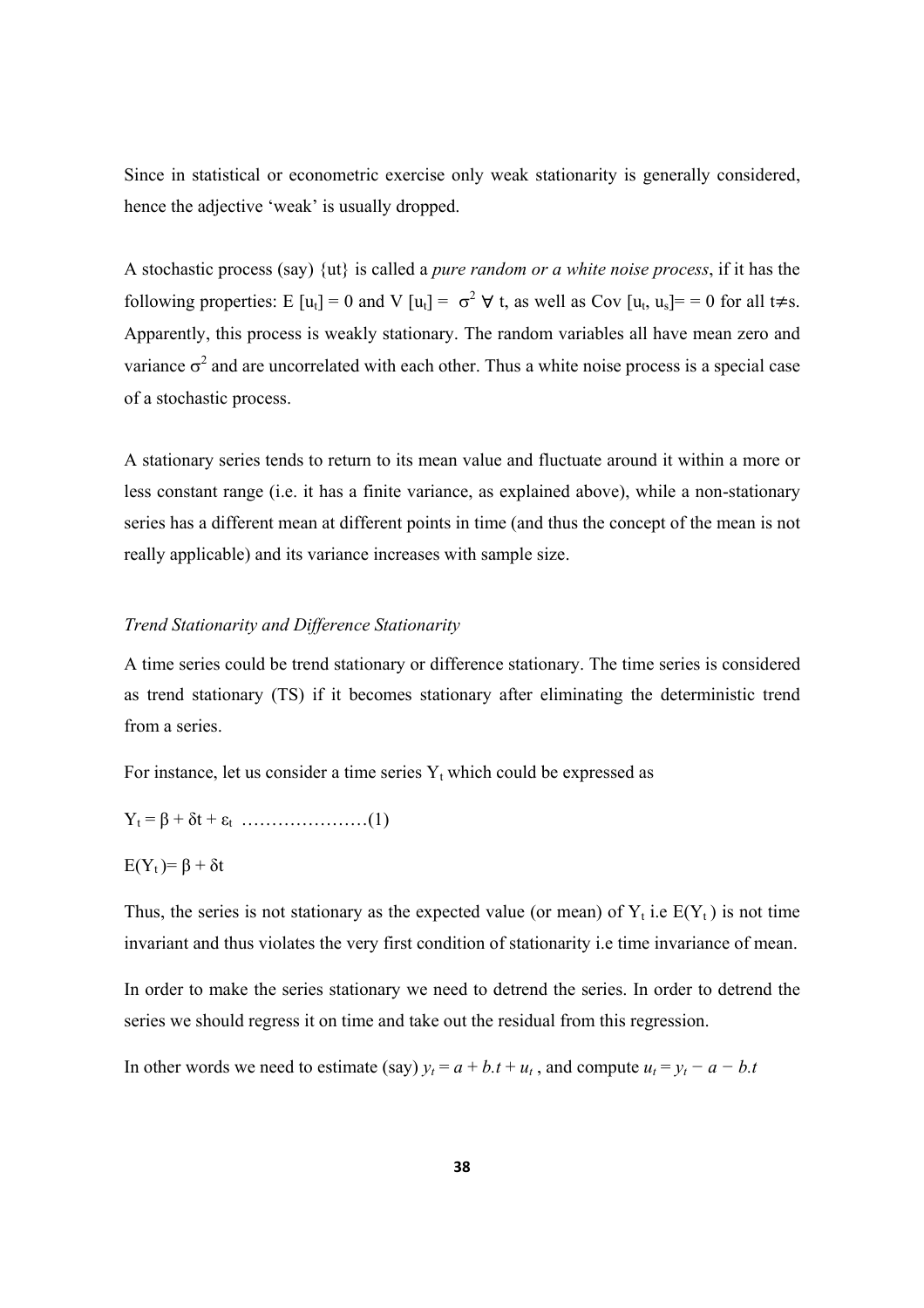Since in statistical or econometric exercise only weak stationarity is generally considered, hence the adjective 'weak' is usually dropped.

A stochastic process (say) {ut} is called a *pure random or a white noise process*, if it has the following properties: E [u<sub>t</sub>] = 0 and V [u<sub>t</sub>] =  $\sigma^2 \forall$  t, as well as Cov [u<sub>t</sub>, u<sub>s</sub>] = = 0 for all t $\neq$ s. Apparently, this process is weakly stationary. The random variables all have mean zero and variance  $\sigma^2$  and are uncorrelated with each other. Thus a white noise process is a special case of a stochastic process.

A stationary series tends to return to its mean value and fluctuate around it within a more or less constant range (i.e. it has a finite variance, as explained above), while a non-stationary series has a different mean at different points in time (and thus the concept of the mean is not really applicable) and its variance increases with sample size.

#### *Trend Stationarity and Difference Stationarity*

A time series could be trend stationary or difference stationary. The time series is considered as trend stationary (TS) if it becomes stationary after eliminating the deterministic trend from a series.

For instance, let us consider a time series  $Y_t$  which could be expressed as

Yt = β + δt + εt …………………(1)

 $E(Y_t)=\beta + \delta t$ 

Thus, the series is not stationary as the expected value (or mean) of  $Y_t$  i.e  $E(Y_t)$  is not time invariant and thus violates the very first condition of stationarity i.e time invariance of mean.

In order to make the series stationary we need to detrend the series. In order to detrend the series we should regress it on time and take out the residual from this regression.

In other words we need to estimate (say)  $y_t = a + b \cdot t + u_t$ , and compute  $u_t = y_t - a - b \cdot t$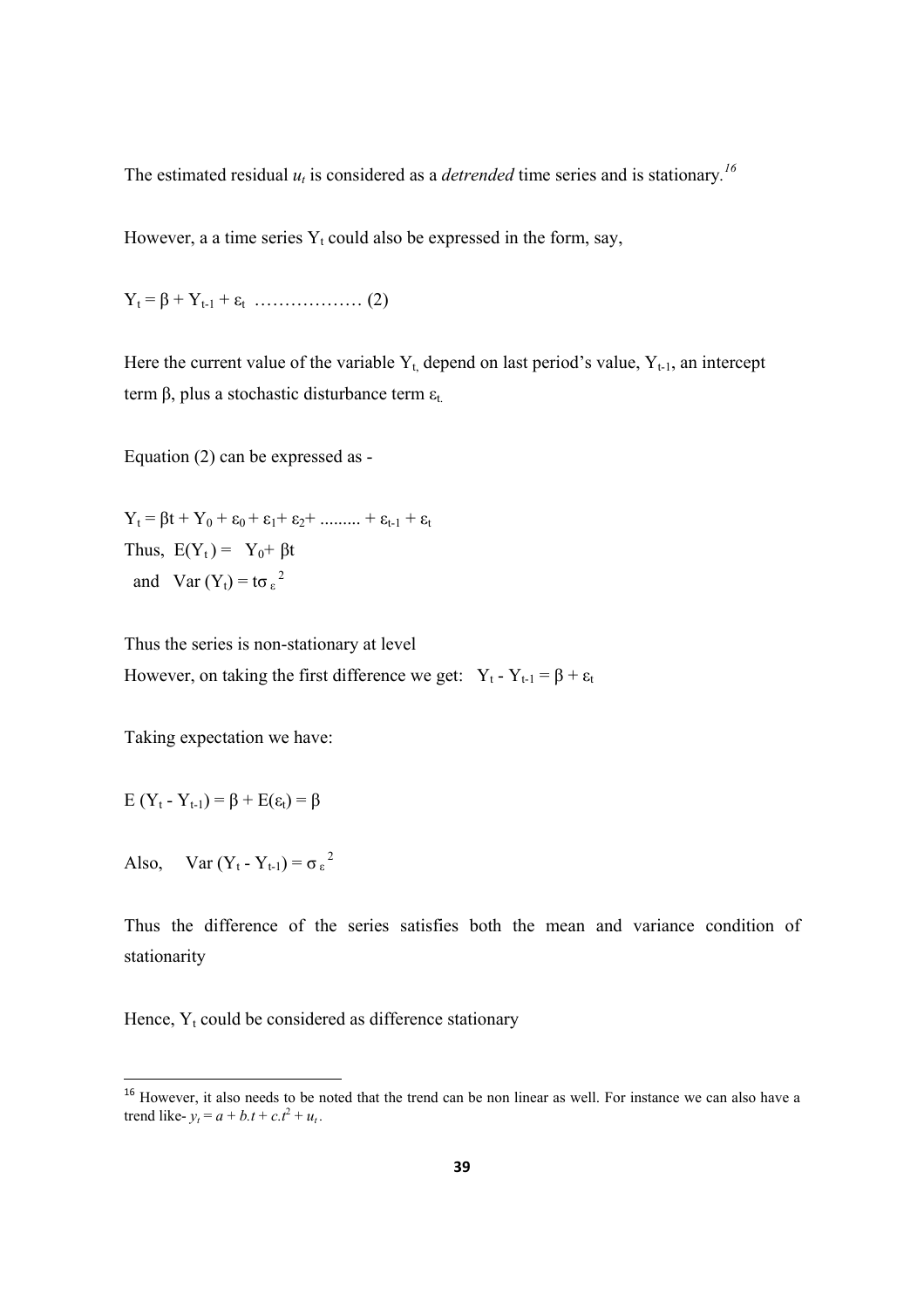The estimated residual  $u_t$  is considered as a *detrended* time series and is stationary.<sup>16</sup>

However, a a time series  $Y_t$  could also be expressed in the form, say,

Yt = β + Yt-1 + εt ……………… (2)

Here the current value of the variable  $Y_t$ , depend on last period's value,  $Y_{t-1}$ , an intercept term β, plus a stochastic disturbance term  $ε_t$ .

Equation (2) can be expressed as -

 $Y_t = \beta t + Y_0 + \varepsilon_0 + \varepsilon_1 + \varepsilon_2 + \dots + \varepsilon_{t-1} + \varepsilon_t$ Thus,  $E(Y_t) = Y_0 + \beta t$ and Var  $(Y_t) = t \sigma_{\epsilon}^2$ 

Thus the series is non-stationary at level However, on taking the first difference we get:  $Y_t - Y_{t-1} = \beta + \varepsilon_t$ 

Taking expectation we have:

$$
E(Y_t - Y_{t-1}) = \beta + E(\epsilon_t) = \beta
$$

Also, Var  $(Y_t - Y_{t-1}) = \sigma_{\epsilon}^2$ 

Thus the difference of the series satisfies both the mean and variance condition of stationarity

Hence,  $Y_t$  could be considered as difference stationary

<sup>&</sup>lt;sup>16</sup> However, it also needs to be noted that the trend can be non linear as well. For instance we can also have a trend like-  $y_t = a + b \cdot t + c \cdot t^2 + u_t$ .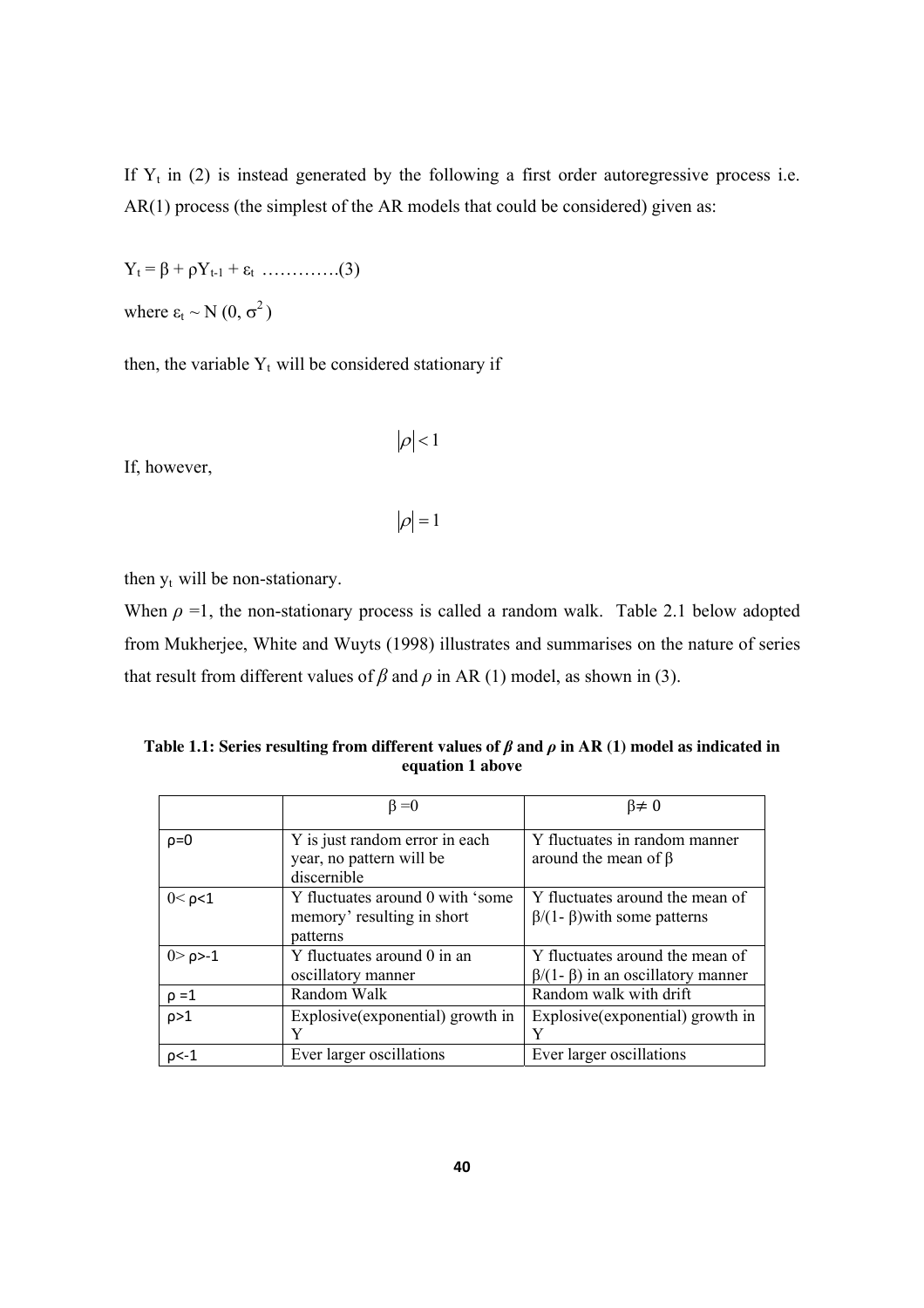If  $Y_t$  in (2) is instead generated by the following a first order autoregressive process i.e. AR(1) process (the simplest of the AR models that could be considered) given as:

$$
Y_t = \beta + \rho Y_{t-1} + \varepsilon_t \dots \dots \dots \dots (3)
$$

where  $\varepsilon_t \sim N(0, \sigma^2)$ 

then, the variable  $Y_t$  will be considered stationary if

If, however,

$$
\left\vert \rho\right\vert <1
$$

$$
|\rho|=1
$$

then  $y_t$  will be non-stationary.

When  $\rho = 1$ , the non-stationary process is called a random walk. Table 2.1 below adopted from Mukherjee, White and Wuyts (1998) illustrates and summarises on the nature of series that result from different values of  $\beta$  and  $\rho$  in AR (1) model, as shown in (3).

**Table 1.1: Series resulting from different values of** *β* **and** *ρ* **in AR (1) model as indicated in equation 1 above** 

|                 | $\beta = 0$                                                                | $\beta \neq 0$                                                                     |
|-----------------|----------------------------------------------------------------------------|------------------------------------------------------------------------------------|
| $\rho = 0$      | Y is just random error in each<br>year, no pattern will be<br>discernible  | Y fluctuates in random manner<br>around the mean of $\beta$                        |
| $0<\rho<1$      | Y fluctuates around 0 with 'some<br>memory' resulting in short<br>patterns | Y fluctuates around the mean of<br>$\beta$ /(1- $\beta$ ) with some patterns       |
| $0 > \rho > -1$ | Y fluctuates around 0 in an<br>oscillatory manner                          | Y fluctuates around the mean of<br>$\beta$ /(1- $\beta$ ) in an oscillatory manner |
| $\rho = 1$      | Random Walk                                                                | Random walk with drift                                                             |
| $\rho > 1$      | Explosive (exponential) growth in                                          | Explosive (exponential) growth in                                                  |
| $p< -1$         | Ever larger oscillations                                                   | Ever larger oscillations                                                           |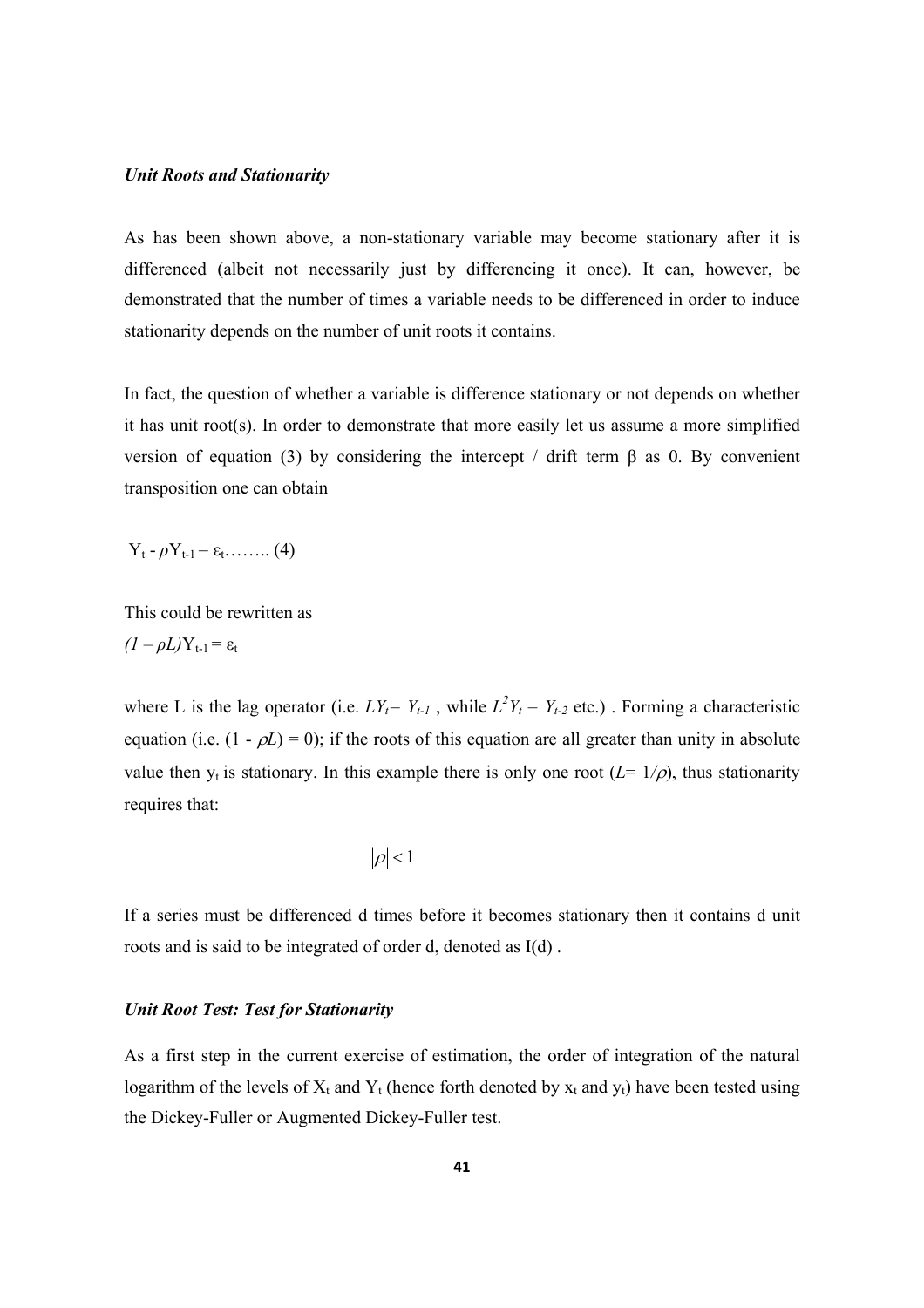#### *Unit Roots and Stationarity*

As has been shown above, a non-stationary variable may become stationary after it is differenced (albeit not necessarily just by differencing it once). It can, however, be demonstrated that the number of times a variable needs to be differenced in order to induce stationarity depends on the number of unit roots it contains.

In fact, the question of whether a variable is difference stationary or not depends on whether it has unit root(s). In order to demonstrate that more easily let us assume a more simplified version of equation (3) by considering the intercept / drift term β as 0. By convenient transposition one can obtain

 $Y_t - \rho Y_{t-1} = \varepsilon_t$ …….. (4)

This could be rewritten as  $(I - \rho L)Y_{t-1} = \varepsilon_t$ 

where L is the lag operator (i.e.  $LY_t = Y_{t-1}$ , while  $L^2Y_t = Y_{t-2}$  etc.). Forming a characteristic equation (i.e.  $(1 - \rho L) = 0$ ); if the roots of this equation are all greater than unity in absolute value then  $y_t$  is stationary. In this example there is only one root  $(L = 1/\rho)$ , thus stationarity requires that:

$$
\left\vert \rho\right\vert <1
$$

If a series must be differenced d times before it becomes stationary then it contains d unit roots and is said to be integrated of order d, denoted as I(d) .

#### *Unit Root Test: Test for Stationarity*

As a first step in the current exercise of estimation, the order of integration of the natural logarithm of the levels of  $X_t$  and  $Y_t$  (hence forth denoted by  $x_t$  and  $y_t$ ) have been tested using the Dickey-Fuller or Augmented Dickey-Fuller test.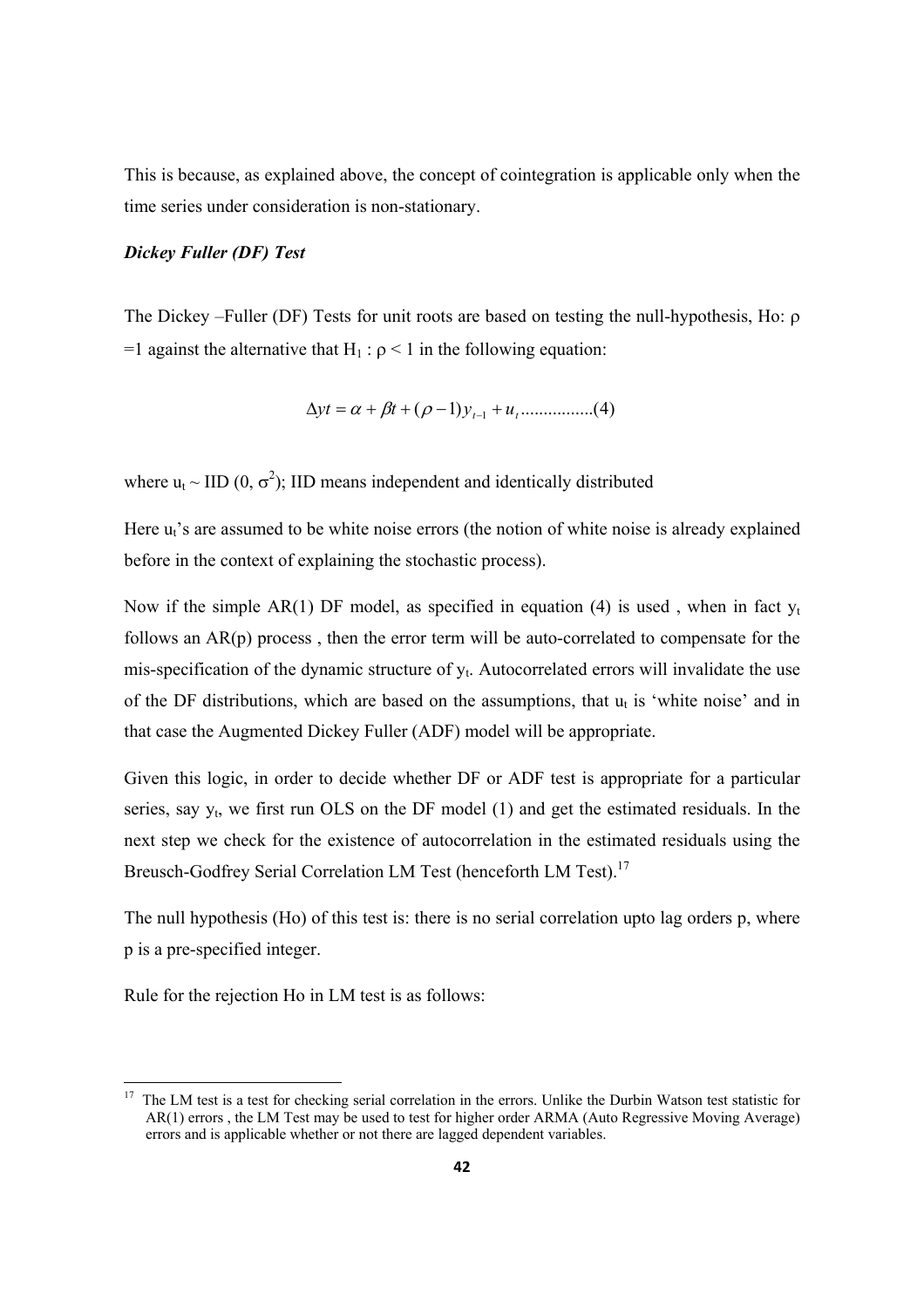This is because, as explained above, the concept of cointegration is applicable only when the time series under consideration is non-stationary.

#### *Dickey Fuller (DF) Test*

The Dickey –Fuller (DF) Tests for unit roots are based on testing the null-hypothesis, Ho: ρ =1 against the alternative that  $H_1$ :  $\rho$  < 1 in the following equation:

$$
\Delta yt = \alpha + \beta t + (\rho - 1)y_{t-1} + u_t \dots \dots \dots \dots (4)
$$

where  $u_t \sim \text{IID}(0, \sigma^2)$ ; IID means independent and identically distributed

Here  $u_t$ 's are assumed to be white noise errors (the notion of white noise is already explained before in the context of explaining the stochastic process).

Now if the simple AR(1) DF model, as specified in equation (4) is used, when in fact  $v_t$ follows an AR(p) process , then the error term will be auto-correlated to compensate for the mis-specification of the dynamic structure of  $y_t$ . Autocorrelated errors will invalidate the use of the DF distributions, which are based on the assumptions, that  $u_t$  is 'white noise' and in that case the Augmented Dickey Fuller (ADF) model will be appropriate.

Given this logic, in order to decide whether DF or ADF test is appropriate for a particular series, say  $y_t$ , we first run OLS on the DF model (1) and get the estimated residuals. In the next step we check for the existence of autocorrelation in the estimated residuals using the Breusch-Godfrey Serial Correlation LM Test (henceforth LM Test).<sup>17</sup>

The null hypothesis (Ho) of this test is: there is no serial correlation upto lag orders p, where p is a pre-specified integer.

Rule for the rejection Ho in LM test is as follows:

<sup>&</sup>lt;sup>17</sup> The LM test is a test for checking serial correlation in the errors. Unlike the Durbin Watson test statistic for AR(1) errors , the LM Test may be used to test for higher order ARMA (Auto Regressive Moving Average) errors and is applicable whether or not there are lagged dependent variables.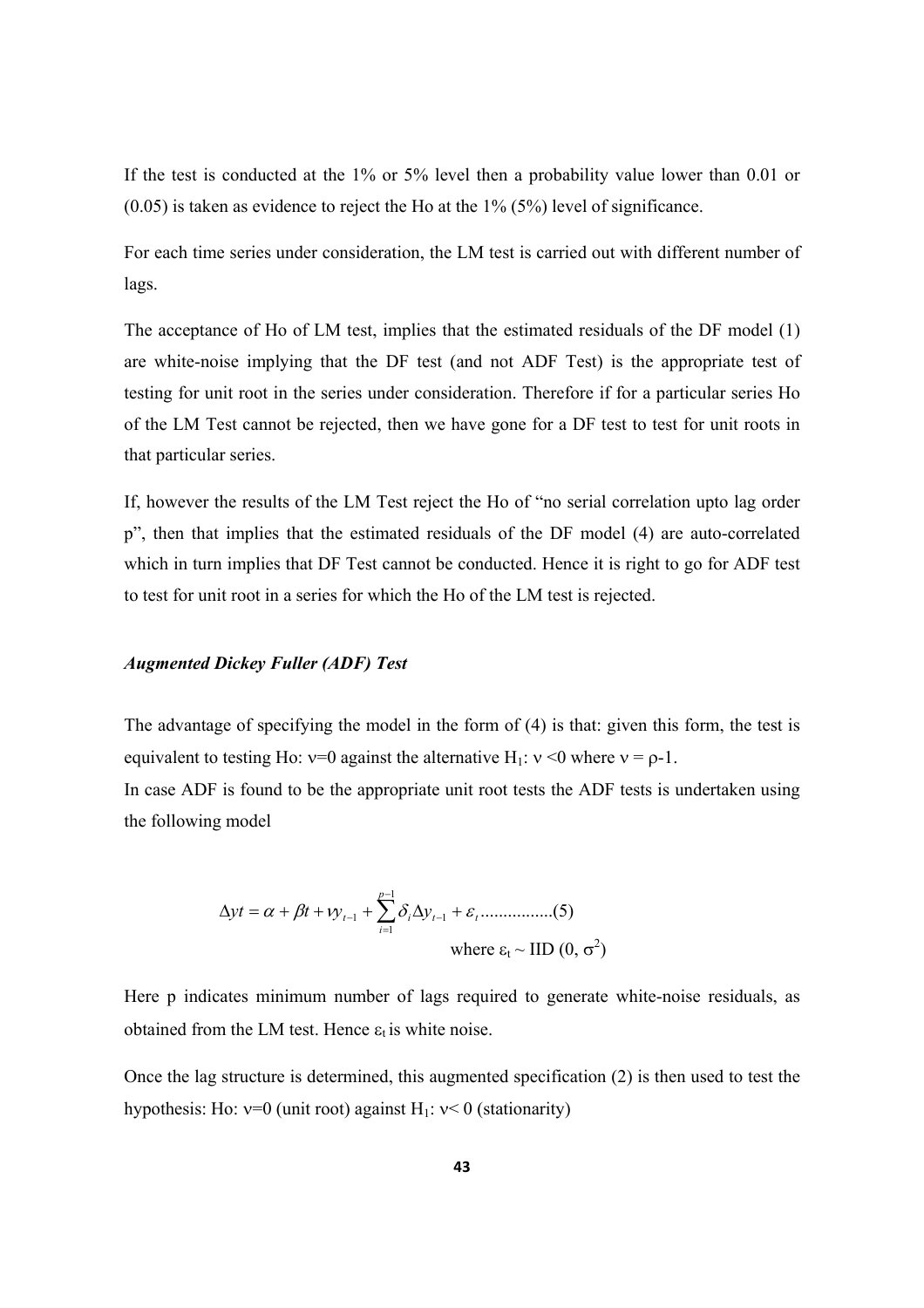If the test is conducted at the 1% or 5% level then a probability value lower than 0.01 or (0.05) is taken as evidence to reject the Ho at the 1% (5%) level of significance.

For each time series under consideration, the LM test is carried out with different number of lags.

The acceptance of Ho of LM test, implies that the estimated residuals of the DF model (1) are white-noise implying that the DF test (and not ADF Test) is the appropriate test of testing for unit root in the series under consideration. Therefore if for a particular series Ho of the LM Test cannot be rejected, then we have gone for a DF test to test for unit roots in that particular series.

If, however the results of the LM Test reject the Ho of "no serial correlation upto lag order p", then that implies that the estimated residuals of the DF model (4) are auto-correlated which in turn implies that DF Test cannot be conducted. Hence it is right to go for ADF test to test for unit root in a series for which the Ho of the LM test is rejected.

### *Augmented Dickey Fuller (ADF) Test*

The advantage of specifying the model in the form of (4) is that: given this form, the test is equivalent to testing Ho:  $v=0$  against the alternative H<sub>1</sub>:  $v < 0$  where  $v = \rho - 1$ .

In case ADF is found to be the appropriate unit root tests the ADF tests is undertaken using the following model

$$
\Delta yt = \alpha + \beta t + vy_{t-1} + \sum_{i=1}^{p-1} \delta_i \Delta y_{t-1} + \varepsilon_t \dots \dots \dots \dots \dots (5)
$$
  
where  $\varepsilon_t \sim \text{IID } (0, \sigma^2)$ 

Here p indicates minimum number of lags required to generate white-noise residuals, as obtained from the LM test. Hence  $\varepsilon_t$  is white noise.

Once the lag structure is determined, this augmented specification (2) is then used to test the hypothesis: Ho:  $v=0$  (unit root) against H<sub>1</sub>:  $v<0$  (stationarity)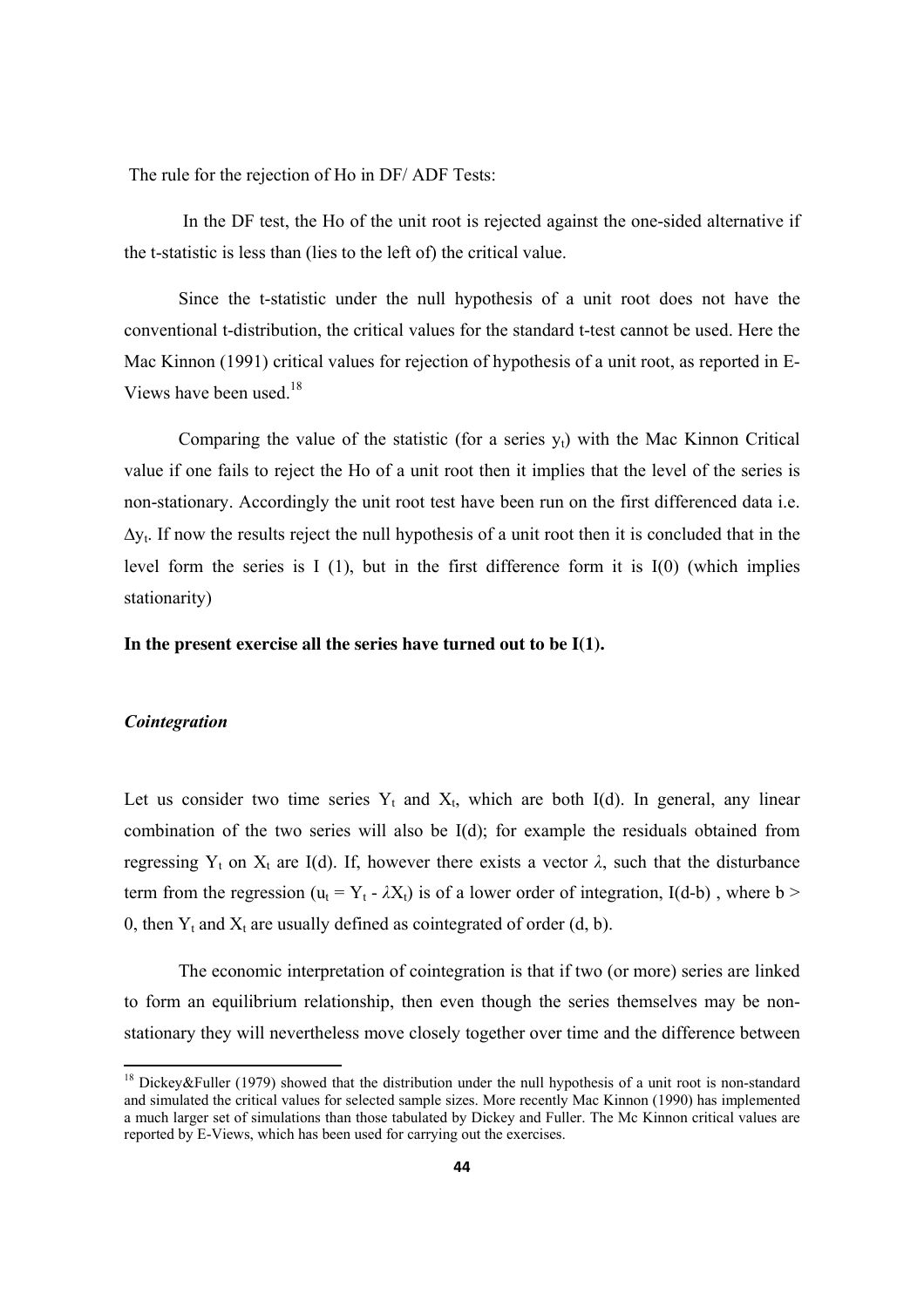The rule for the rejection of Ho in DF/ ADF Tests:

 In the DF test, the Ho of the unit root is rejected against the one-sided alternative if the t-statistic is less than (lies to the left of) the critical value.

 Since the t-statistic under the null hypothesis of a unit root does not have the conventional t-distribution, the critical values for the standard t-test cannot be used. Here the Mac Kinnon (1991) critical values for rejection of hypothesis of a unit root, as reported in E-Views have been used.<sup>18</sup>

Comparing the value of the statistic (for a series  $y_t$ ) with the Mac Kinnon Critical value if one fails to reject the Ho of a unit root then it implies that the level of the series is non-stationary. Accordingly the unit root test have been run on the first differenced data i.e.  $\Delta y_t$ . If now the results reject the null hypothesis of a unit root then it is concluded that in the level form the series is I (1), but in the first difference form it is I(0) (which implies stationarity)

**In the present exercise all the series have turned out to be I(1).** 

### *Cointegration*

Let us consider two time series  $Y_t$  and  $X_t$ , which are both I(d). In general, any linear combination of the two series will also be I(d); for example the residuals obtained from regressing Y<sub>t</sub> on X<sub>t</sub> are I(d). If, however there exists a vector  $\lambda$ , such that the disturbance term from the regression ( $u_t = Y_t - \lambda X_t$ ) is of a lower order of integration, I(d-b), where  $b >$ 0, then  $Y_t$  and  $X_t$  are usually defined as cointegrated of order (d, b).

 The economic interpretation of cointegration is that if two (or more) series are linked to form an equilibrium relationship, then even though the series themselves may be nonstationary they will nevertheless move closely together over time and the difference between

<sup>&</sup>lt;sup>18</sup> Dickey&Fuller (1979) showed that the distribution under the null hypothesis of a unit root is non-standard and simulated the critical values for selected sample sizes. More recently Mac Kinnon (1990) has implemented a much larger set of simulations than those tabulated by Dickey and Fuller. The Mc Kinnon critical values are reported by E-Views, which has been used for carrying out the exercises.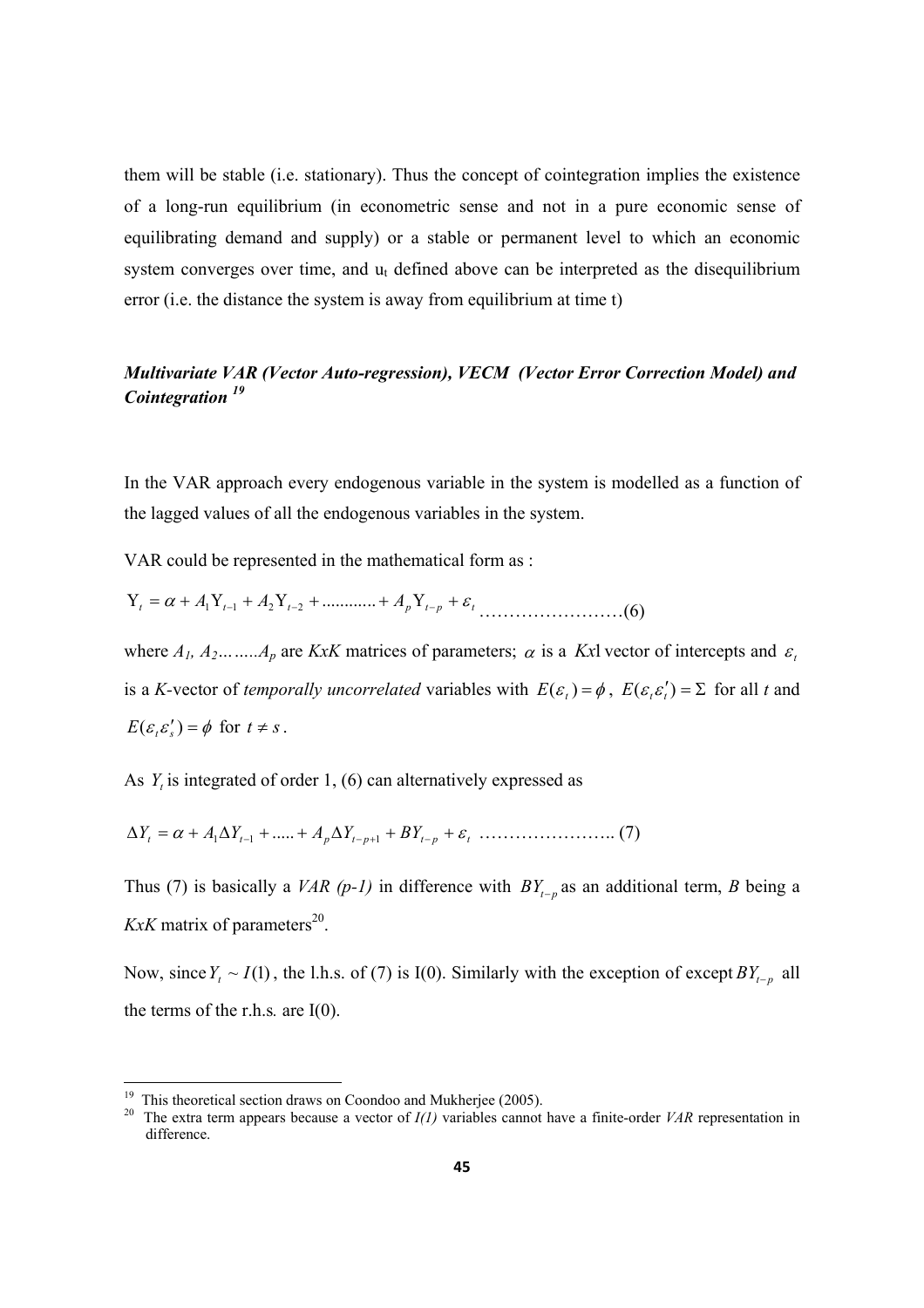them will be stable (i.e. stationary). Thus the concept of cointegration implies the existence of a long-run equilibrium (in econometric sense and not in a pure economic sense of equilibrating demand and supply) or a stable or permanent level to which an economic system converges over time, and  $u_t$  defined above can be interpreted as the disequilibrium error (i.e. the distance the system is away from equilibrium at time t)

### *Multivariate VAR (Vector Auto-regression), VECM (Vector Error Correction Model) and Cointegration <sup>19</sup>*

In the VAR approach every endogenous variable in the system is modelled as a function of the lagged values of all the endogenous variables in the system.

VAR could be represented in the mathematical form as :

*<sup>t</sup> A <sup>t</sup> A <sup>t</sup> A ptp <sup>t</sup>* Υ = <sup>α</sup> + Υ + Υ + + Υ + <sup>ε</sup> <sup>−</sup> <sup>−</sup> <sup>−</sup> ............ <sup>1</sup> <sup>1</sup> <sup>2</sup> <sup>2</sup> ……………………(6)

where  $A_1, A_2, \ldots, A_p$  are *KxK* matrices of parameters;  $\alpha$  is a *KxI* vector of intercepts and  $\varepsilon$ is a *K*-vector of *temporally uncorrelated* variables with  $E(\varepsilon_t) = \phi$ ,  $E(\varepsilon_t \varepsilon_t') = \Sigma$  for all *t* and  $E(\varepsilon_{t} \varepsilon'_{s}) = \phi$  for  $t \neq s$ .

As  $Y_t$  is integrated of order 1, (6) can alternatively expressed as

 $\Delta Y_t = \alpha + A_1 \Delta Y_{t-1} + \dots + A_p \Delta Y_{t-p+1} + B Y_{t-p} + \varepsilon_t + \dots + \dots$  (7)

Thus (7) is basically a *VAR* (*p*-*1*) in difference with  $BY_{t-p}$  as an additional term, *B* being a *KxK* matrix of parameters<sup>20</sup>.

Now, since  $Y_t \sim I(1)$ , the l.h.s. of (7) is I(0). Similarly with the exception of except  $BY_{t-p}$  all the terms of the r.h.s*.* are I(0).

<sup>&</sup>lt;sup>19</sup> This theoretical section draws on Coondoo and Mukherjee (2005).<br><sup>20</sup> The extra term annears because a vector of  $I(I)$  variables cannot

<sup>20</sup> The extra term appears because a vector of *I(1)* variables cannot have a finite-order *VAR* representation in difference.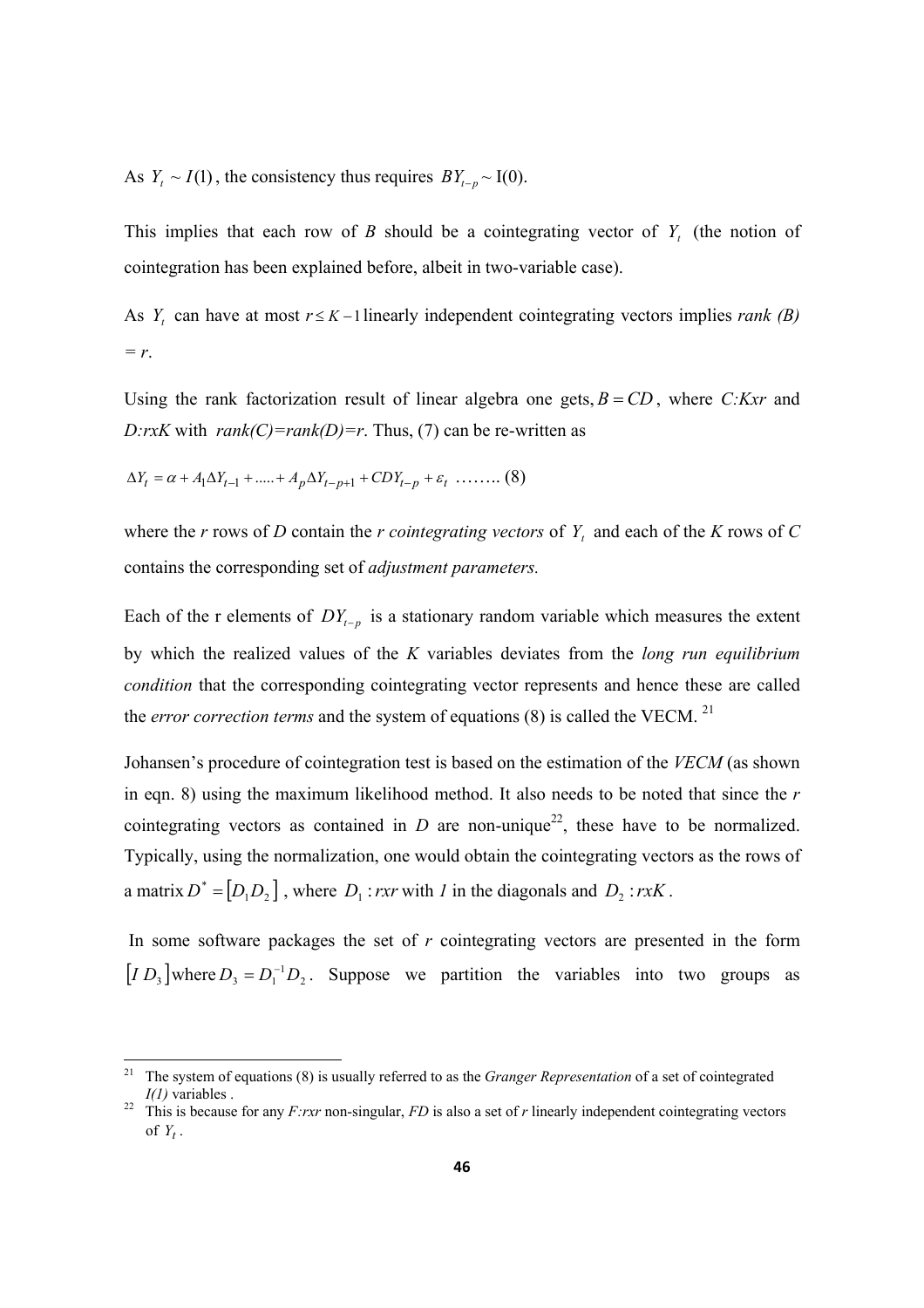As  $Y_t \sim I(1)$ , the consistency thus requires  $BY_{t-p} \sim I(0)$ .

This implies that each row of *B* should be a cointegrating vector of  $Y_t$  (the notion of cointegration has been explained before, albeit in two-variable case).

As  $Y_t$  can have at most  $r \leq K - 1$  linearly independent cointegrating vectors implies *rank* (*B*) *= r*.

Using the rank factorization result of linear algebra one gets,  $B = CD$ , where *C:Kxr* and *D:rxK* with  $rank(C)=rank(D)=r$ . Thus, (7) can be re-written as

$$
\Delta Y_t = \alpha + A_1 \Delta Y_{t-1} + \dots + A_p \Delta Y_{t-p+1} + CDY_{t-p} + \varepsilon_t \dots \dots \tag{8}
$$

where the *r* rows of *D* contain the *r cointegrating vectors* of *Y<sup>t</sup>* and each of the *K* rows of *C* contains the corresponding set of *adjustment parameters.*

Each of the r elements of  $DY_{t-p}$  is a stationary random variable which measures the extent by which the realized values of the *K* variables deviates from the *long run equilibrium condition* that the corresponding cointegrating vector represents and hence these are called the *error correction terms* and the system of equations (8) is called the VECM.<sup>21</sup>

Johansen's procedure of cointegration test is based on the estimation of the *VECM* (as shown in eqn. 8) using the maximum likelihood method. It also needs to be noted that since the *r* cointegrating vectors as contained in  $D$  are non-unique<sup>22</sup>, these have to be normalized. Typically, using the normalization, one would obtain the cointegrating vectors as the rows of a matrix  $D^* = [D_1 D_2]$ , where  $D_1$ : *rxr* with *1* in the diagonals and  $D_2$ : *rxK*.

 In some software packages the set of *r* cointegrating vectors are presented in the form  $[I D_3]$  where  $D_3 = D_1^{-1} D_2$ . Suppose we partition the variables into two groups as

<sup>21</sup> The system of equations (8) is usually referred to as the *Granger Representation* of a set of cointegrated *I(1)* variables .

<sup>&</sup>lt;sup>22</sup> This is because for any  $F:rxr$  non-singular,  $FD$  is also a set of  $r$  linearly independent cointegrating vectors of  $Y_t$ .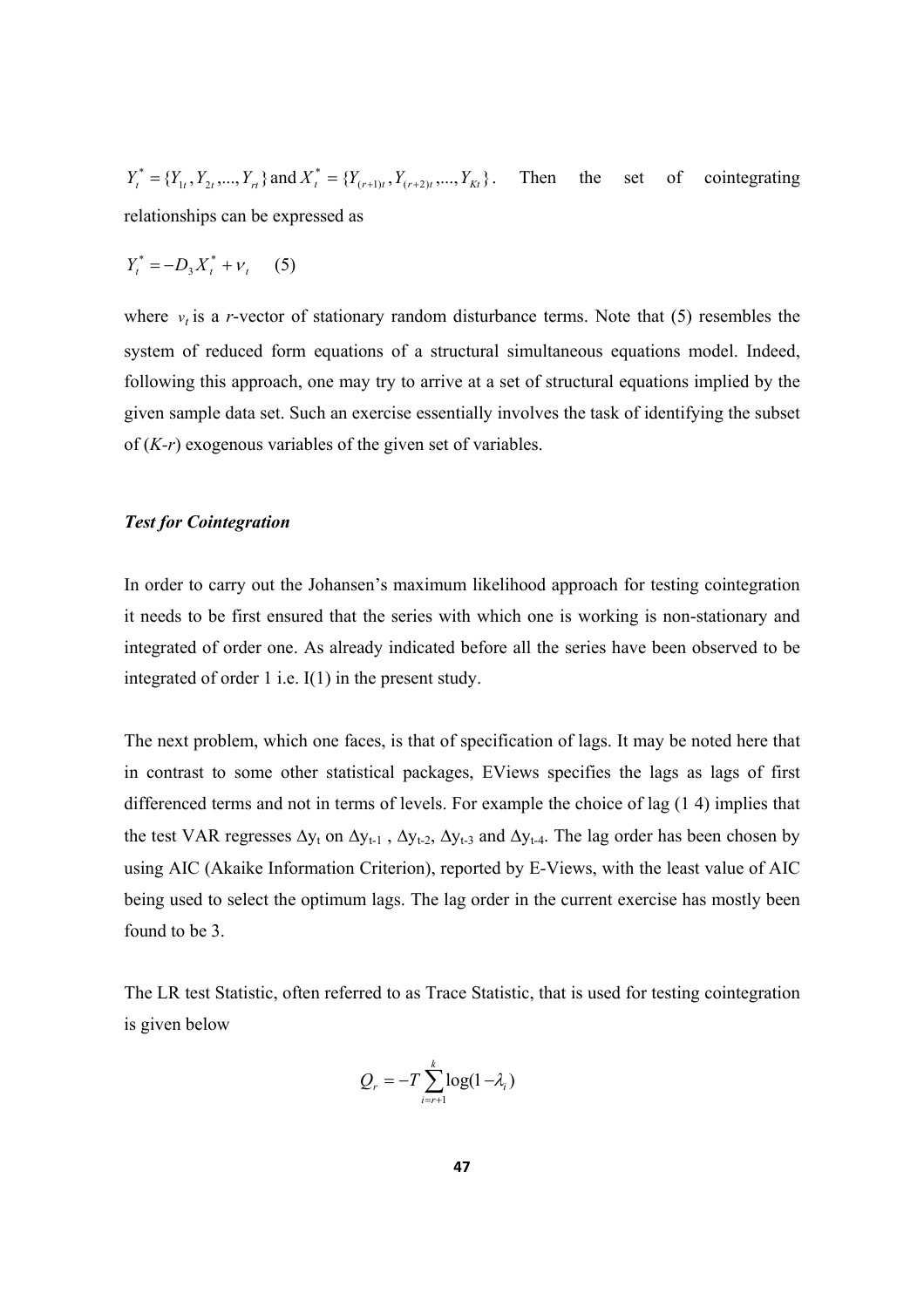$Y_t^* = \{Y_{1t}, Y_{2t}, ..., Y_{rt}\}\$  and  $X_t^* = \{Y_{(r+1)t}, Y_{(r+2)t}, ..., Y_{Kt}\}\$ . Then the set of cointegrating relationships can be expressed as

$$
Y_t^* = -D_3 X_t^* + v_t \quad (5)
$$

where  $v_t$  is a *r*-vector of stationary random disturbance terms. Note that (5) resembles the system of reduced form equations of a structural simultaneous equations model. Indeed, following this approach, one may try to arrive at a set of structural equations implied by the given sample data set. Such an exercise essentially involves the task of identifying the subset of (*K-r*) exogenous variables of the given set of variables.

### *Test for Cointegration*

In order to carry out the Johansen's maximum likelihood approach for testing cointegration it needs to be first ensured that the series with which one is working is non-stationary and integrated of order one. As already indicated before all the series have been observed to be integrated of order 1 i.e. I(1) in the present study.

The next problem, which one faces, is that of specification of lags. It may be noted here that in contrast to some other statistical packages, EViews specifies the lags as lags of first differenced terms and not in terms of levels. For example the choice of lag (1 4) implies that the test VAR regresses  $\Delta y_t$  on  $\Delta y_{t-1}$ ,  $\Delta y_{t-2}$ ,  $\Delta y_{t-3}$  and  $\Delta y_{t-4}$ . The lag order has been chosen by using AIC (Akaike Information Criterion), reported by E-Views, with the least value of AIC being used to select the optimum lags. The lag order in the current exercise has mostly been found to be 3.

The LR test Statistic, often referred to as Trace Statistic, that is used for testing cointegration is given below

$$
Q_r = -T \sum_{i=r+1}^{k} \log(1 - \lambda_i)
$$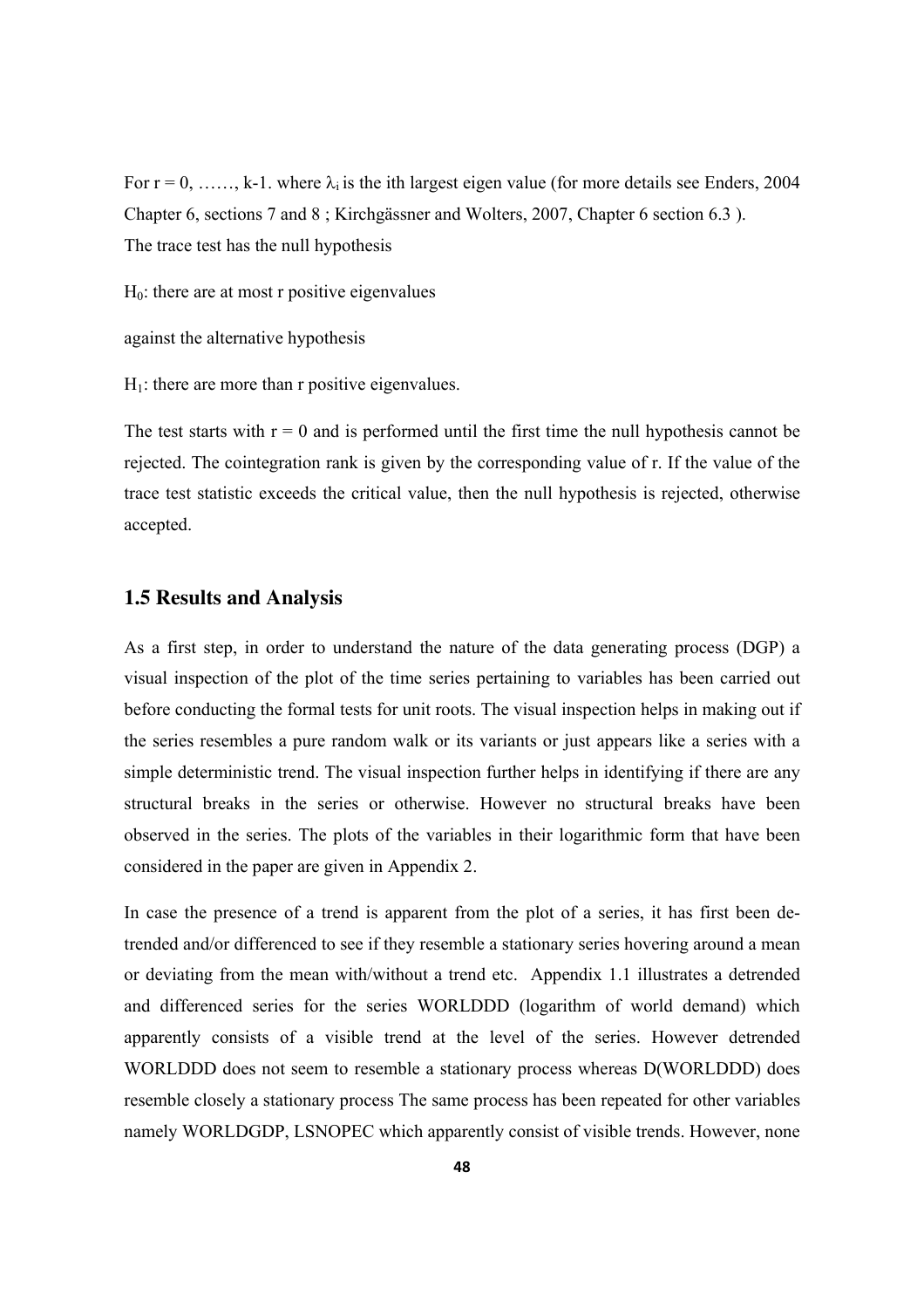For  $r = 0, \ldots, k-1$ . where  $\lambda_i$  is the ith largest eigen value (for more details see Enders, 2004) Chapter 6, sections 7 and 8 ; Kirchgässner and Wolters, 2007, Chapter 6 section 6.3 ). The trace test has the null hypothesis

 $H<sub>0</sub>$ : there are at most r positive eigenvalues

against the alternative hypothesis

 $H_1$ : there are more than r positive eigenvalues.

The test starts with  $r = 0$  and is performed until the first time the null hypothesis cannot be rejected. The cointegration rank is given by the corresponding value of r. If the value of the trace test statistic exceeds the critical value, then the null hypothesis is rejected, otherwise accepted.

### **1.5 Results and Analysis**

As a first step, in order to understand the nature of the data generating process (DGP) a visual inspection of the plot of the time series pertaining to variables has been carried out before conducting the formal tests for unit roots. The visual inspection helps in making out if the series resembles a pure random walk or its variants or just appears like a series with a simple deterministic trend. The visual inspection further helps in identifying if there are any structural breaks in the series or otherwise. However no structural breaks have been observed in the series. The plots of the variables in their logarithmic form that have been considered in the paper are given in Appendix 2.

In case the presence of a trend is apparent from the plot of a series, it has first been detrended and/or differenced to see if they resemble a stationary series hovering around a mean or deviating from the mean with/without a trend etc. Appendix 1.1 illustrates a detrended and differenced series for the series WORLDDD (logarithm of world demand) which apparently consists of a visible trend at the level of the series. However detrended WORLDDD does not seem to resemble a stationary process whereas D(WORLDDD) does resemble closely a stationary process The same process has been repeated for other variables namely WORLDGDP, LSNOPEC which apparently consist of visible trends. However, none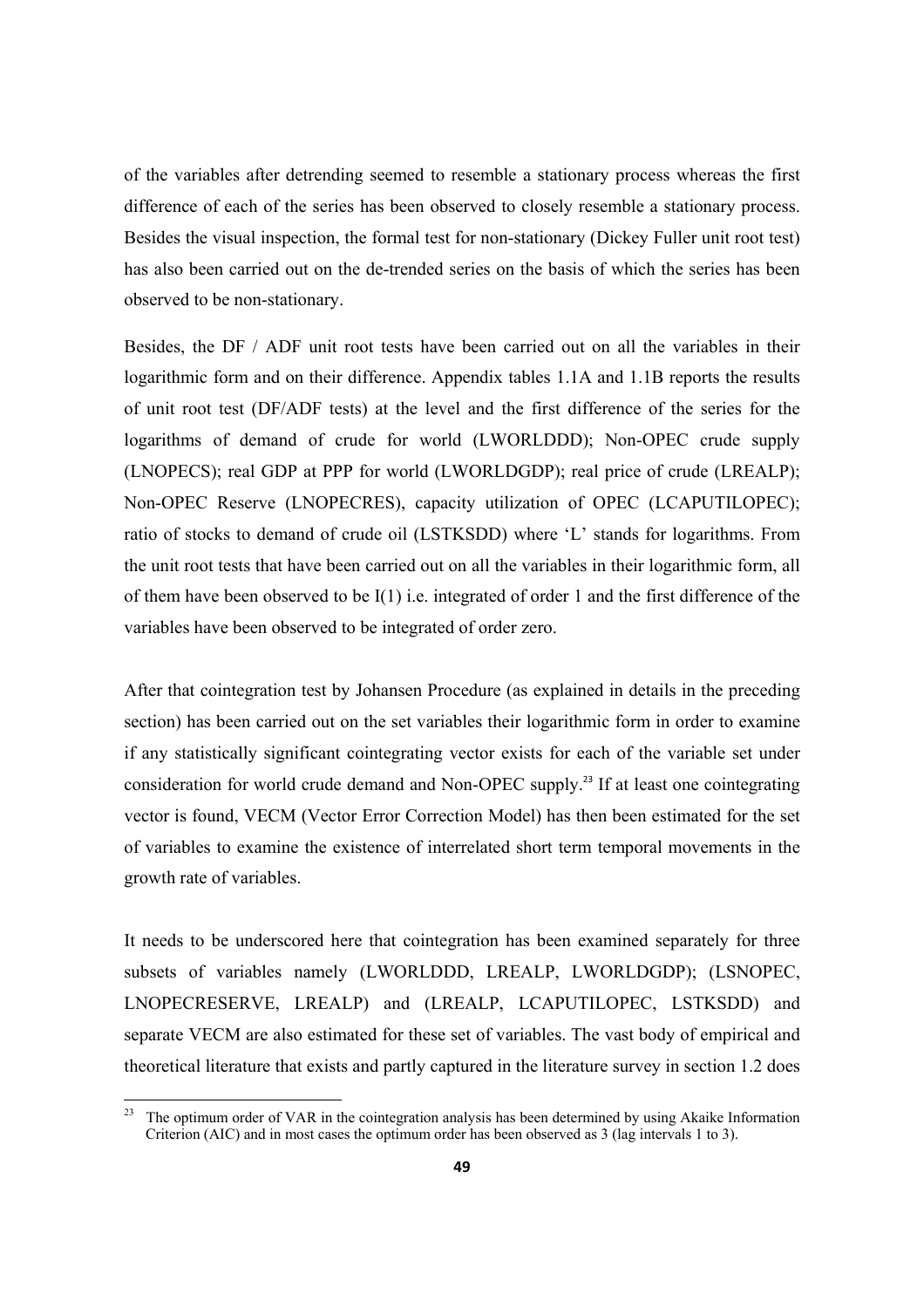of the variables after detrending seemed to resemble a stationary process whereas the first difference of each of the series has been observed to closely resemble a stationary process. Besides the visual inspection, the formal test for non-stationary (Dickey Fuller unit root test) has also been carried out on the de-trended series on the basis of which the series has been observed to be non-stationary.

Besides, the DF / ADF unit root tests have been carried out on all the variables in their logarithmic form and on their difference. Appendix tables 1.1A and 1.1B reports the results of unit root test (DF/ADF tests) at the level and the first difference of the series for the logarithms of demand of crude for world (LWORLDDD); Non-OPEC crude supply (LNOPECS); real GDP at PPP for world (LWORLDGDP); real price of crude (LREALP); Non-OPEC Reserve (LNOPECRES), capacity utilization of OPEC (LCAPUTILOPEC); ratio of stocks to demand of crude oil (LSTKSDD) where 'L' stands for logarithms. From the unit root tests that have been carried out on all the variables in their logarithmic form, all of them have been observed to be  $I(1)$  i.e. integrated of order 1 and the first difference of the variables have been observed to be integrated of order zero.

After that cointegration test by Johansen Procedure (as explained in details in the preceding section) has been carried out on the set variables their logarithmic form in order to examine if any statistically significant cointegrating vector exists for each of the variable set under consideration for world crude demand and Non-OPEC supply.<sup>23</sup> If at least one cointegrating vector is found, VECM (Vector Error Correction Model) has then been estimated for the set of variables to examine the existence of interrelated short term temporal movements in the growth rate of variables.

It needs to be underscored here that cointegration has been examined separately for three subsets of variables namely (LWORLDDD, LREALP, LWORLDGDP); (LSNOPEC, LNOPECRESERVE, LREALP) and (LREALP, LCAPUTILOPEC, LSTKSDD) and separate VECM are also estimated for these set of variables. The vast body of empirical and theoretical literature that exists and partly captured in the literature survey in section 1.2 does

<sup>&</sup>lt;sup>23</sup> The optimum order of VAR in the cointegration analysis has been determined by using Akaike Information Criterion (AIC) and in most cases the optimum order has been observed as 3 (lag intervals 1 to 3).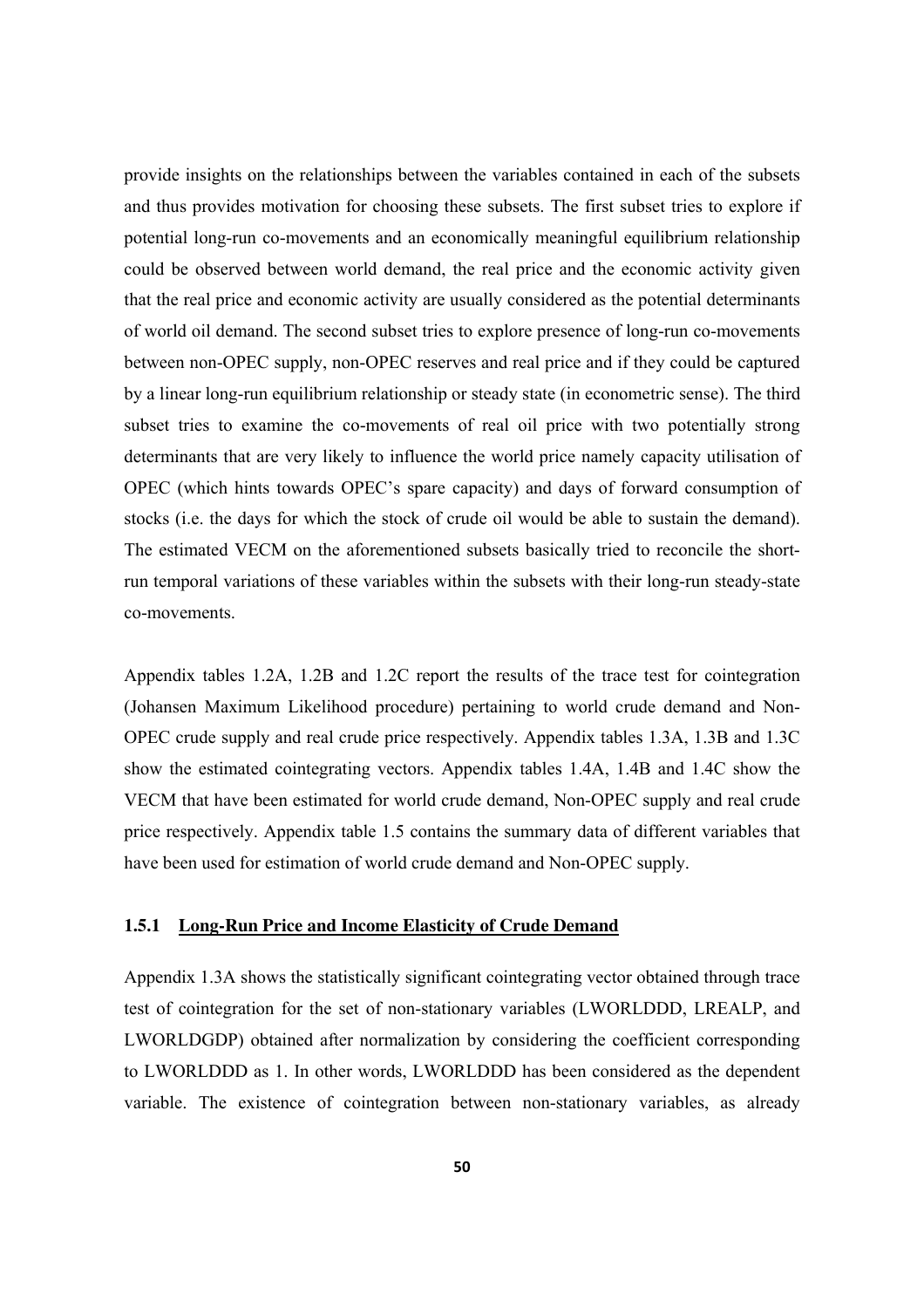provide insights on the relationships between the variables contained in each of the subsets and thus provides motivation for choosing these subsets. The first subset tries to explore if potential long-run co-movements and an economically meaningful equilibrium relationship could be observed between world demand, the real price and the economic activity given that the real price and economic activity are usually considered as the potential determinants of world oil demand. The second subset tries to explore presence of long-run co-movements between non-OPEC supply, non-OPEC reserves and real price and if they could be captured by a linear long-run equilibrium relationship or steady state (in econometric sense). The third subset tries to examine the co-movements of real oil price with two potentially strong determinants that are very likely to influence the world price namely capacity utilisation of OPEC (which hints towards OPEC's spare capacity) and days of forward consumption of stocks (i.e. the days for which the stock of crude oil would be able to sustain the demand). The estimated VECM on the aforementioned subsets basically tried to reconcile the shortrun temporal variations of these variables within the subsets with their long-run steady-state co-movements.

Appendix tables 1.2A, 1.2B and 1.2C report the results of the trace test for cointegration (Johansen Maximum Likelihood procedure) pertaining to world crude demand and Non-OPEC crude supply and real crude price respectively. Appendix tables 1.3A, 1.3B and 1.3C show the estimated cointegrating vectors. Appendix tables 1.4A, 1.4B and 1.4C show the VECM that have been estimated for world crude demand, Non-OPEC supply and real crude price respectively. Appendix table 1.5 contains the summary data of different variables that have been used for estimation of world crude demand and Non-OPEC supply.

### **1.5.1 Long-Run Price and Income Elasticity of Crude Demand**

Appendix 1.3A shows the statistically significant cointegrating vector obtained through trace test of cointegration for the set of non-stationary variables (LWORLDDD, LREALP, and LWORLDGDP) obtained after normalization by considering the coefficient corresponding to LWORLDDD as 1. In other words, LWORLDDD has been considered as the dependent variable. The existence of cointegration between non-stationary variables, as already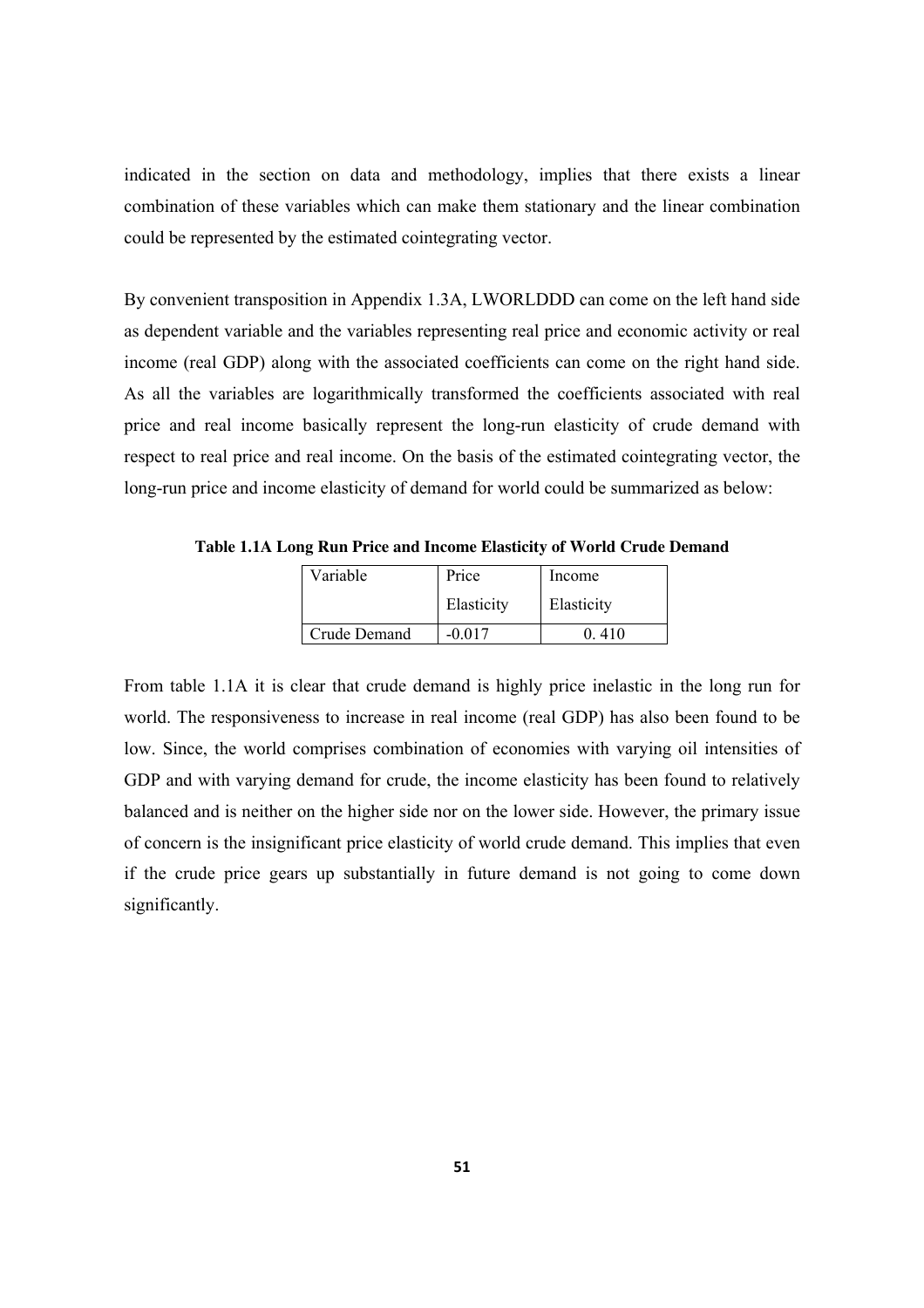indicated in the section on data and methodology, implies that there exists a linear combination of these variables which can make them stationary and the linear combination could be represented by the estimated cointegrating vector.

By convenient transposition in Appendix 1.3A, LWORLDDD can come on the left hand side as dependent variable and the variables representing real price and economic activity or real income (real GDP) along with the associated coefficients can come on the right hand side. As all the variables are logarithmically transformed the coefficients associated with real price and real income basically represent the long-run elasticity of crude demand with respect to real price and real income. On the basis of the estimated cointegrating vector, the long-run price and income elasticity of demand for world could be summarized as below:

| Variable     | Price      | Income     |
|--------------|------------|------------|
|              | Elasticity | Elasticity |
| Crude Demand | $-0.017$   | 0410       |

**Table 1.1A Long Run Price and Income Elasticity of World Crude Demand** 

From table 1.1A it is clear that crude demand is highly price inelastic in the long run for world. The responsiveness to increase in real income (real GDP) has also been found to be low. Since, the world comprises combination of economies with varying oil intensities of GDP and with varying demand for crude, the income elasticity has been found to relatively balanced and is neither on the higher side nor on the lower side. However, the primary issue of concern is the insignificant price elasticity of world crude demand. This implies that even if the crude price gears up substantially in future demand is not going to come down significantly.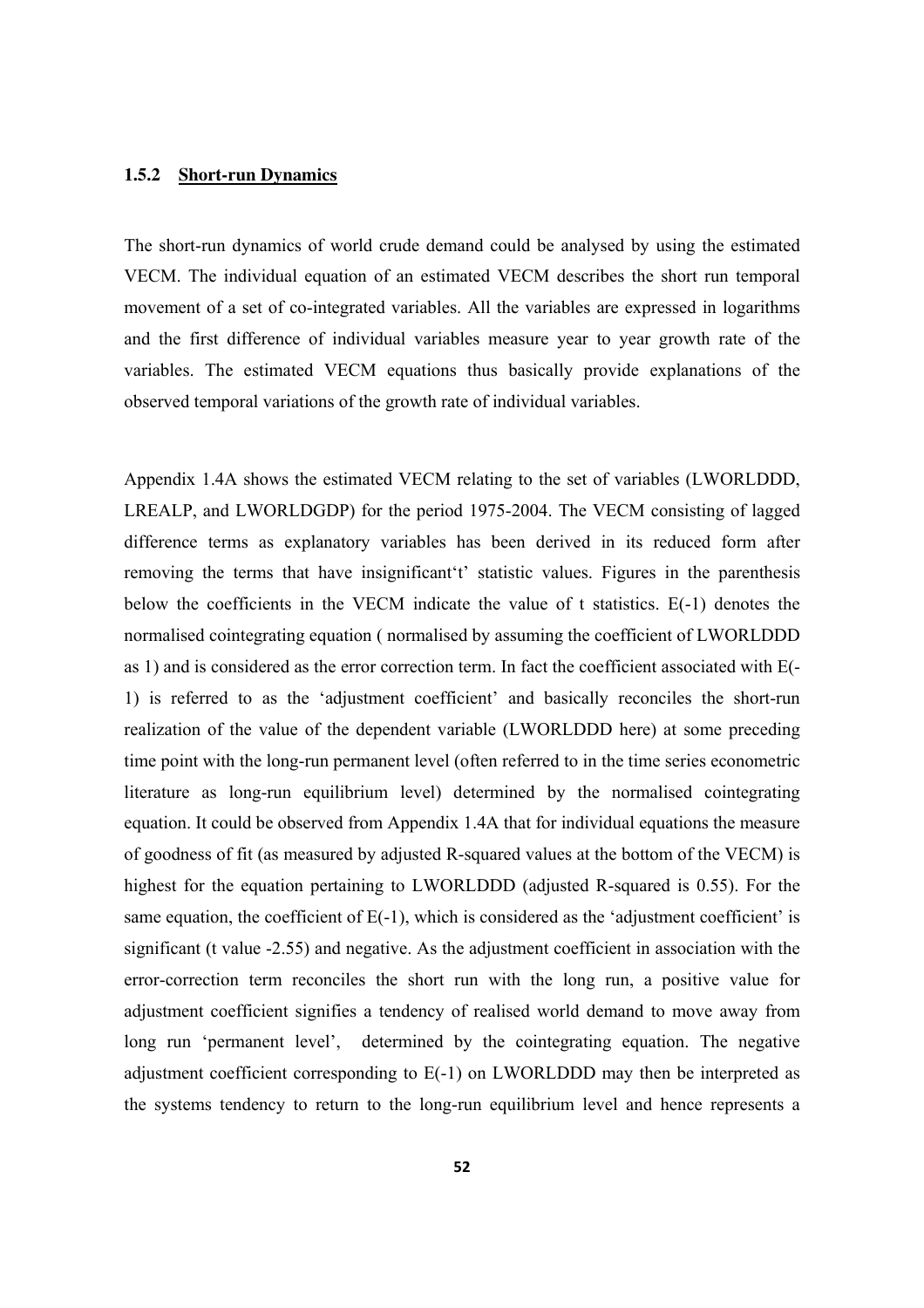### **1.5.2 Short-run Dynamics**

The short-run dynamics of world crude demand could be analysed by using the estimated VECM. The individual equation of an estimated VECM describes the short run temporal movement of a set of co-integrated variables. All the variables are expressed in logarithms and the first difference of individual variables measure year to year growth rate of the variables. The estimated VECM equations thus basically provide explanations of the observed temporal variations of the growth rate of individual variables.

Appendix 1.4A shows the estimated VECM relating to the set of variables (LWORLDDD, LREALP, and LWORLDGDP) for the period 1975-2004. The VECM consisting of lagged difference terms as explanatory variables has been derived in its reduced form after removing the terms that have insignificant't' statistic values. Figures in the parenthesis below the coefficients in the VECM indicate the value of t statistics. E(-1) denotes the normalised cointegrating equation ( normalised by assuming the coefficient of LWORLDDD as 1) and is considered as the error correction term. In fact the coefficient associated with E(- 1) is referred to as the 'adjustment coefficient' and basically reconciles the short-run realization of the value of the dependent variable (LWORLDDD here) at some preceding time point with the long-run permanent level (often referred to in the time series econometric literature as long-run equilibrium level) determined by the normalised cointegrating equation. It could be observed from Appendix 1.4A that for individual equations the measure of goodness of fit (as measured by adjusted R-squared values at the bottom of the VECM) is highest for the equation pertaining to LWORLDDD (adjusted R-squared is 0.55). For the same equation, the coefficient of E(-1), which is considered as the 'adjustment coefficient' is significant (t value -2.55) and negative. As the adjustment coefficient in association with the error-correction term reconciles the short run with the long run, a positive value for adjustment coefficient signifies a tendency of realised world demand to move away from long run 'permanent level', determined by the cointegrating equation. The negative adjustment coefficient corresponding to E(-1) on LWORLDDD may then be interpreted as the systems tendency to return to the long-run equilibrium level and hence represents a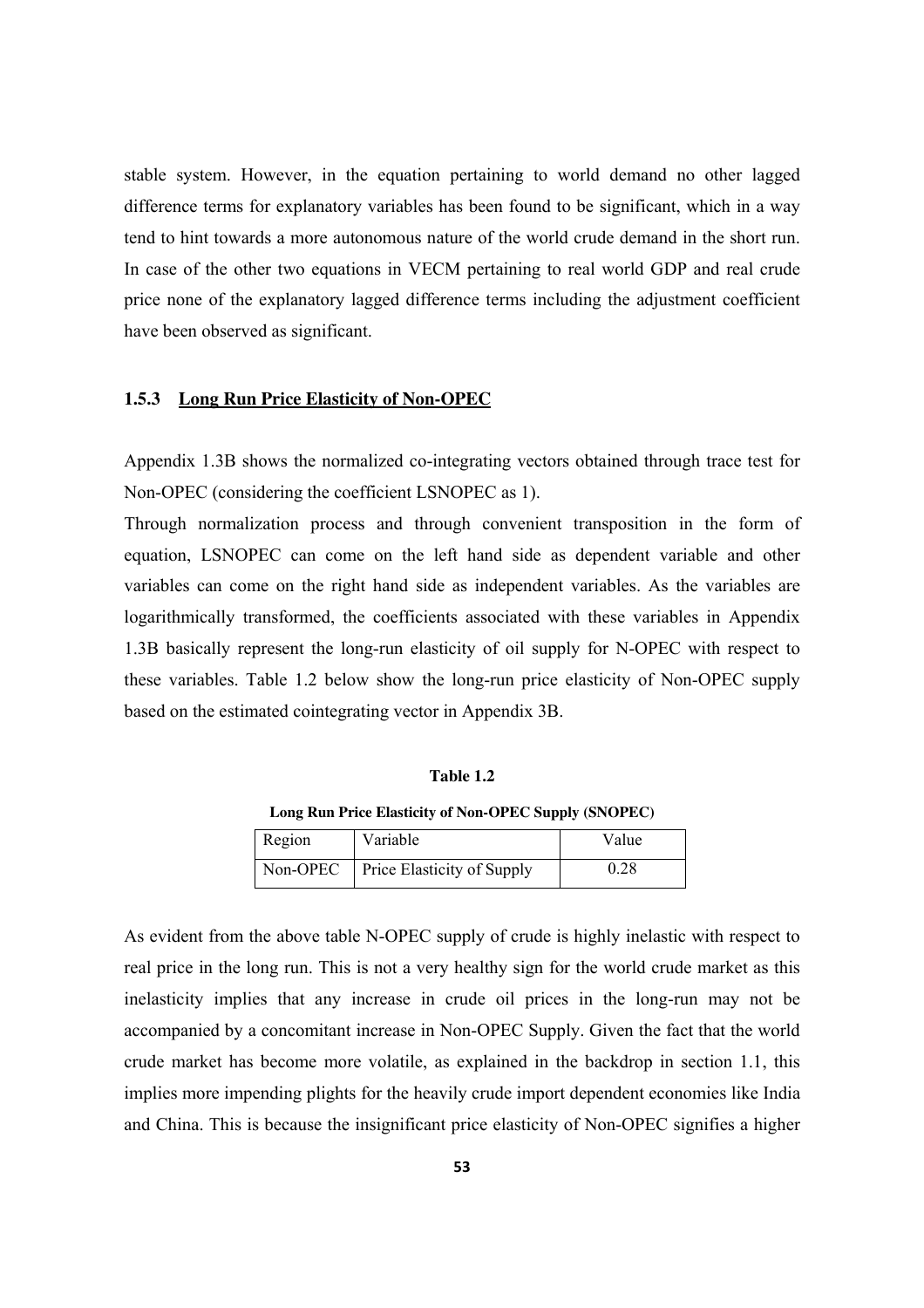stable system. However, in the equation pertaining to world demand no other lagged difference terms for explanatory variables has been found to be significant, which in a way tend to hint towards a more autonomous nature of the world crude demand in the short run. In case of the other two equations in VECM pertaining to real world GDP and real crude price none of the explanatory lagged difference terms including the adjustment coefficient have been observed as significant.

#### **1.5.3 Long Run Price Elasticity of Non-OPEC**

Appendix 1.3B shows the normalized co-integrating vectors obtained through trace test for Non-OPEC (considering the coefficient LSNOPEC as 1).

Through normalization process and through convenient transposition in the form of equation, LSNOPEC can come on the left hand side as dependent variable and other variables can come on the right hand side as independent variables. As the variables are logarithmically transformed, the coefficients associated with these variables in Appendix 1.3B basically represent the long-run elasticity of oil supply for N-OPEC with respect to these variables. Table 1.2 below show the long-run price elasticity of Non-OPEC supply based on the estimated cointegrating vector in Appendix 3B.

#### **Table 1.2**

**Long Run Price Elasticity of Non-OPEC Supply (SNOPEC)** 

| Region | Variable                            | Value |
|--------|-------------------------------------|-------|
|        | Non-OPEC Price Elasticity of Supply | 0.28  |

As evident from the above table N-OPEC supply of crude is highly inelastic with respect to real price in the long run. This is not a very healthy sign for the world crude market as this inelasticity implies that any increase in crude oil prices in the long-run may not be accompanied by a concomitant increase in Non-OPEC Supply. Given the fact that the world crude market has become more volatile, as explained in the backdrop in section 1.1, this implies more impending plights for the heavily crude import dependent economies like India and China. This is because the insignificant price elasticity of Non-OPEC signifies a higher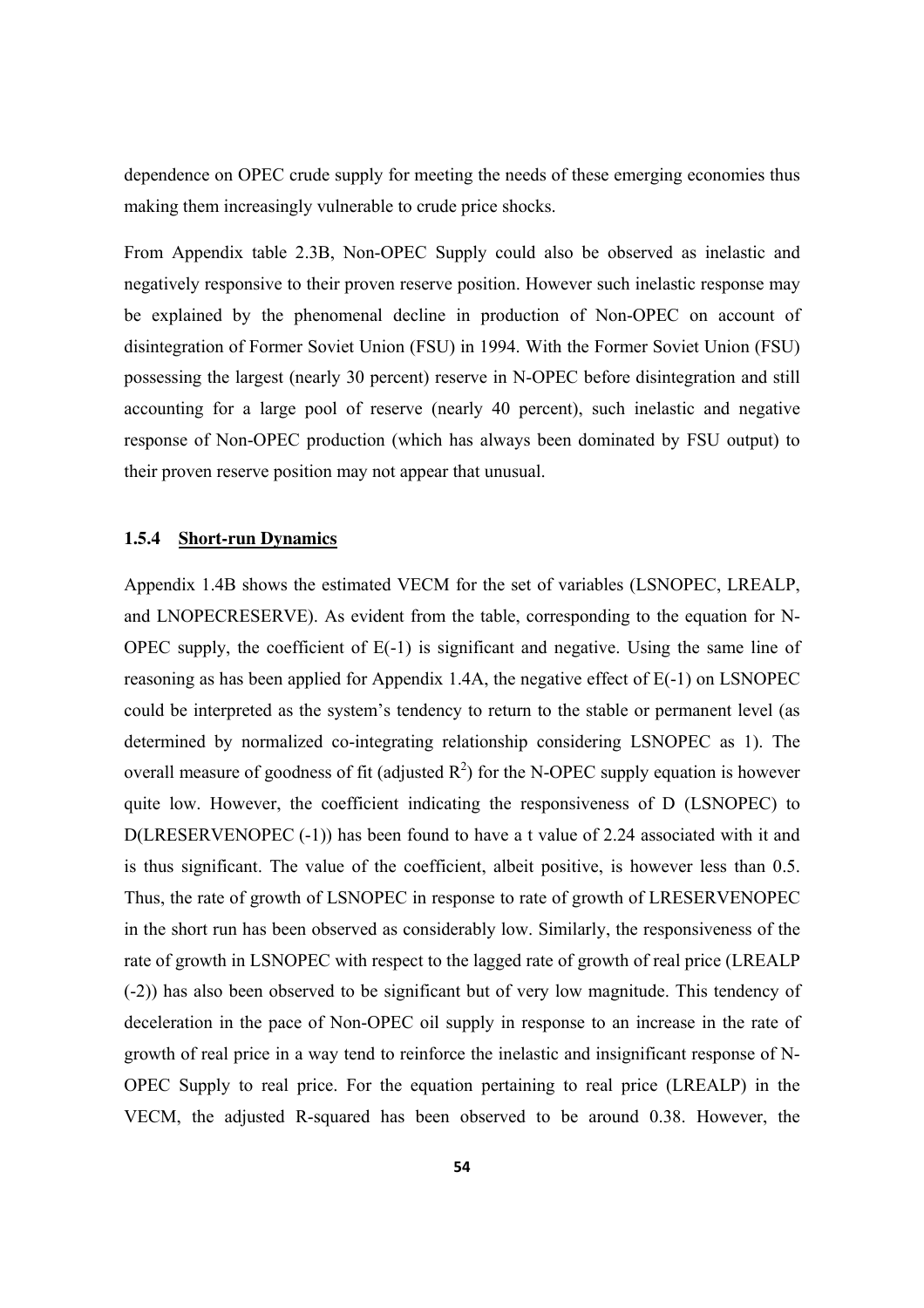dependence on OPEC crude supply for meeting the needs of these emerging economies thus making them increasingly vulnerable to crude price shocks.

From Appendix table 2.3B, Non-OPEC Supply could also be observed as inelastic and negatively responsive to their proven reserve position. However such inelastic response may be explained by the phenomenal decline in production of Non-OPEC on account of disintegration of Former Soviet Union (FSU) in 1994. With the Former Soviet Union (FSU) possessing the largest (nearly 30 percent) reserve in N-OPEC before disintegration and still accounting for a large pool of reserve (nearly 40 percent), such inelastic and negative response of Non-OPEC production (which has always been dominated by FSU output) to their proven reserve position may not appear that unusual.

### **1.5.4 Short-run Dynamics**

Appendix 1.4B shows the estimated VECM for the set of variables (LSNOPEC, LREALP, and LNOPECRESERVE). As evident from the table, corresponding to the equation for N-OPEC supply, the coefficient of E(-1) is significant and negative. Using the same line of reasoning as has been applied for Appendix 1.4A, the negative effect of E(-1) on LSNOPEC could be interpreted as the system's tendency to return to the stable or permanent level (as determined by normalized co-integrating relationship considering LSNOPEC as 1). The overall measure of goodness of fit (adjusted  $R^2$ ) for the N-OPEC supply equation is however quite low. However, the coefficient indicating the responsiveness of D (LSNOPEC) to D(LRESERVENOPEC (-1)) has been found to have a t value of 2.24 associated with it and is thus significant. The value of the coefficient, albeit positive, is however less than 0.5. Thus, the rate of growth of LSNOPEC in response to rate of growth of LRESERVENOPEC in the short run has been observed as considerably low. Similarly, the responsiveness of the rate of growth in LSNOPEC with respect to the lagged rate of growth of real price (LREALP (-2)) has also been observed to be significant but of very low magnitude. This tendency of deceleration in the pace of Non-OPEC oil supply in response to an increase in the rate of growth of real price in a way tend to reinforce the inelastic and insignificant response of N-OPEC Supply to real price. For the equation pertaining to real price (LREALP) in the VECM, the adjusted R-squared has been observed to be around 0.38. However, the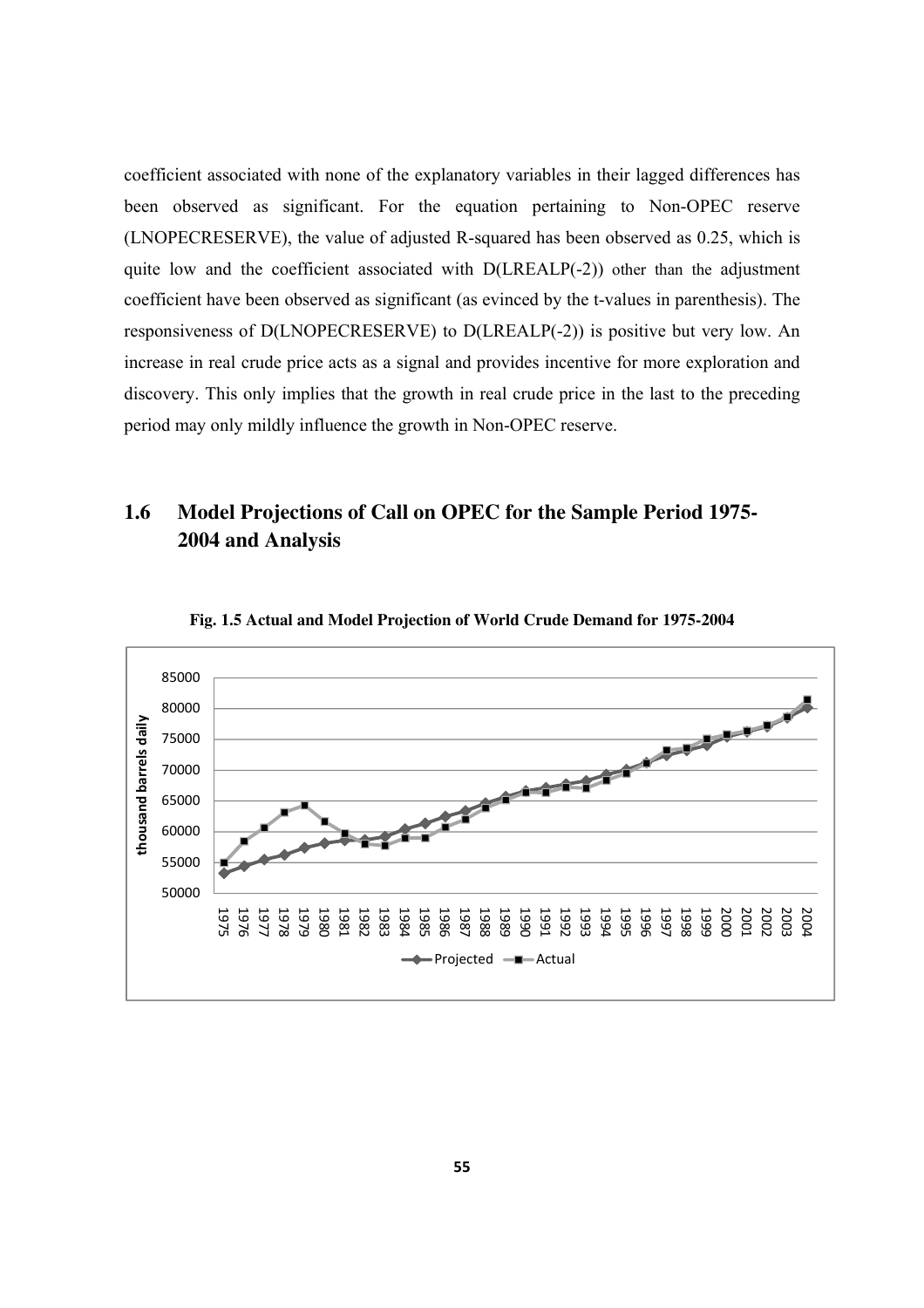coefficient associated with none of the explanatory variables in their lagged differences has been observed as significant. For the equation pertaining to Non-OPEC reserve (LNOPECRESERVE), the value of adjusted R-squared has been observed as 0.25, which is quite low and the coefficient associated with D(LREALP(-2)) other than the adjustment coefficient have been observed as significant (as evinced by the t-values in parenthesis). The responsiveness of D(LNOPECRESERVE) to D(LREALP(-2)) is positive but very low. An increase in real crude price acts as a signal and provides incentive for more exploration and discovery. This only implies that the growth in real crude price in the last to the preceding period may only mildly influence the growth in Non-OPEC reserve.

## **1.6 Model Projections of Call on OPEC for the Sample Period 1975- 2004 and Analysis**



**Fig. 1.5 Actual and Model Projection of World Crude Demand for 1975-2004**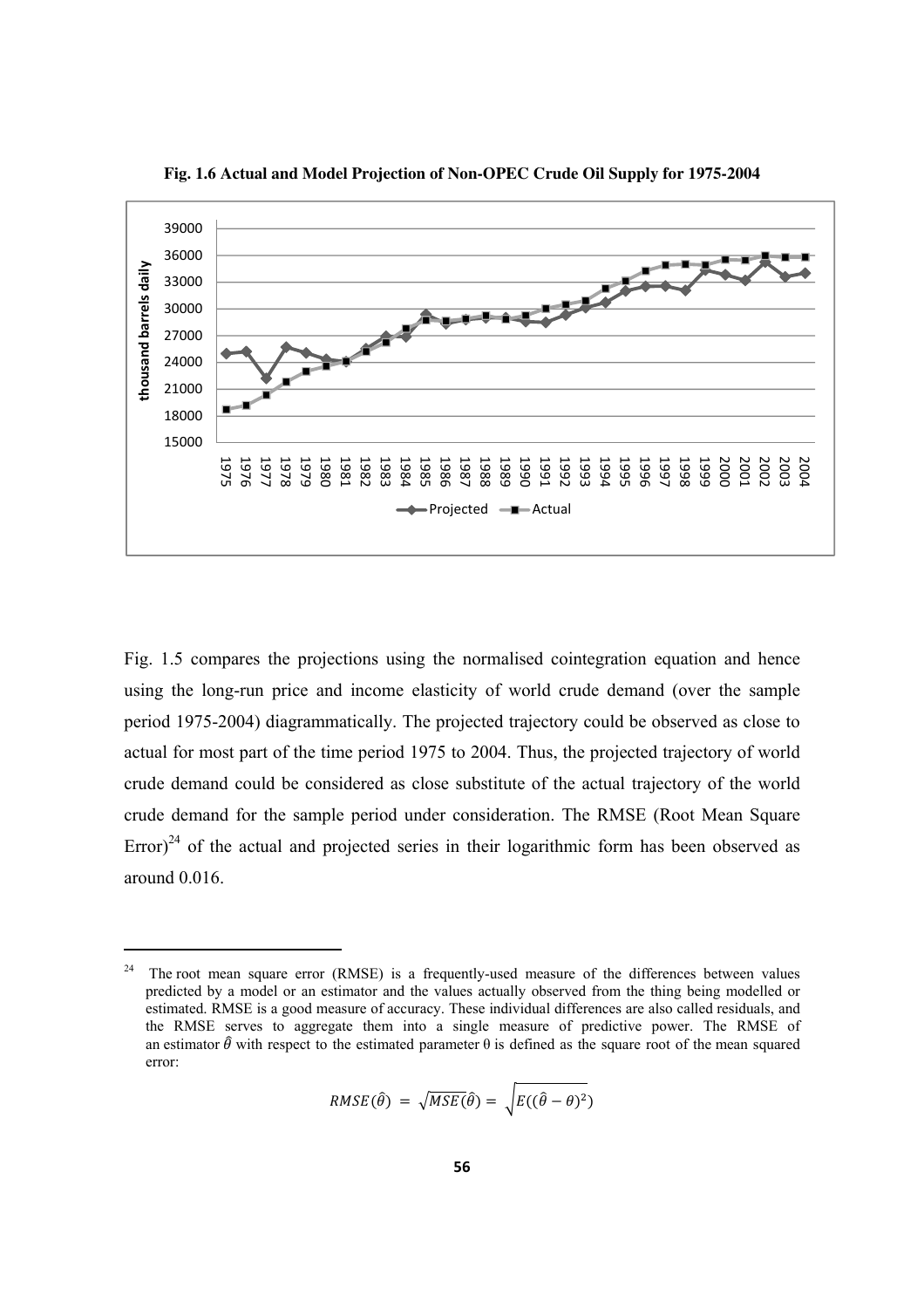

**Fig. 1.6 Actual and Model Projection of Non-OPEC Crude Oil Supply for 1975-2004** 

Fig. 1.5 compares the projections using the normalised cointegration equation and hence using the long-run price and income elasticity of world crude demand (over the sample period 1975-2004) diagrammatically. The projected trajectory could be observed as close to actual for most part of the time period 1975 to 2004. Thus, the projected trajectory of world crude demand could be considered as close substitute of the actual trajectory of the world crude demand for the sample period under consideration. The RMSE (Root Mean Square Error)<sup>24</sup> of the actual and projected series in their logarithmic form has been observed as around 0.016.

$$
RMSE(\hat{\theta}) = \sqrt{MSE(\hat{\theta})} = \sqrt{E((\hat{\theta} - \theta)^2)}
$$

 $24$  The root mean square error (RMSE) is a frequently-used measure of the differences between values predicted by a model or an estimator and the values actually observed from the thing being modelled or estimated. RMSE is a good measure of accuracy. These individual differences are also called residuals, and the RMSE serves to aggregate them into a single measure of predictive power. The RMSE of an estimator  $\hat{\theta}$  with respect to the estimated parameter  $\theta$  is defined as the square root of the mean squared error: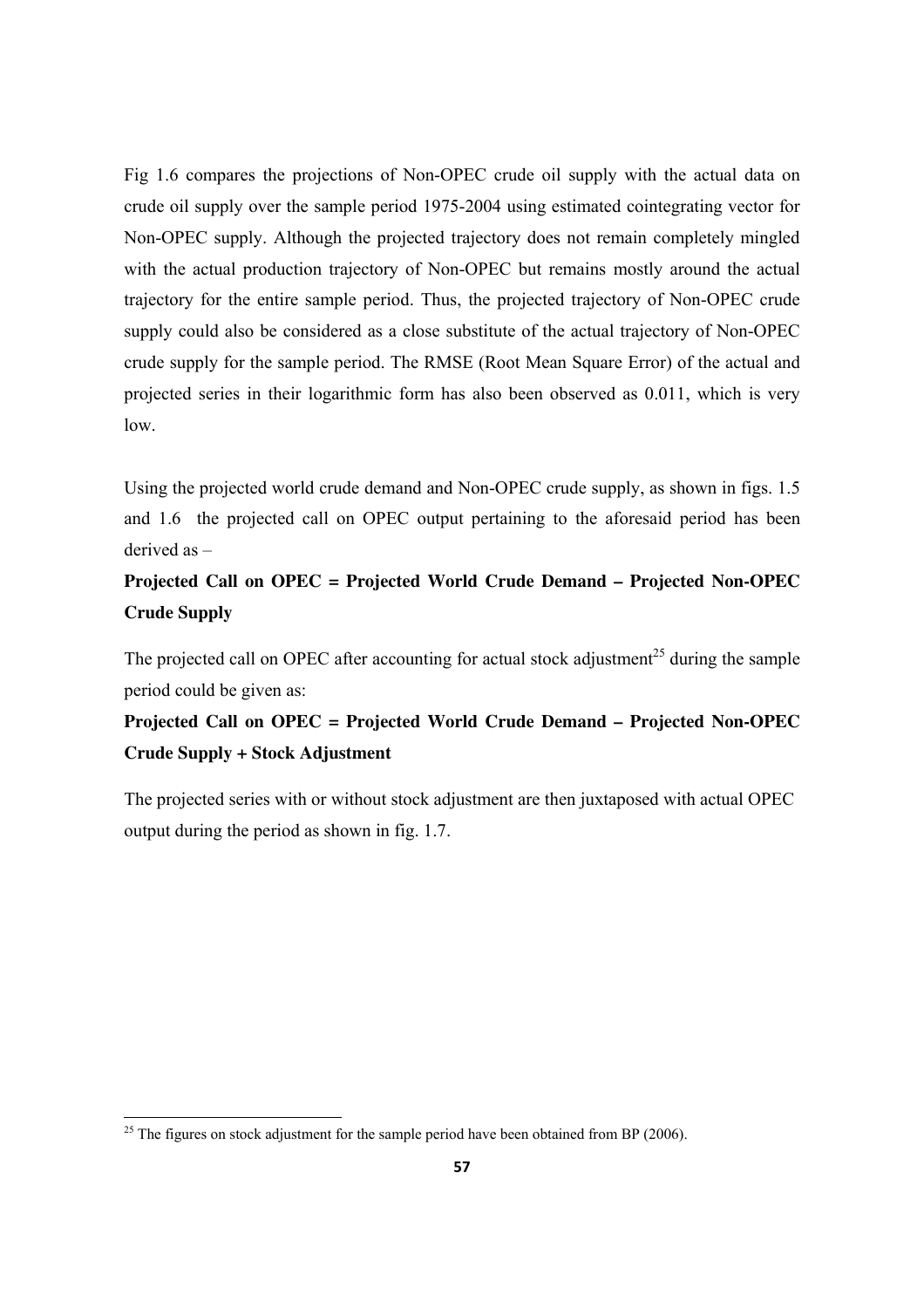Fig 1.6 compares the projections of Non-OPEC crude oil supply with the actual data on crude oil supply over the sample period 1975-2004 using estimated cointegrating vector for Non-OPEC supply. Although the projected trajectory does not remain completely mingled with the actual production trajectory of Non-OPEC but remains mostly around the actual trajectory for the entire sample period. Thus, the projected trajectory of Non-OPEC crude supply could also be considered as a close substitute of the actual trajectory of Non-OPEC crude supply for the sample period. The RMSE (Root Mean Square Error) of the actual and projected series in their logarithmic form has also been observed as 0.011, which is very low.

Using the projected world crude demand and Non-OPEC crude supply, as shown in figs. 1.5 and 1.6 the projected call on OPEC output pertaining to the aforesaid period has been derived as –

# **Projected Call on OPEC = Projected World Crude Demand – Projected Non-OPEC Crude Supply**

The projected call on OPEC after accounting for actual stock adjustment<sup>25</sup> during the sample period could be given as:

# **Projected Call on OPEC = Projected World Crude Demand – Projected Non-OPEC Crude Supply + Stock Adjustment**

The projected series with or without stock adjustment are then juxtaposed with actual OPEC output during the period as shown in fig. 1.7.

<sup>&</sup>lt;sup>25</sup> The figures on stock adjustment for the sample period have been obtained from BP (2006).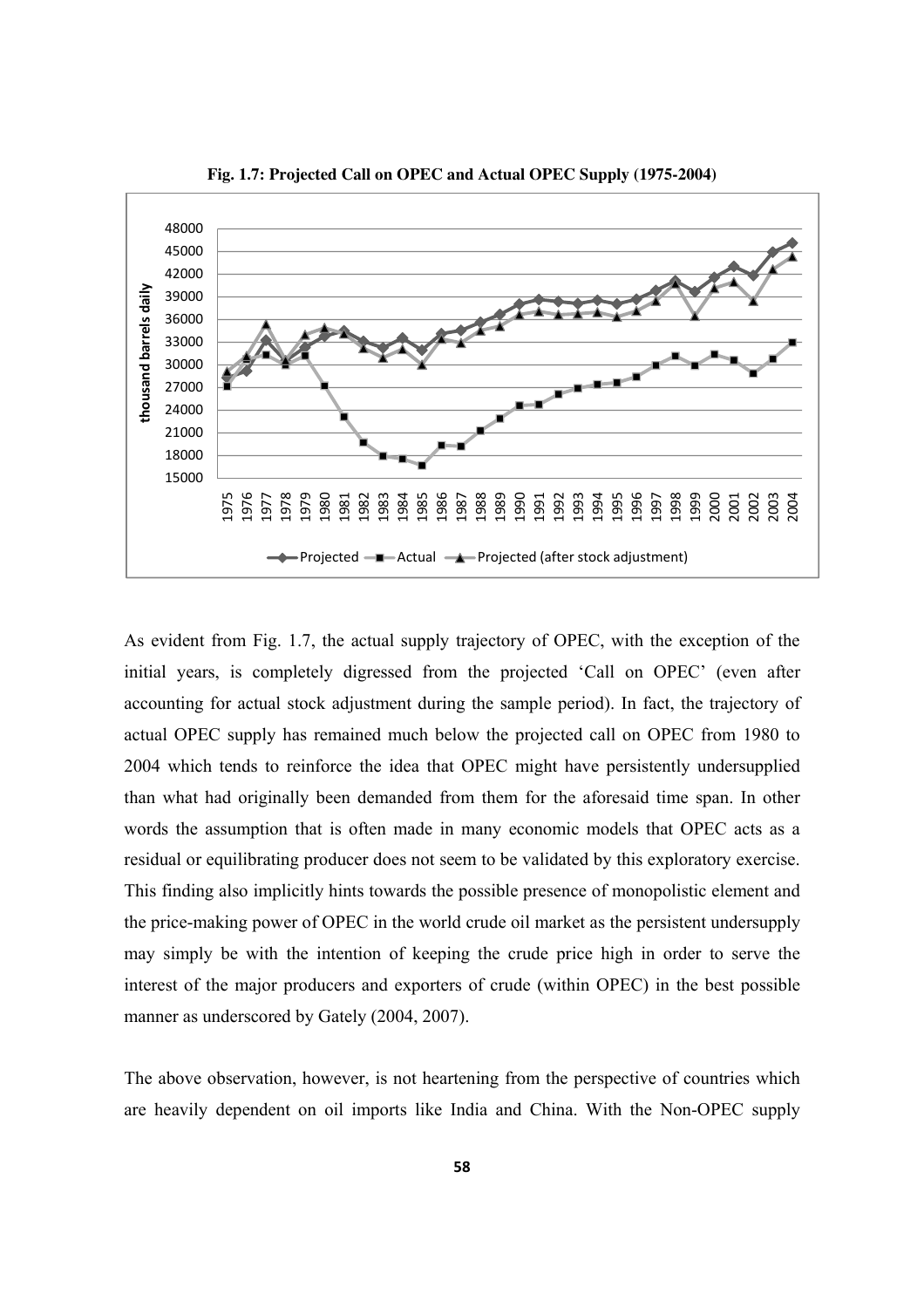

**Fig. 1.7: Projected Call on OPEC and Actual OPEC Supply (1975-2004)**

As evident from Fig. 1.7, the actual supply trajectory of OPEC, with the exception of the initial years, is completely digressed from the projected 'Call on OPEC' (even after accounting for actual stock adjustment during the sample period). In fact, the trajectory of actual OPEC supply has remained much below the projected call on OPEC from 1980 to 2004 which tends to reinforce the idea that OPEC might have persistently undersupplied than what had originally been demanded from them for the aforesaid time span. In other words the assumption that is often made in many economic models that OPEC acts as a residual or equilibrating producer does not seem to be validated by this exploratory exercise. This finding also implicitly hints towards the possible presence of monopolistic element and the price-making power of OPEC in the world crude oil market as the persistent undersupply may simply be with the intention of keeping the crude price high in order to serve the interest of the major producers and exporters of crude (within OPEC) in the best possible manner as underscored by Gately (2004, 2007).

The above observation, however, is not heartening from the perspective of countries which are heavily dependent on oil imports like India and China. With the Non-OPEC supply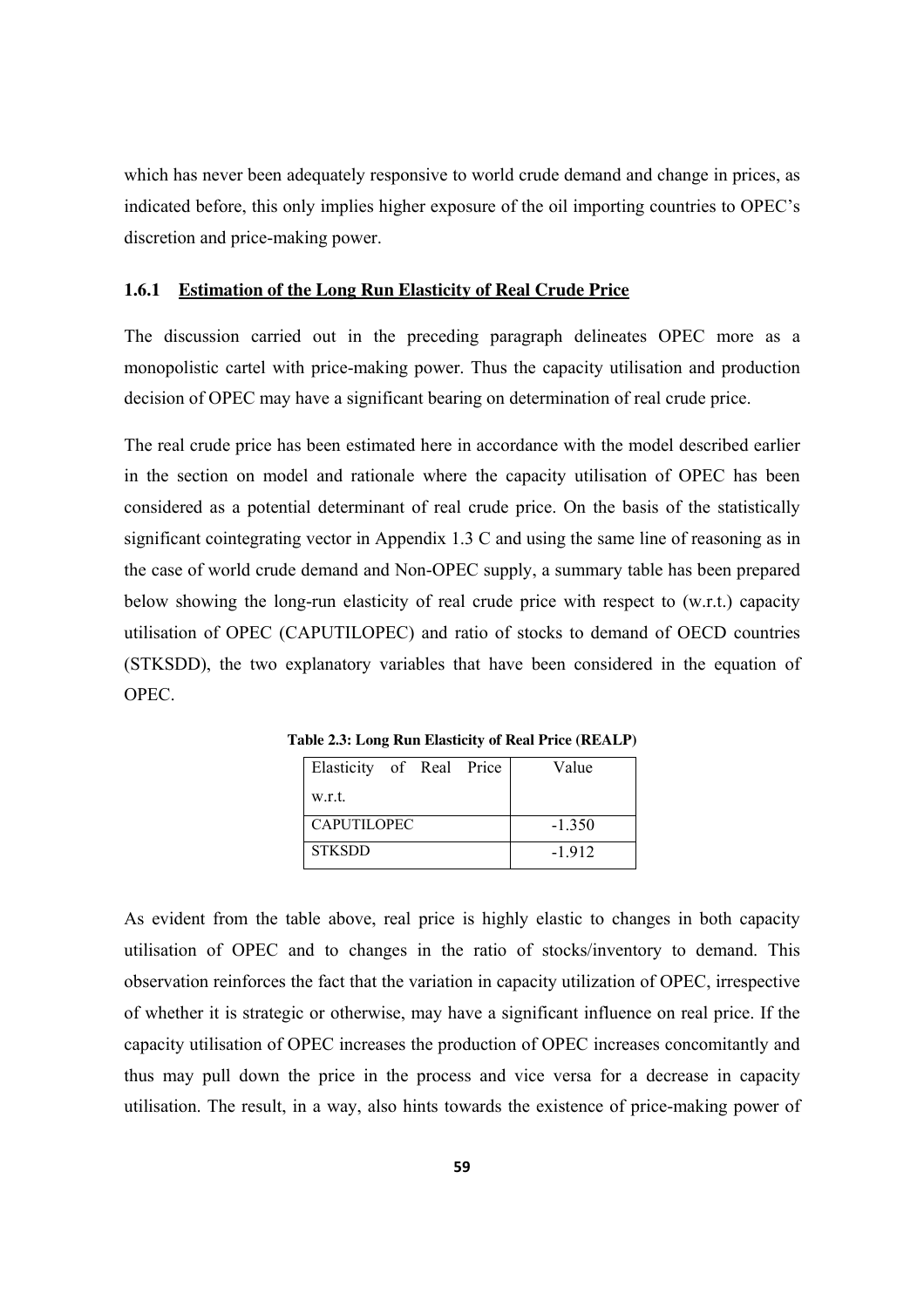which has never been adequately responsive to world crude demand and change in prices, as indicated before, this only implies higher exposure of the oil importing countries to OPEC's discretion and price-making power.

### **1.6.1 Estimation of the Long Run Elasticity of Real Crude Price**

The discussion carried out in the preceding paragraph delineates OPEC more as a monopolistic cartel with price-making power. Thus the capacity utilisation and production decision of OPEC may have a significant bearing on determination of real crude price.

The real crude price has been estimated here in accordance with the model described earlier in the section on model and rationale where the capacity utilisation of OPEC has been considered as a potential determinant of real crude price. On the basis of the statistically significant cointegrating vector in Appendix 1.3 C and using the same line of reasoning as in the case of world crude demand and Non-OPEC supply, a summary table has been prepared below showing the long-run elasticity of real crude price with respect to (w.r.t.) capacity utilisation of OPEC (CAPUTILOPEC) and ratio of stocks to demand of OECD countries (STKSDD), the two explanatory variables that have been considered in the equation of OPEC.

| Elasticity of Real Price | Value    |
|--------------------------|----------|
| w.r.t.                   |          |
| <b>CAPUTILOPEC</b>       | $-1.350$ |
| <b>STKSDD</b>            | $-1.912$ |

**Table 2.3: Long Run Elasticity of Real Price (REALP)** 

As evident from the table above, real price is highly elastic to changes in both capacity utilisation of OPEC and to changes in the ratio of stocks/inventory to demand. This observation reinforces the fact that the variation in capacity utilization of OPEC, irrespective of whether it is strategic or otherwise, may have a significant influence on real price. If the capacity utilisation of OPEC increases the production of OPEC increases concomitantly and thus may pull down the price in the process and vice versa for a decrease in capacity utilisation. The result, in a way, also hints towards the existence of price-making power of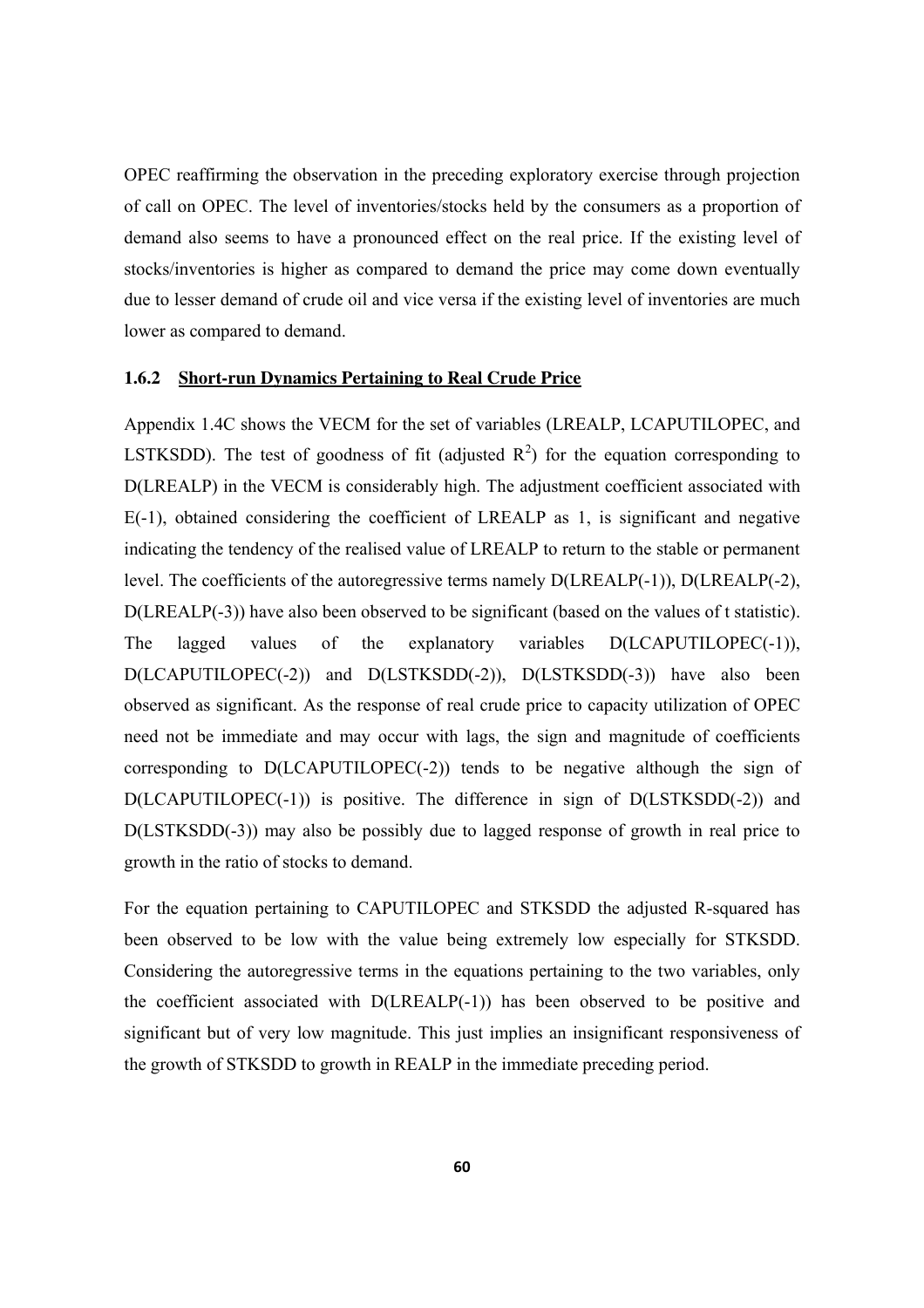OPEC reaffirming the observation in the preceding exploratory exercise through projection of call on OPEC. The level of inventories/stocks held by the consumers as a proportion of demand also seems to have a pronounced effect on the real price. If the existing level of stocks/inventories is higher as compared to demand the price may come down eventually due to lesser demand of crude oil and vice versa if the existing level of inventories are much lower as compared to demand.

#### **1.6.2 Short-run Dynamics Pertaining to Real Crude Price**

Appendix 1.4C shows the VECM for the set of variables (LREALP, LCAPUTILOPEC, and LSTKSDD). The test of goodness of fit (adjusted  $R^2$ ) for the equation corresponding to D(LREALP) in the VECM is considerably high. The adjustment coefficient associated with E(-1), obtained considering the coefficient of LREALP as 1, is significant and negative indicating the tendency of the realised value of LREALP to return to the stable or permanent level. The coefficients of the autoregressive terms namely D(LREALP(-1)), D(LREALP(-2), D(LREALP(-3)) have also been observed to be significant (based on the values of t statistic). The lagged values of the explanatory variables D(LCAPUTILOPEC(-1)), D(LCAPUTILOPEC(-2)) and D(LSTKSDD(-2)), D(LSTKSDD(-3)) have also been observed as significant. As the response of real crude price to capacity utilization of OPEC need not be immediate and may occur with lags, the sign and magnitude of coefficients corresponding to D(LCAPUTILOPEC(-2)) tends to be negative although the sign of D(LCAPUTILOPEC(-1)) is positive. The difference in sign of D(LSTKSDD(-2)) and D(LSTKSDD(-3)) may also be possibly due to lagged response of growth in real price to growth in the ratio of stocks to demand.

For the equation pertaining to CAPUTILOPEC and STKSDD the adjusted R-squared has been observed to be low with the value being extremely low especially for STKSDD. Considering the autoregressive terms in the equations pertaining to the two variables, only the coefficient associated with D(LREALP(-1)) has been observed to be positive and significant but of very low magnitude. This just implies an insignificant responsiveness of the growth of STKSDD to growth in REALP in the immediate preceding period.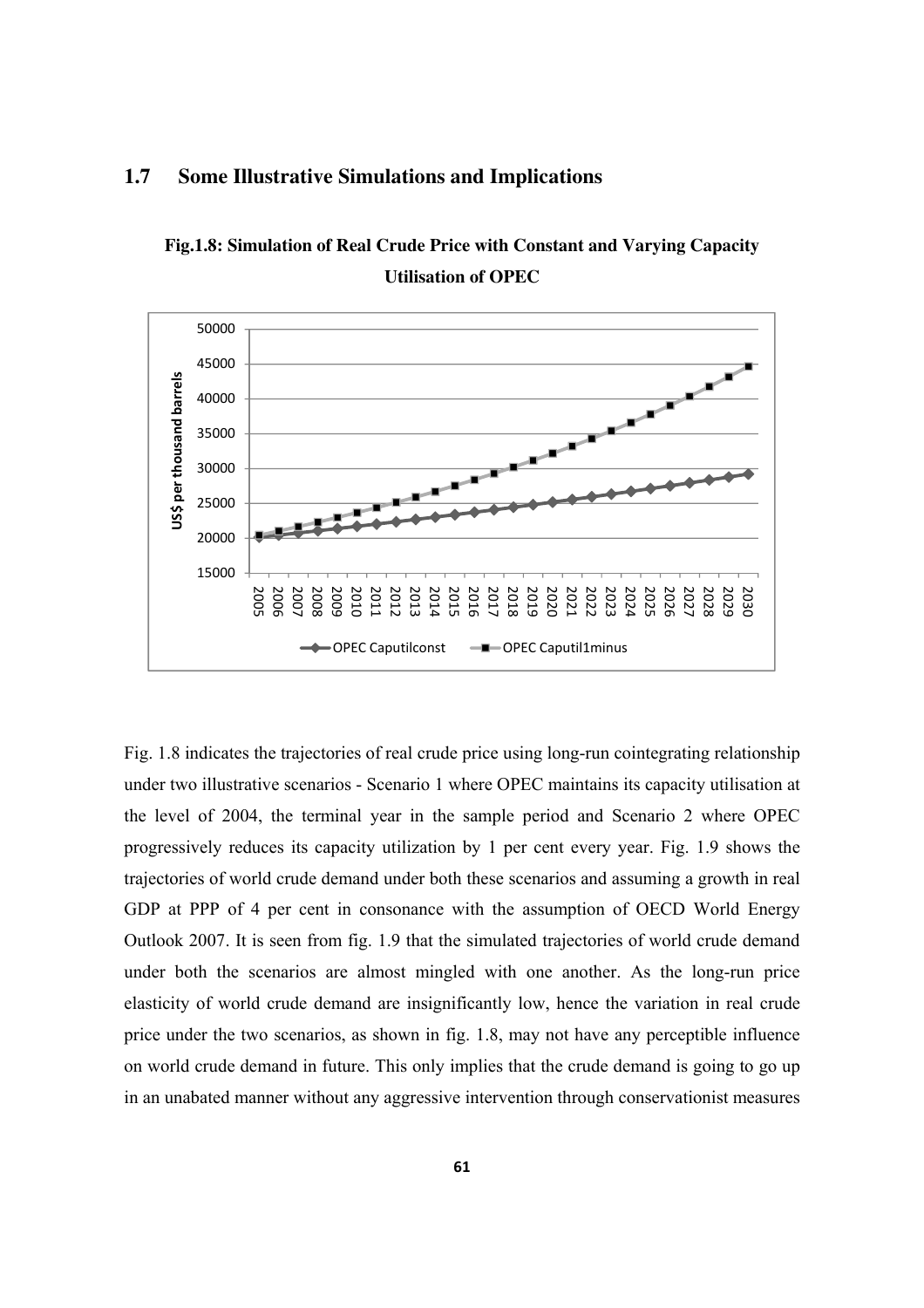

#### **1.7 Some Illustrative Simulations and Implications**

**Fig.1.8: Simulation of Real Crude Price with Constant and Varying Capacity Utilisation of OPEC** 

Fig. 1.8 indicates the trajectories of real crude price using long-run cointegrating relationship under two illustrative scenarios - Scenario 1 where OPEC maintains its capacity utilisation at the level of 2004, the terminal year in the sample period and Scenario 2 where OPEC progressively reduces its capacity utilization by 1 per cent every year. Fig. 1.9 shows the trajectories of world crude demand under both these scenarios and assuming a growth in real GDP at PPP of 4 per cent in consonance with the assumption of OECD World Energy Outlook 2007. It is seen from fig. 1.9 that the simulated trajectories of world crude demand under both the scenarios are almost mingled with one another. As the long-run price elasticity of world crude demand are insignificantly low, hence the variation in real crude price under the two scenarios, as shown in fig. 1.8, may not have any perceptible influence on world crude demand in future. This only implies that the crude demand is going to go up in an unabated manner without any aggressive intervention through conservationist measures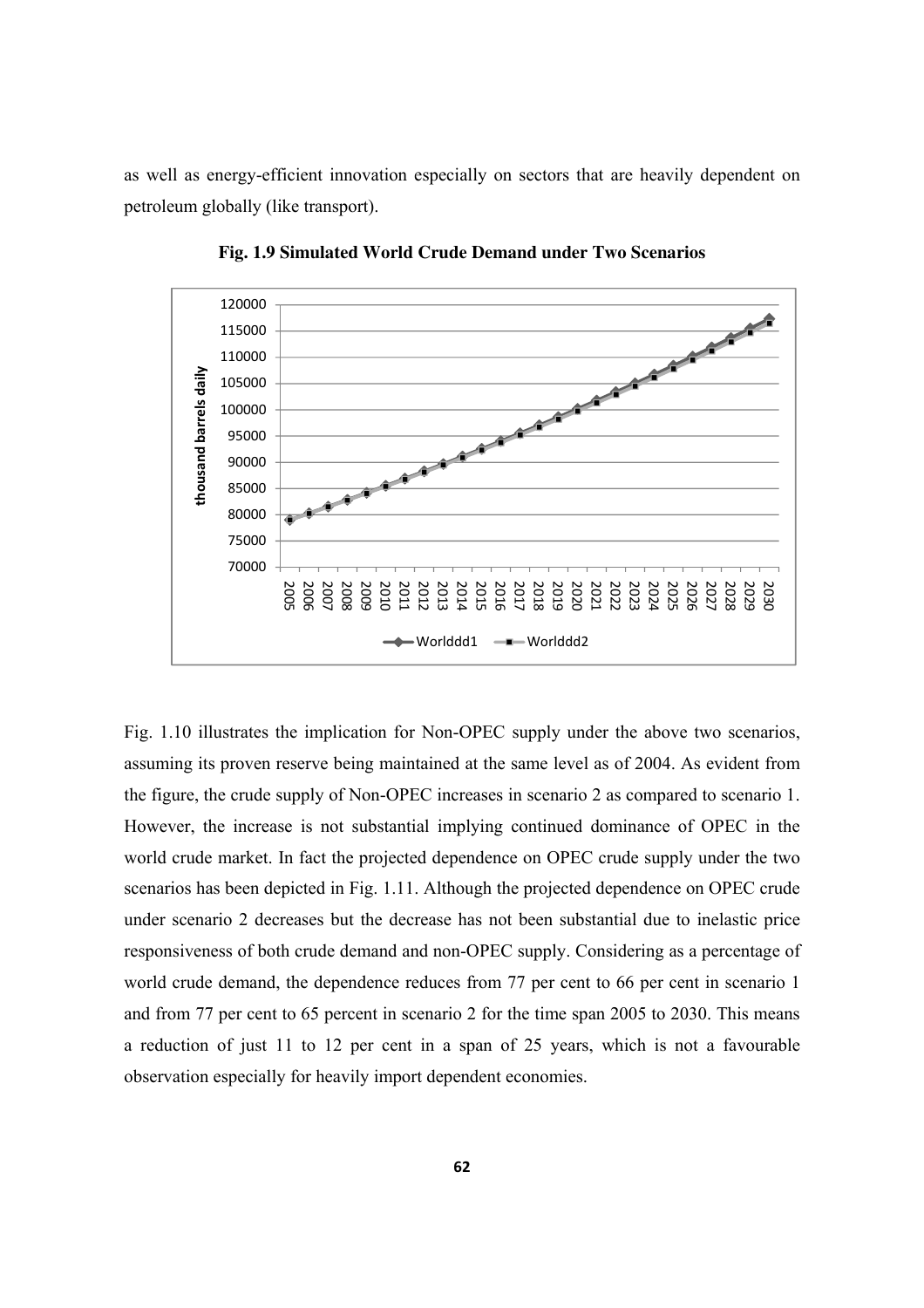as well as energy-efficient innovation especially on sectors that are heavily dependent on petroleum globally (like transport).



**Fig. 1.9 Simulated World Crude Demand under Two Scenarios** 

Fig. 1.10 illustrates the implication for Non-OPEC supply under the above two scenarios, assuming its proven reserve being maintained at the same level as of 2004. As evident from the figure, the crude supply of Non-OPEC increases in scenario 2 as compared to scenario 1. However, the increase is not substantial implying continued dominance of OPEC in the world crude market. In fact the projected dependence on OPEC crude supply under the two scenarios has been depicted in Fig. 1.11. Although the projected dependence on OPEC crude under scenario 2 decreases but the decrease has not been substantial due to inelastic price responsiveness of both crude demand and non-OPEC supply. Considering as a percentage of world crude demand, the dependence reduces from 77 per cent to 66 per cent in scenario 1 and from 77 per cent to 65 percent in scenario 2 for the time span 2005 to 2030. This means a reduction of just 11 to 12 per cent in a span of 25 years, which is not a favourable observation especially for heavily import dependent economies.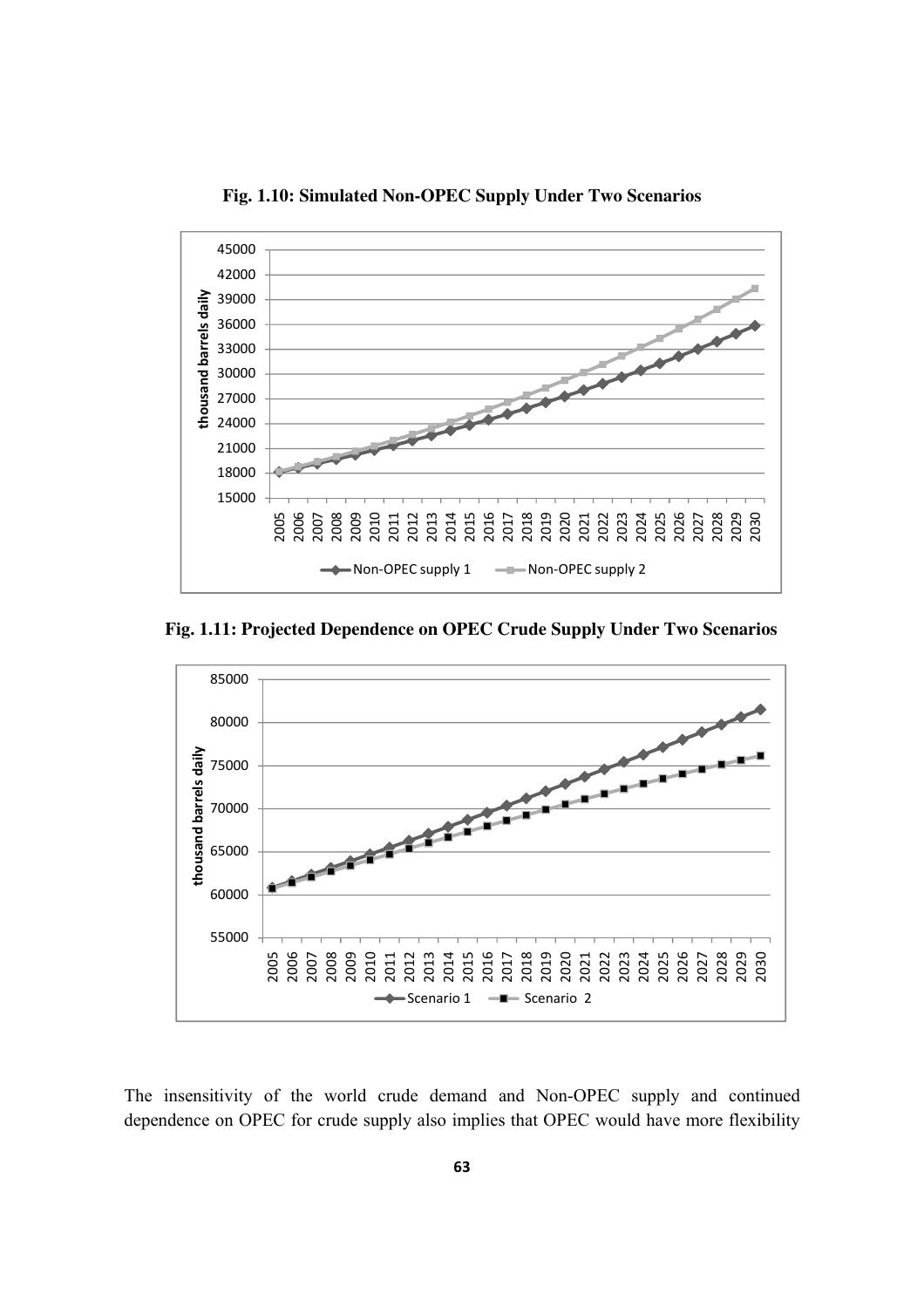**Fig. 1.10: Simulated Non-OPEC Supply Under Two Scenarios** 



 **Fig. 1.11: Projected Dependence on OPEC Crude Supply Under Two Scenarios**



The insensitivity of the world crude demand and Non-OPEC supply and continued dependence on OPEC for crude supply also implies that OPEC would have more flexibility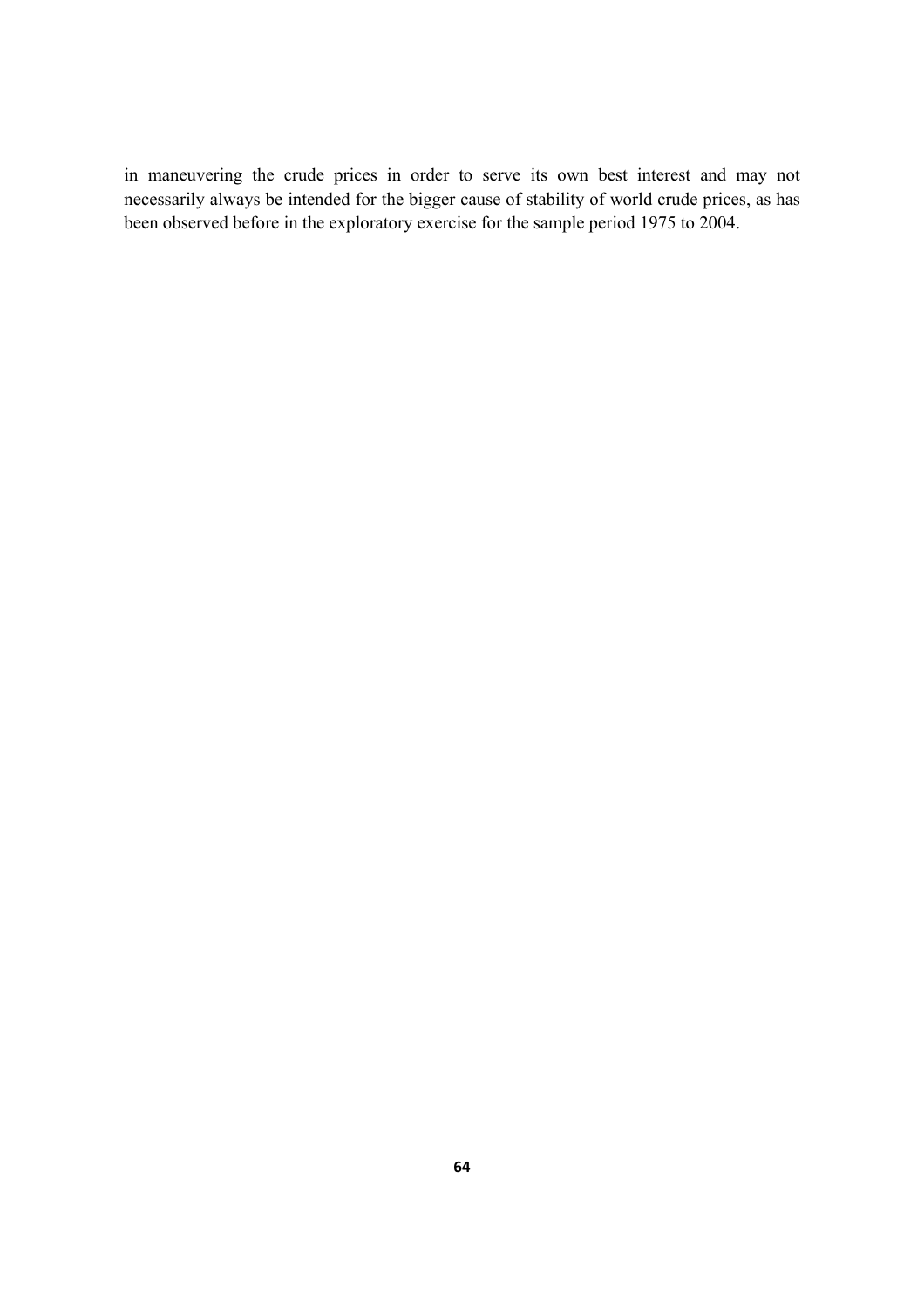in maneuvering the crude prices in order to serve its own best interest and may not necessarily always be intended for the bigger cause of stability of world crude prices, as has been observed before in the exploratory exercise for the sample period 1975 to 2004.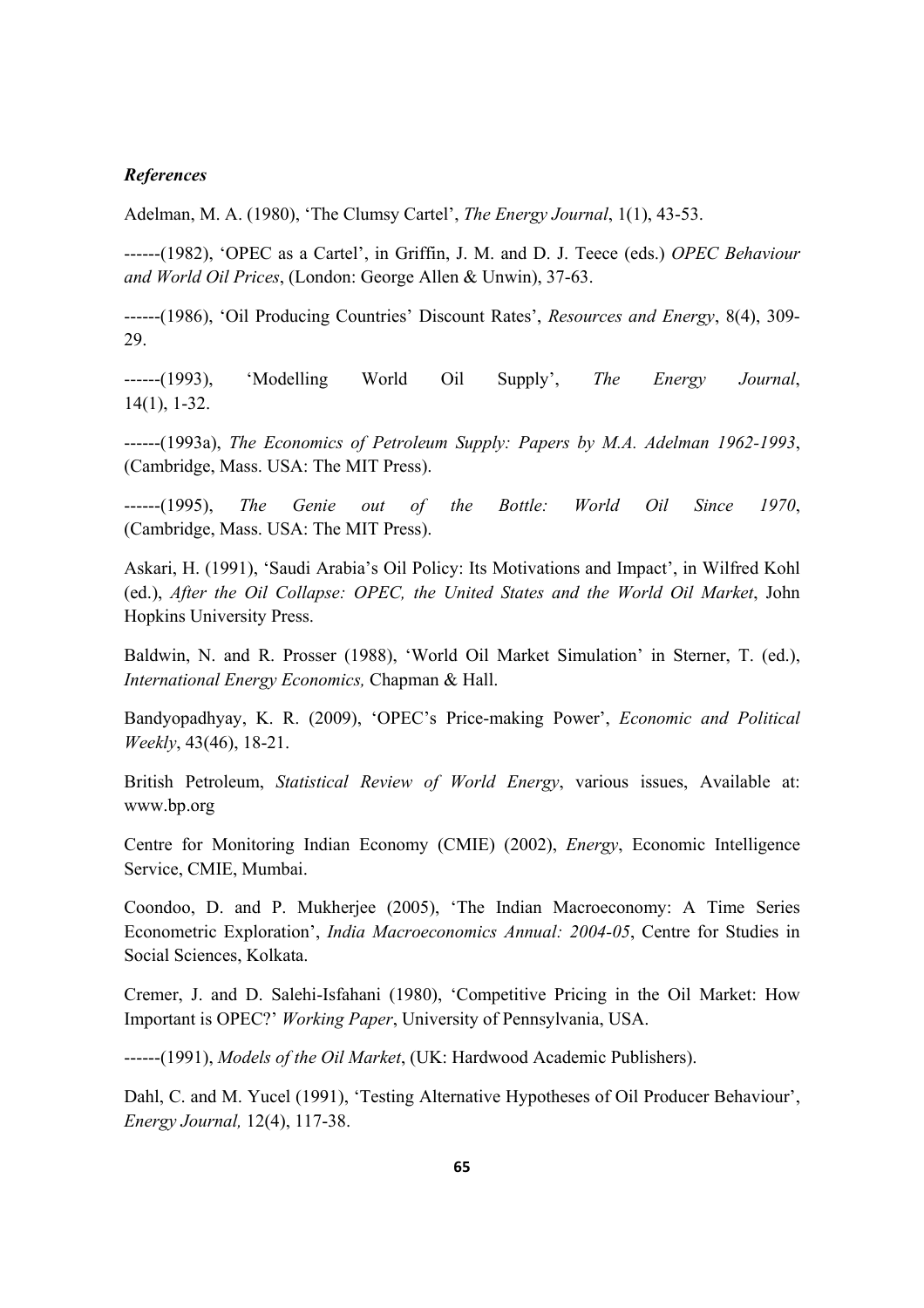#### *References*

Adelman, M. A. (1980), 'The Clumsy Cartel', *The Energy Journal*, 1(1), 43-53.

------(1982), 'OPEC as a Cartel', in Griffin, J. M. and D. J. Teece (eds.) *OPEC Behaviour and World Oil Prices*, (London: George Allen & Unwin), 37-63.

------(1986), 'Oil Producing Countries' Discount Rates', *Resources and Energy*, 8(4), 309- 29.

------(1993), 'Modelling World Oil Supply', *The Energy Journal*, 14(1), 1-32.

------(1993a), *The Economics of Petroleum Supply: Papers by M.A. Adelman 1962-1993*, (Cambridge, Mass. USA: The MIT Press).

------(1995), *The Genie out of the Bottle: World Oil Since 1970*, (Cambridge, Mass. USA: The MIT Press).

Askari, H. (1991), 'Saudi Arabia's Oil Policy: Its Motivations and Impact', in Wilfred Kohl (ed.), *After the Oil Collapse: OPEC, the United States and the World Oil Market*, John Hopkins University Press.

Baldwin, N. and R. Prosser (1988), 'World Oil Market Simulation' in Sterner, T. (ed.), *International Energy Economics,* Chapman & Hall.

Bandyopadhyay, K. R. (2009), 'OPEC's Price-making Power', *Economic and Political Weekly*, 43(46), 18-21.

British Petroleum, *Statistical Review of World Energy*, various issues, Available at: www.bp.org

Centre for Monitoring Indian Economy (CMIE) (2002), *Energy*, Economic Intelligence Service, CMIE, Mumbai.

Coondoo, D. and P. Mukherjee (2005), 'The Indian Macroeconomy: A Time Series Econometric Exploration', *India Macroeconomics Annual: 2004-05*, Centre for Studies in Social Sciences, Kolkata.

Cremer, J. and D. Salehi-Isfahani (1980), 'Competitive Pricing in the Oil Market: How Important is OPEC?' *Working Paper*, University of Pennsylvania, USA.

------(1991), *Models of the Oil Market*, (UK: Hardwood Academic Publishers).

Dahl, C. and M. Yucel (1991), 'Testing Alternative Hypotheses of Oil Producer Behaviour', *Energy Journal,* 12(4), 117-38.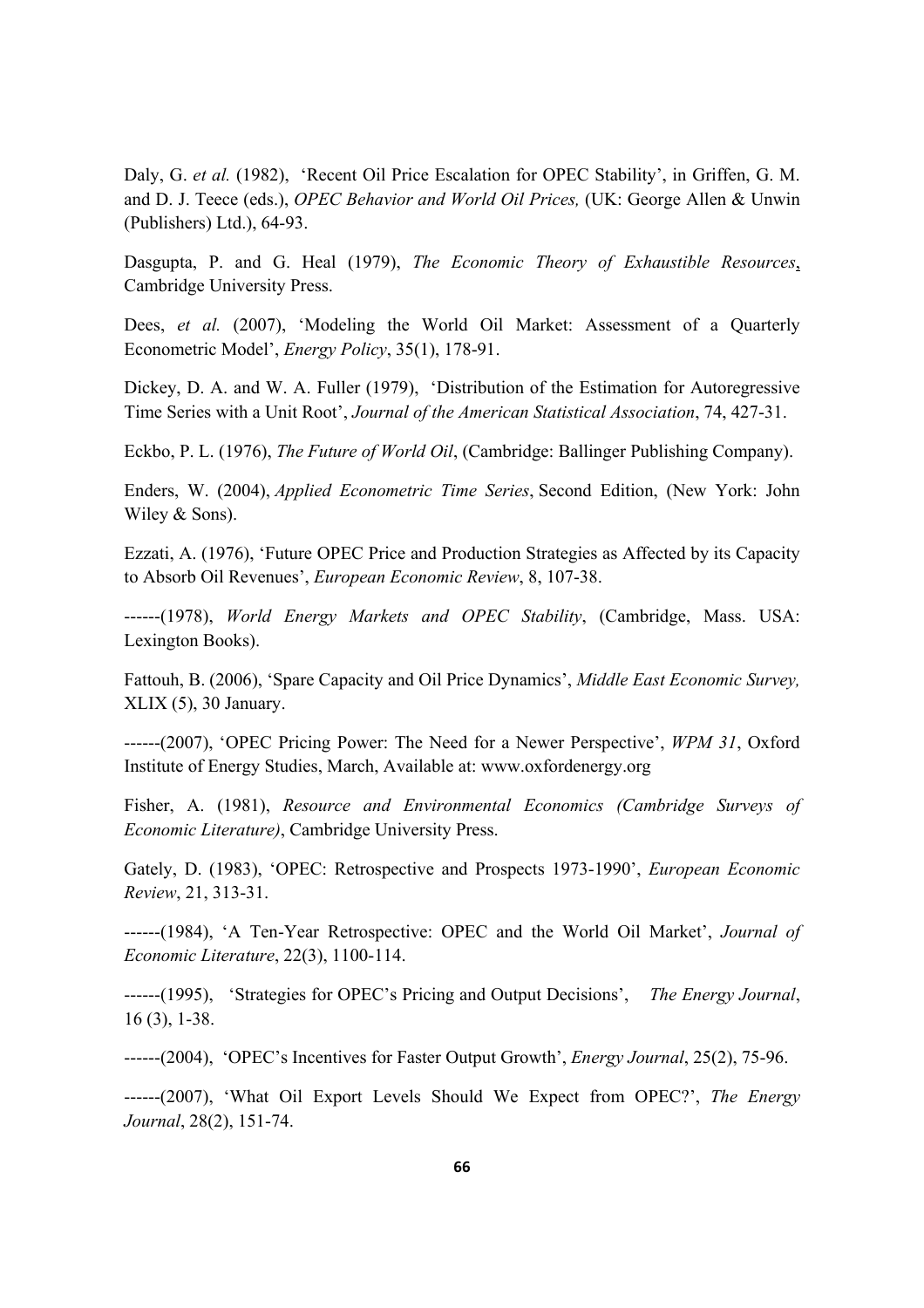Daly, G. *et al.* (1982), 'Recent Oil Price Escalation for OPEC Stability', in Griffen, G. M. and D. J. Teece (eds.), *OPEC Behavior and World Oil Prices,* (UK: George Allen & Unwin (Publishers) Ltd.), 64-93.

Dasgupta, P. and G. Heal (1979), *The Economic Theory of Exhaustible Resources*, Cambridge University Press.

Dees, *et al.* (2007), 'Modeling the World Oil Market: Assessment of a Quarterly Econometric Model', *Energy Policy*, 35(1), 178-91.

Dickey, D. A. and W. A. Fuller (1979), 'Distribution of the Estimation for Autoregressive Time Series with a Unit Root', *Journal of the American Statistical Association*, 74, 427-31.

Eckbo, P. L. (1976), *The Future of World Oil*, (Cambridge: Ballinger Publishing Company).

Enders, W. (2004), *Applied Econometric Time Series*, Second Edition, (New York: John Wiley & Sons).

Ezzati, A. (1976), 'Future OPEC Price and Production Strategies as Affected by its Capacity to Absorb Oil Revenues', *European Economic Review*, 8, 107-38.

------(1978), *World Energy Markets and OPEC Stability*, (Cambridge, Mass. USA: Lexington Books).

Fattouh, B. (2006), 'Spare Capacity and Oil Price Dynamics', *Middle East Economic Survey,*  XLIX (5), 30 January.

------(2007), 'OPEC Pricing Power: The Need for a Newer Perspective', *WPM 31*, Oxford Institute of Energy Studies, March, Available at: www.oxfordenergy.org

Fisher, A. (1981), *Resource and Environmental Economics (Cambridge Surveys of Economic Literature)*, Cambridge University Press.

Gately, D. (1983), 'OPEC: Retrospective and Prospects 1973-1990', *European Economic Review*, 21, 313-31.

------(1984), 'A Ten-Year Retrospective: OPEC and the World Oil Market', *Journal of Economic Literature*, 22(3), 1100-114.

------(1995), 'Strategies for OPEC's Pricing and Output Decisions', *The Energy Journal*, 16 (3), 1-38.

------(2004), 'OPEC's Incentives for Faster Output Growth', *Energy Journal*, 25(2), 75-96.

------(2007), 'What Oil Export Levels Should We Expect from OPEC?', *The Energy Journal*, 28(2), 151-74.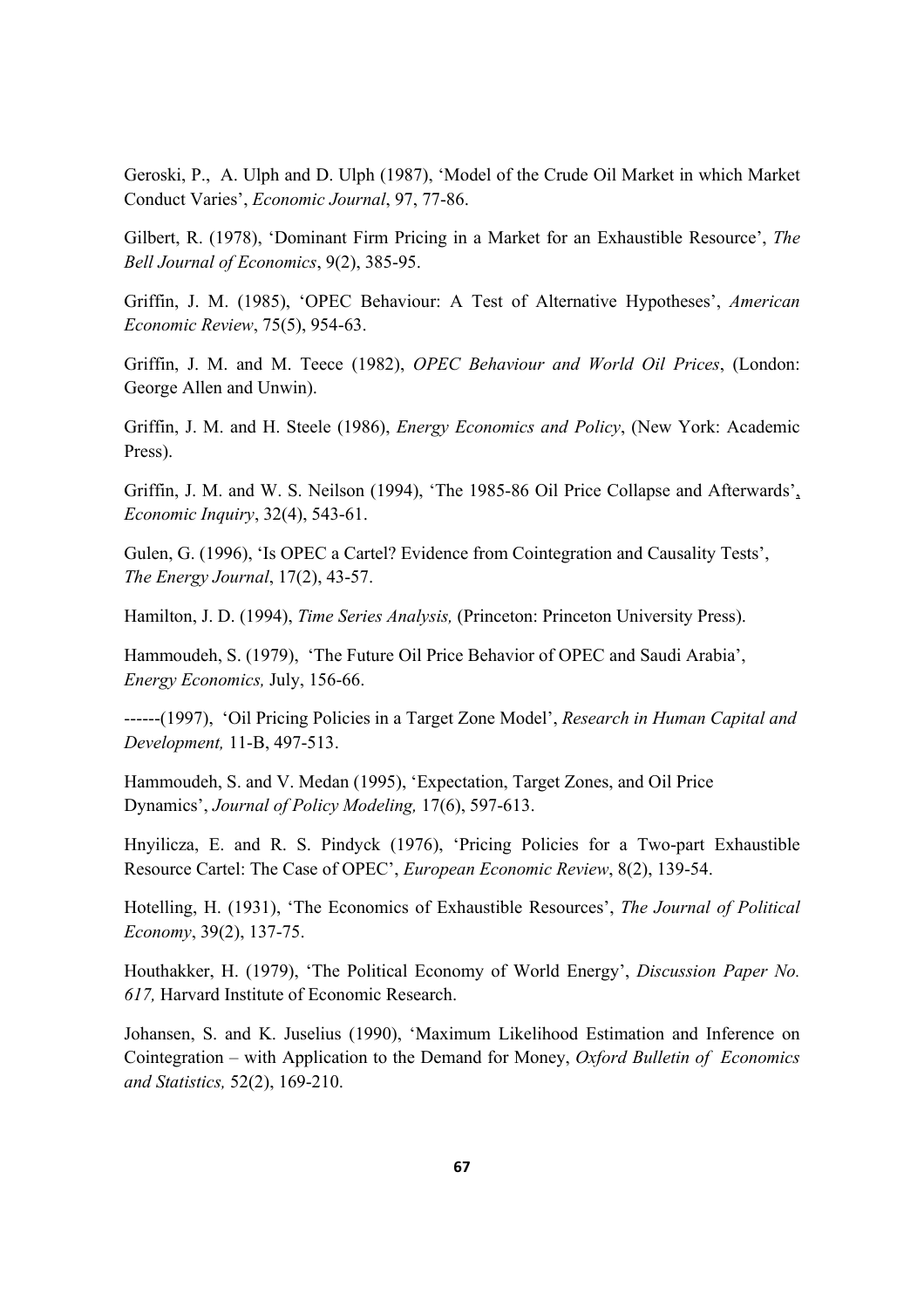Geroski, P., A. Ulph and D. Ulph (1987), 'Model of the Crude Oil Market in which Market Conduct Varies', *Economic Journal*, 97, 77-86.

Gilbert, R. (1978), 'Dominant Firm Pricing in a Market for an Exhaustible Resource', *The Bell Journal of Economics*, 9(2), 385-95.

Griffin, J. M. (1985), 'OPEC Behaviour: A Test of Alternative Hypotheses', *American Economic Review*, 75(5), 954-63.

Griffin, J. M. and M. Teece (1982), *OPEC Behaviour and World Oil Prices*, (London: George Allen and Unwin).

Griffin, J. M. and H. Steele (1986), *Energy Economics and Policy*, (New York: Academic Press).

Griffin, J. M. and W. S. Neilson (1994), 'The 1985-86 Oil Price Collapse and Afterwards', *Economic Inquiry*, 32(4), 543-61.

Gulen, G. (1996), 'Is OPEC a Cartel? Evidence from Cointegration and Causality Tests', *The Energy Journal*, 17(2), 43-57.

Hamilton, J. D. (1994), *Time Series Analysis,* (Princeton: Princeton University Press).

Hammoudeh, S. (1979), 'The Future Oil Price Behavior of OPEC and Saudi Arabia', *Energy Economics,* July, 156-66.

------(1997), 'Oil Pricing Policies in a Target Zone Model', *Research in Human Capital and Development,* 11-B, 497-513.

Hammoudeh, S. and V. Medan (1995), 'Expectation, Target Zones, and Oil Price Dynamics', *Journal of Policy Modeling,* 17(6), 597-613.

Hnyilicza, E. and R. S. Pindyck (1976), 'Pricing Policies for a Two-part Exhaustible Resource Cartel: The Case of OPEC', *European Economic Review*, 8(2), 139-54.

Hotelling, H. (1931), 'The Economics of Exhaustible Resources', *The Journal of Political Economy*, 39(2), 137-75.

Houthakker, H. (1979), 'The Political Economy of World Energy', *Discussion Paper No. 617,* Harvard Institute of Economic Research.

Johansen, S. and K. Juselius (1990), 'Maximum Likelihood Estimation and Inference on Cointegration – with Application to the Demand for Money, *Oxford Bulletin of Economics and Statistics,* 52(2), 169-210.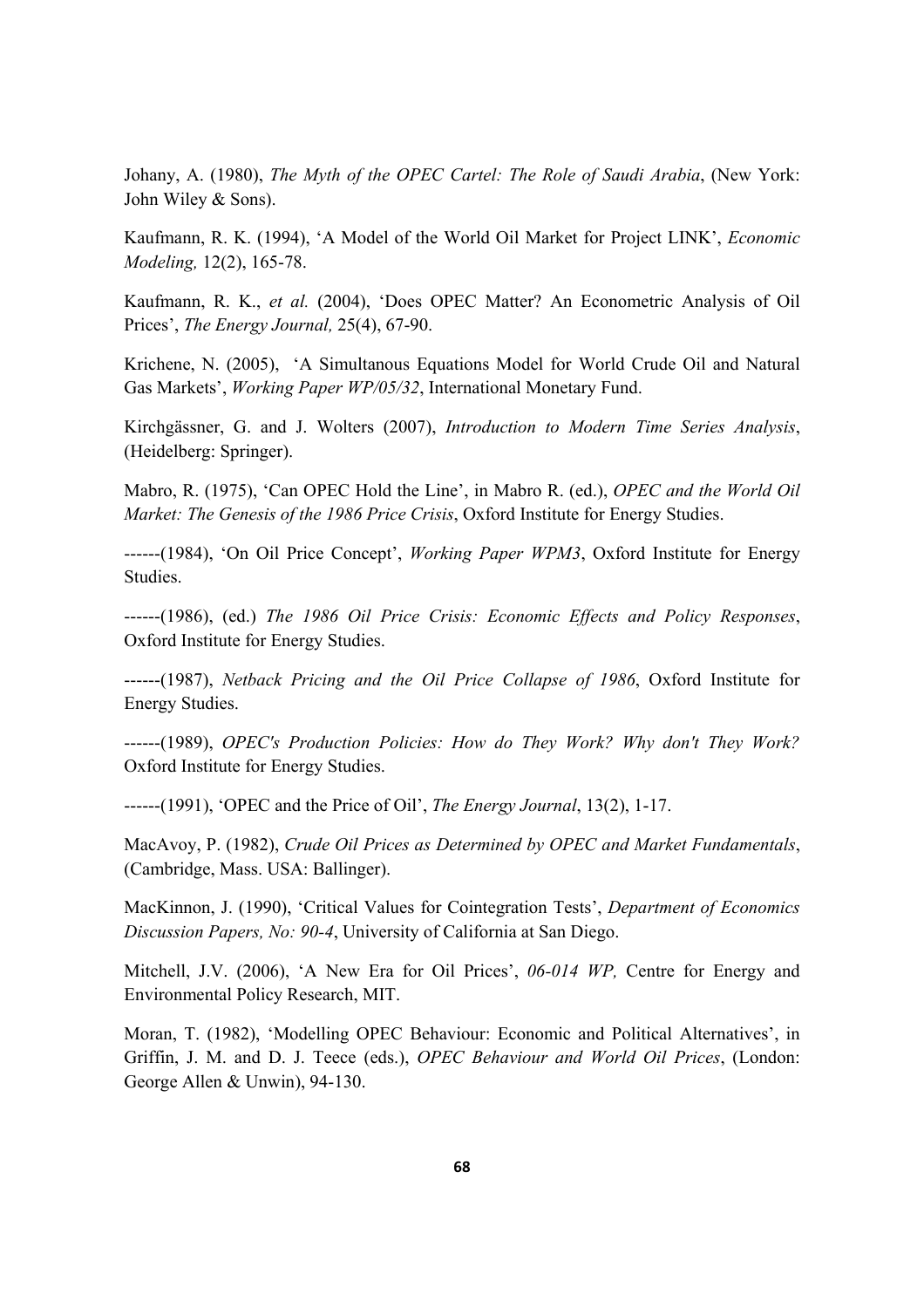Johany, A. (1980), *The Myth of the OPEC Cartel: The Role of Saudi Arabia*, (New York: John Wiley & Sons).

Kaufmann, R. K. (1994), 'A Model of the World Oil Market for Project LINK', *Economic Modeling,* 12(2), 165-78.

Kaufmann, R. K., *et al.* (2004), 'Does OPEC Matter? An Econometric Analysis of Oil Prices', *The Energy Journal,* 25(4), 67-90.

Krichene, N. (2005), 'A Simultanous Equations Model for World Crude Oil and Natural Gas Markets', *Working Paper WP/05/32*, International Monetary Fund.

Kirchgässner, G. and J. Wolters (2007), *Introduction to Modern Time Series Analysis*, (Heidelberg: Springer).

Mabro, R. (1975), 'Can OPEC Hold the Line', in Mabro R. (ed.), *OPEC and the World Oil Market: The Genesis of the 1986 Price Crisis*, Oxford Institute for Energy Studies.

------(1984), 'On Oil Price Concept', *Working Paper WPM3*, Oxford Institute for Energy Studies.

------(1986), (ed.) *The 1986 Oil Price Crisis: Economic Effects and Policy Responses*, Oxford Institute for Energy Studies.

------(1987), *Netback Pricing and the Oil Price Collapse of 1986*, Oxford Institute for Energy Studies.

------(1989), *OPEC's Production Policies: How do They Work? Why don't They Work?* Oxford Institute for Energy Studies.

------(1991), 'OPEC and the Price of Oil', *The Energy Journal*, 13(2), 1-17.

MacAvoy, P. (1982), *Crude Oil Prices as Determined by OPEC and Market Fundamentals*, (Cambridge, Mass. USA: Ballinger).

MacKinnon, J. (1990), 'Critical Values for Cointegration Tests', *Department of Economics Discussion Papers, No: 90-4*, University of California at San Diego.

Mitchell, J.V. (2006), 'A New Era for Oil Prices', *06-014 WP,* Centre for Energy and Environmental Policy Research, MIT.

Moran, T. (1982), 'Modelling OPEC Behaviour: Economic and Political Alternatives', in Griffin, J. M. and D. J. Teece (eds.), *OPEC Behaviour and World Oil Prices*, (London: George Allen & Unwin), 94-130.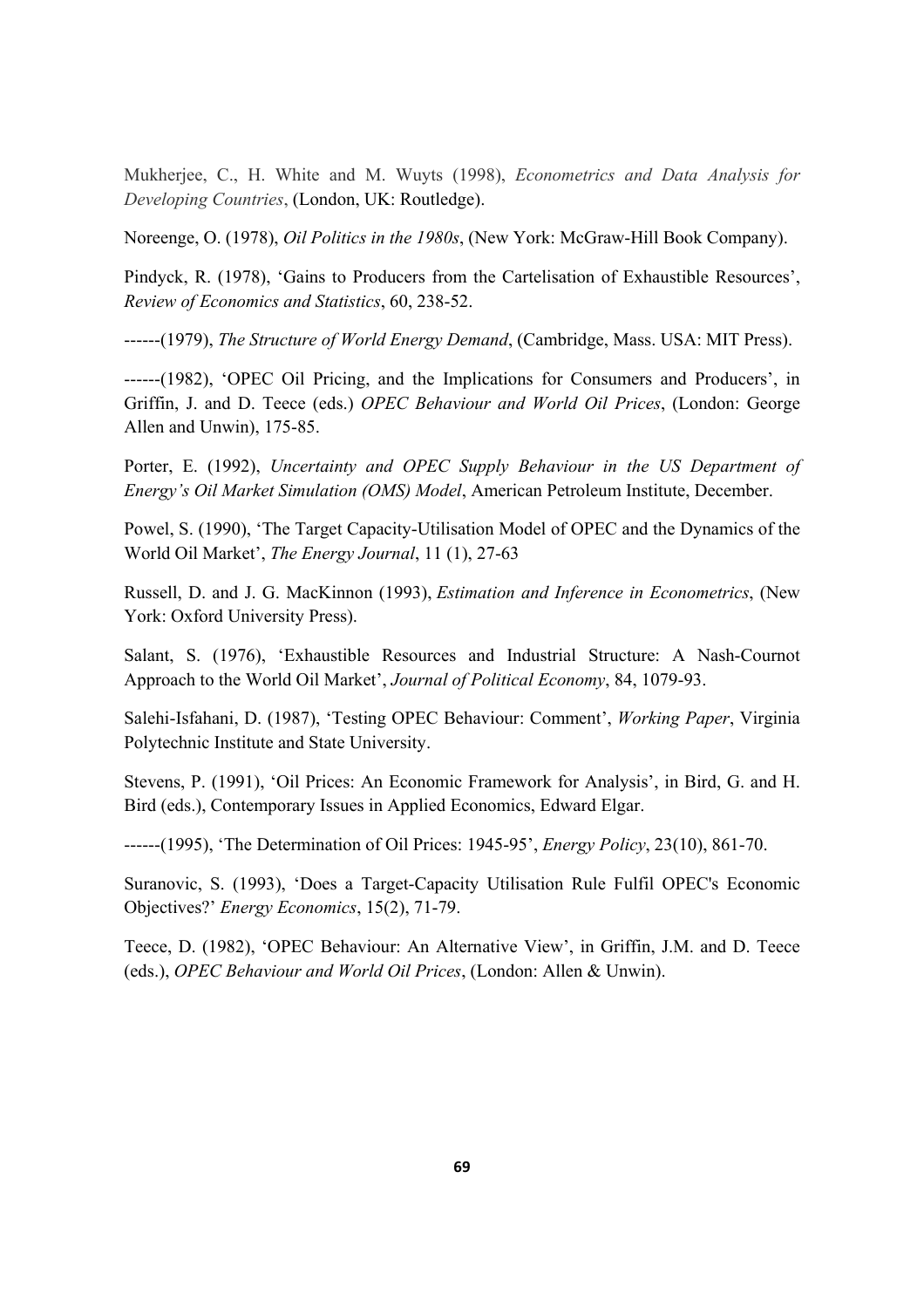Mukherjee, C., H. White and M. Wuyts (1998), *Econometrics and Data Analysis for Developing Countries*, (London, UK: Routledge).

Noreenge, O. (1978), *Oil Politics in the 1980s*, (New York: McGraw-Hill Book Company).

Pindyck, R. (1978), 'Gains to Producers from the Cartelisation of Exhaustible Resources', *Review of Economics and Statistics*, 60, 238-52.

------(1979), *The Structure of World Energy Demand*, (Cambridge, Mass. USA: MIT Press).

------(1982), 'OPEC Oil Pricing, and the Implications for Consumers and Producers', in Griffin, J. and D. Teece (eds.) *OPEC Behaviour and World Oil Prices*, (London: George Allen and Unwin), 175-85.

Porter, E. (1992), *Uncertainty and OPEC Supply Behaviour in the US Department of Energy's Oil Market Simulation (OMS) Model*, American Petroleum Institute, December.

Powel, S. (1990), 'The Target Capacity-Utilisation Model of OPEC and the Dynamics of the World Oil Market', *The Energy Journal*, 11 (1), 27-63

Russell, D. and J. G. MacKinnon (1993), *Estimation and Inference in Econometrics*, (New York: Oxford University Press).

Salant, S. (1976), 'Exhaustible Resources and Industrial Structure: A Nash-Cournot Approach to the World Oil Market', *Journal of Political Economy*, 84, 1079-93.

Salehi-Isfahani, D. (1987), 'Testing OPEC Behaviour: Comment', *Working Paper*, Virginia Polytechnic Institute and State University.

Stevens, P. (1991), 'Oil Prices: An Economic Framework for Analysis', in Bird, G. and H. Bird (eds.), Contemporary Issues in Applied Economics, Edward Elgar.

------(1995), 'The Determination of Oil Prices: 1945-95', *Energy Policy*, 23(10), 861-70.

Suranovic, S. (1993), 'Does a Target-Capacity Utilisation Rule Fulfil OPEC's Economic Objectives?' *Energy Economics*, 15(2), 71-79.

Teece, D. (1982), 'OPEC Behaviour: An Alternative View', in Griffin, J.M. and D. Teece (eds.), *OPEC Behaviour and World Oil Prices*, (London: Allen & Unwin).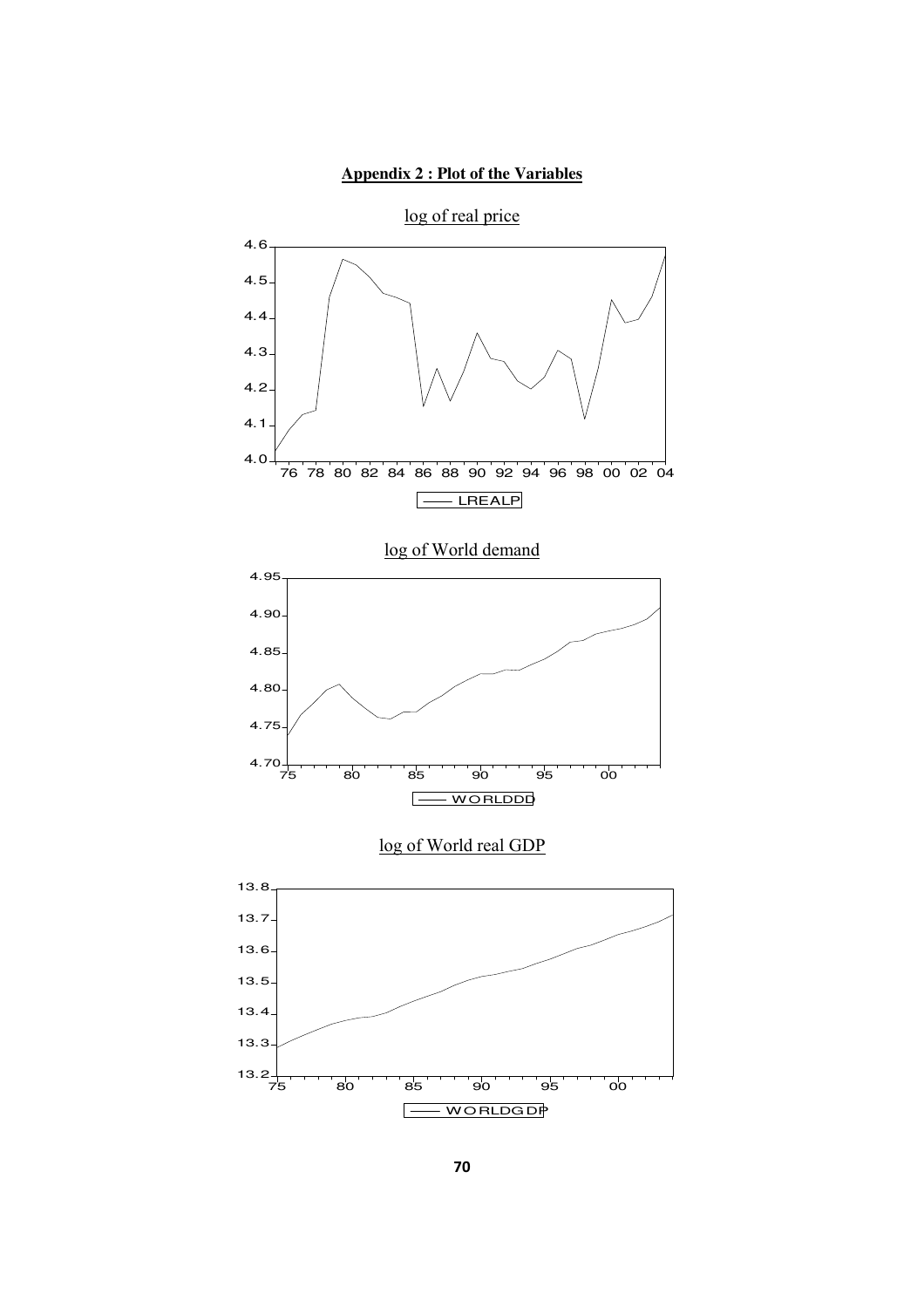### **Appendix 2 : Plot of the Variables**

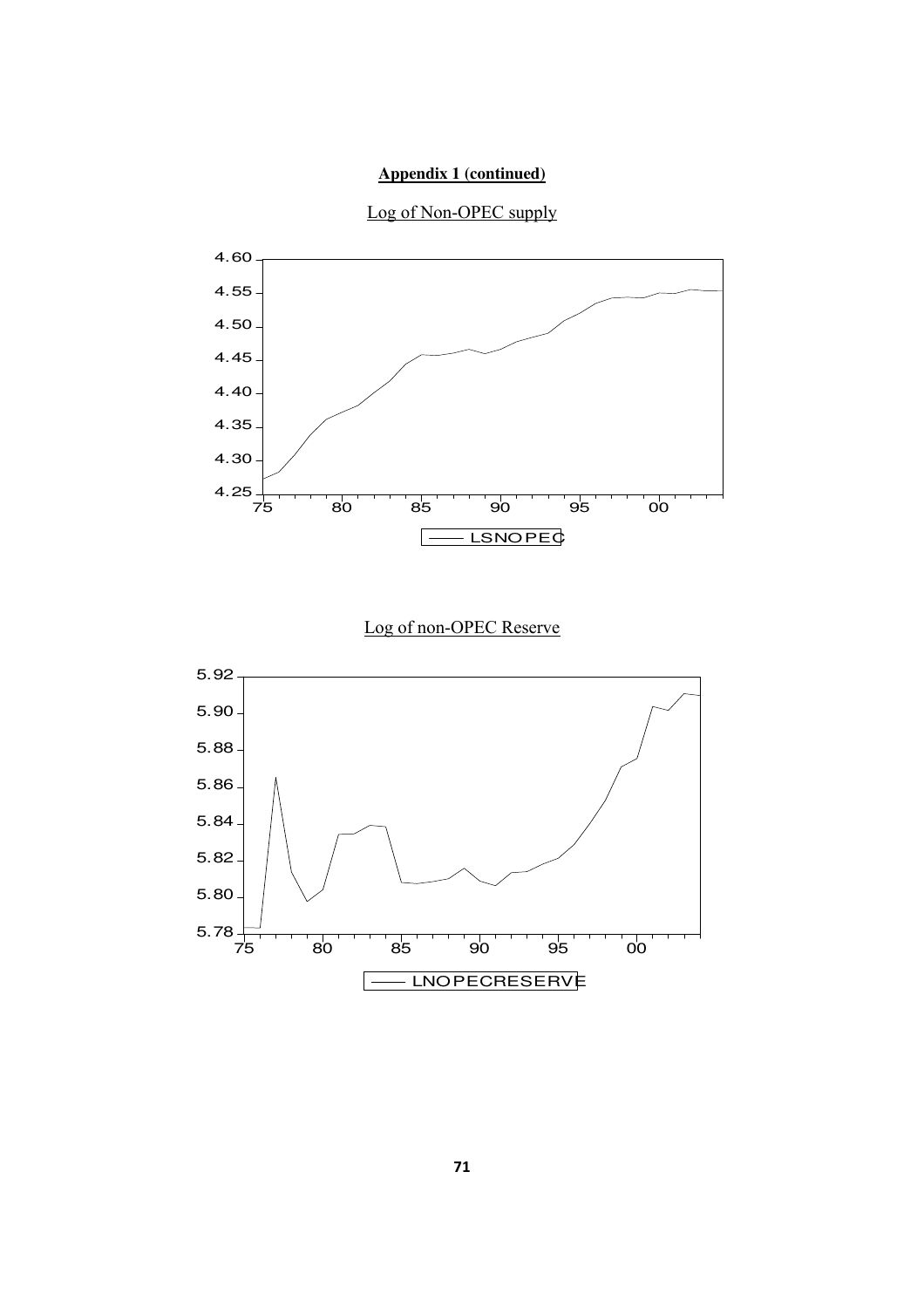### **Appendix 1 (continued)**



Log of Non-OPEC supply

# Log of non-OPEC Reserve

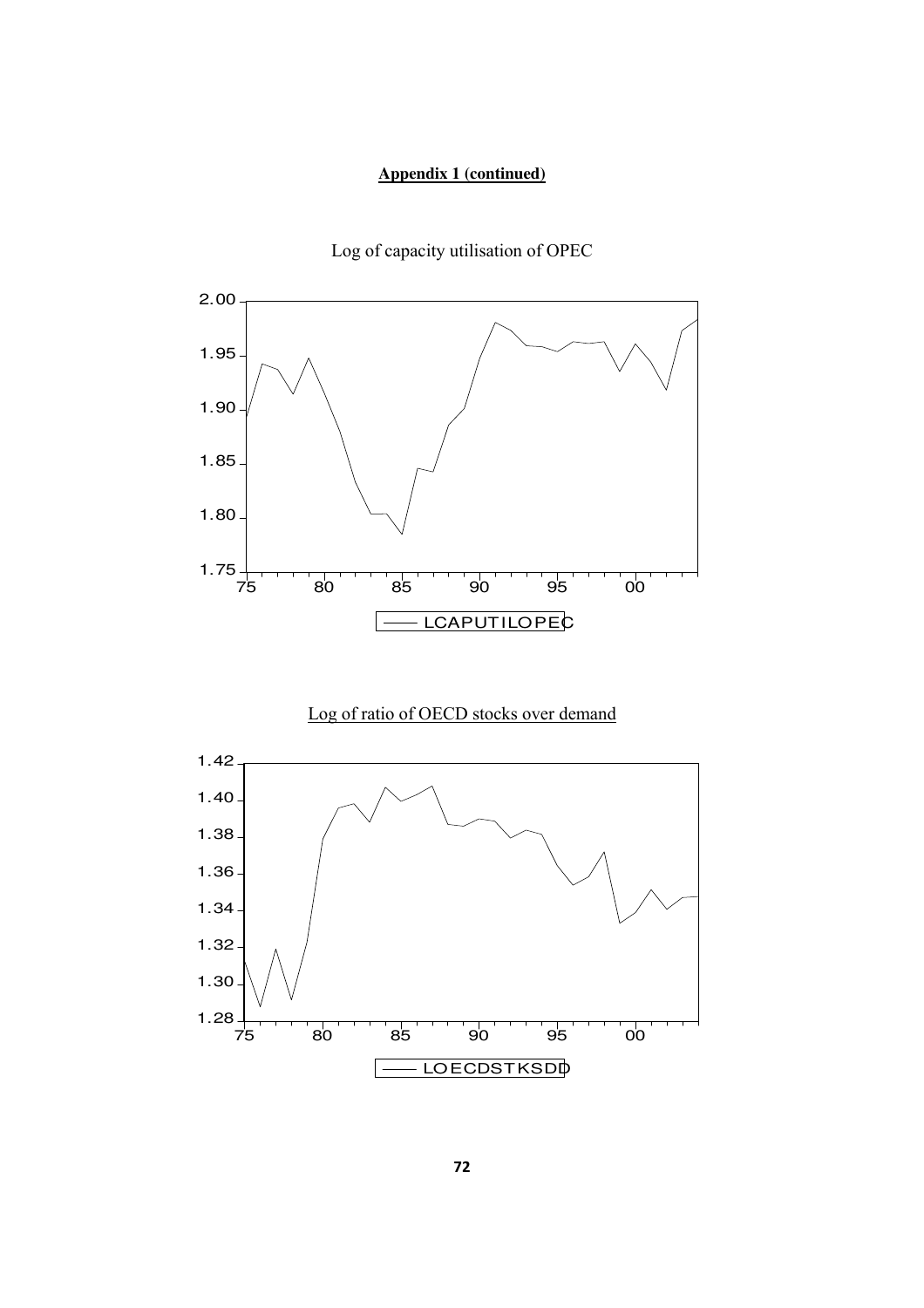### **Appendix 1 (continued)**



Log of capacity utilisation of OPEC

# Log of ratio of OECD stocks over demand

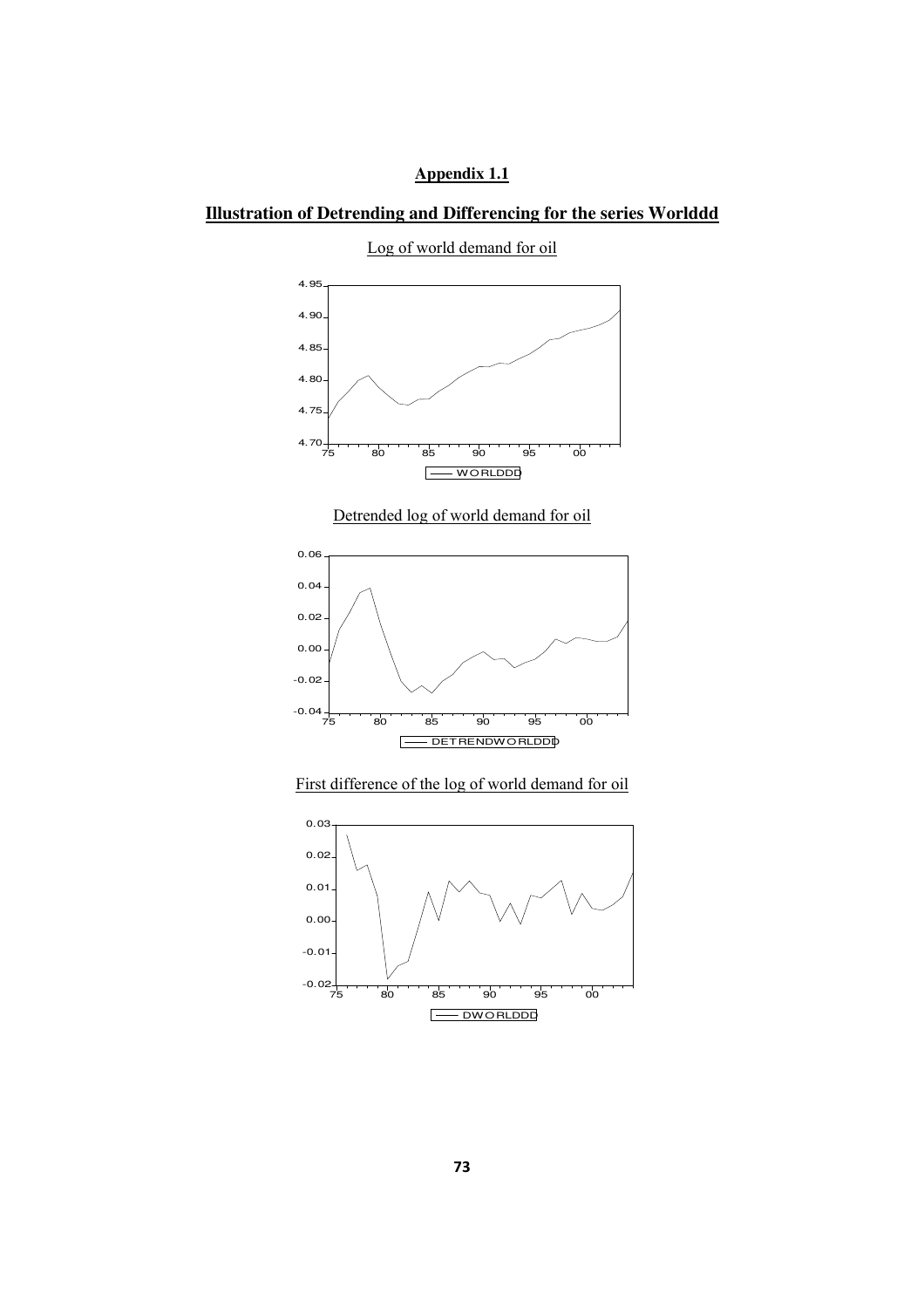### **Appendix 1.1**

### **Illustration of Detrending and Differencing for the series Worlddd**

4.95 4.90 4.85 4.80 4.75  $4.70 + 75$ 75 80 85 90 95 00 WORLDDD  $\Box$ 

Log of world demand for oil

Detrended log of world demand for oil



### First difference of the log of world demand for oil

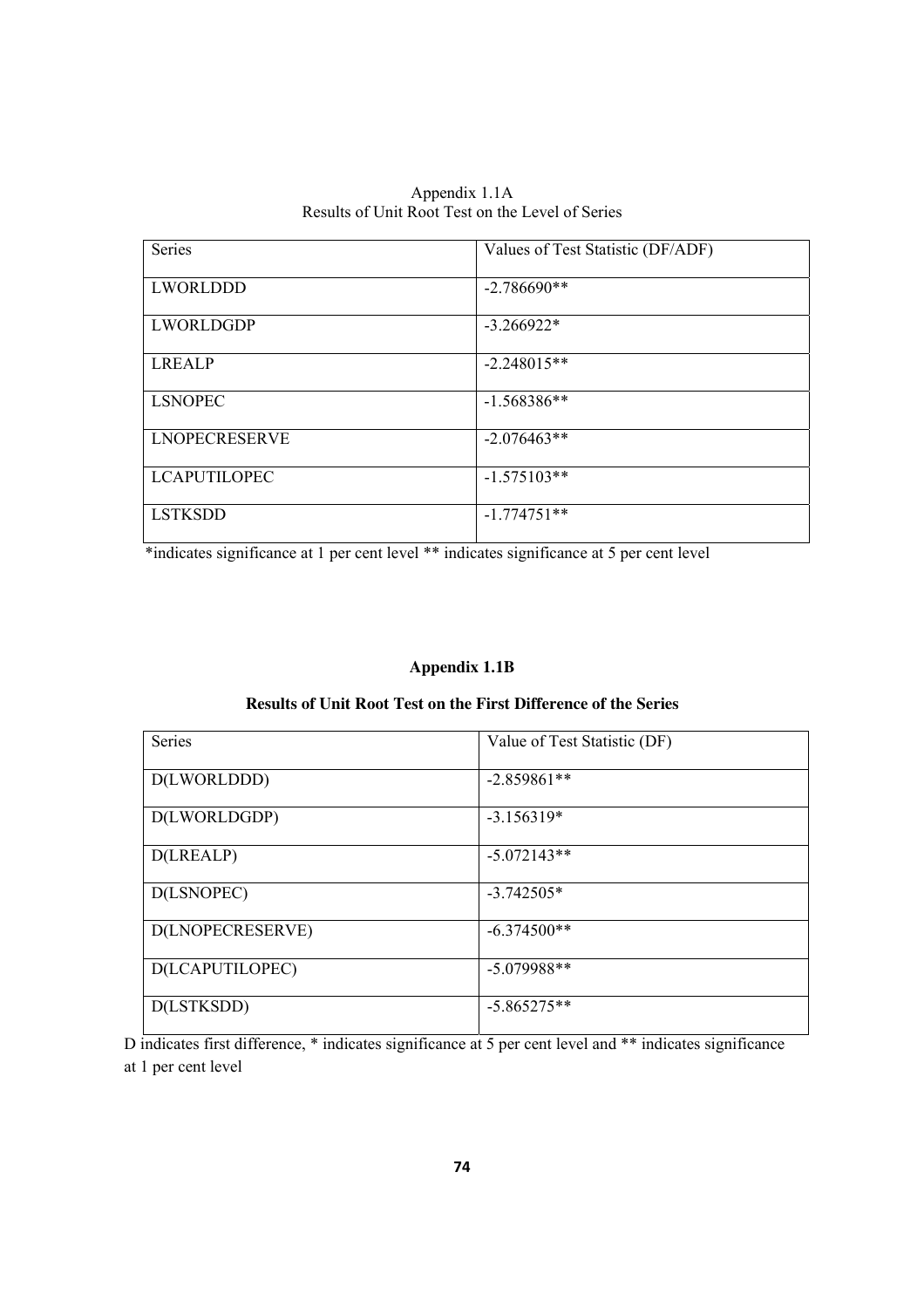Appendix 1.1A Results of Unit Root Test on the Level of Series

| Series               | Values of Test Statistic (DF/ADF) |
|----------------------|-----------------------------------|
| LWORLDDD             | $-2.786690**$                     |
| LWORLDGDP            | $-3.266922*$                      |
| <b>LREALP</b>        | $-2.248015**$                     |
| <b>LSNOPEC</b>       | $-1.568386**$                     |
| <b>LNOPECRESERVE</b> | $-2.076463**$                     |
| <b>LCAPUTILOPEC</b>  | $-1.575103**$                     |
| <b>LSTKSDD</b>       | $-1.774751**$                     |

\*indicates significance at 1 per cent level \*\* indicates significance at 5 per cent level

### **Appendix 1.1B**

#### **Results of Unit Root Test on the First Difference of the Series**

| Series           | Value of Test Statistic (DF) |
|------------------|------------------------------|
| D(LWORLDDD)      | $-2.859861**$                |
| D(LWORLDGDP)     | $-3.156319*$                 |
| D(LREALP)        | $-5.072143**$                |
| D(LSNOPEC)       | $-3.742505*$                 |
| D(LNOPECRESERVE) | $-6.374500**$                |
| D(LCAPUTILOPEC)  | $-5.079988**$                |
| D(LSTKSDD)       | $-5.865275**$                |

D indicates first difference, \* indicates significance at 5 per cent level and \*\* indicates significance at 1 per cent level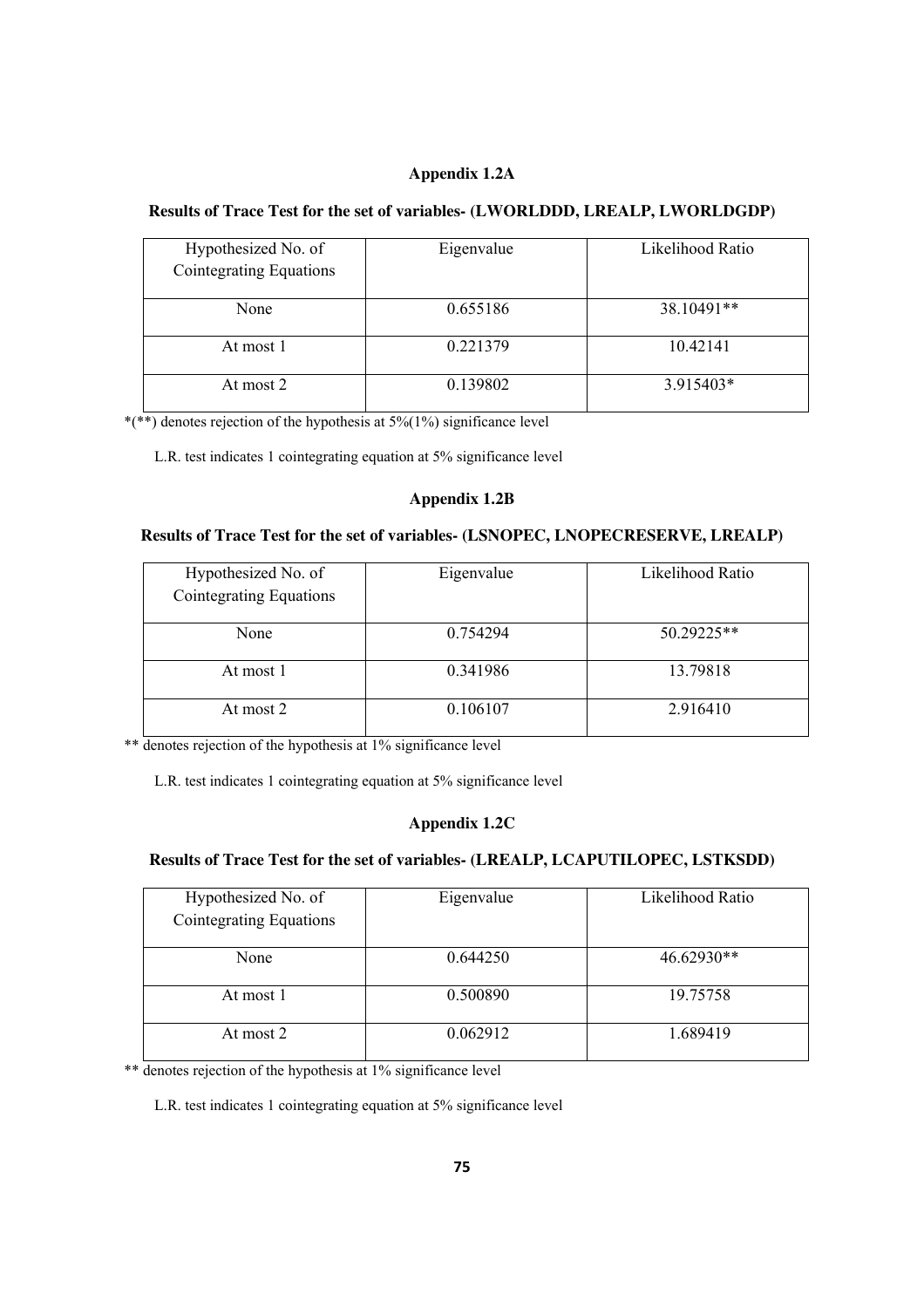#### **Appendix 1.2A**

#### **Results of Trace Test for the set of variables- (LWORLDDD, LREALP, LWORLDGDP)**

| Hypothesized No. of<br>Cointegrating Equations | Eigenvalue | Likelihood Ratio |
|------------------------------------------------|------------|------------------|
|                                                |            |                  |
| None                                           | 0.655186   | 38.10491**       |
| At most 1                                      | 0.221379   | 10.42141         |
| At most 2                                      | 0.139802   | 3.915403*        |

\*(\*\*) denotes rejection of the hypothesis at  $5\frac{6}{1\%}$  significance level

L.R. test indicates 1 cointegrating equation at 5% significance level

#### **Appendix 1.2B**

#### **Results of Trace Test for the set of variables- (LSNOPEC, LNOPECRESERVE, LREALP)**

| Hypothesized No. of<br>Cointegrating Equations | Eigenvalue | Likelihood Ratio |
|------------------------------------------------|------------|------------------|
| None                                           | 0.754294   | 50.29225**       |
| At most 1                                      | 0.341986   | 13.79818         |
| At most 2                                      | 0.106107   | 2.916410         |

\*\* denotes rejection of the hypothesis at 1% significance level

L.R. test indicates 1 cointegrating equation at 5% significance level

### **Appendix 1.2C**

### **Results of Trace Test for the set of variables- (LREALP, LCAPUTILOPEC, LSTKSDD)**

| Hypothesized No. of<br>Cointegrating Equations | Eigenvalue | Likelihood Ratio |
|------------------------------------------------|------------|------------------|
| None                                           | 0.644250   | 46.62930**       |
| At most 1                                      | 0.500890   | 19.75758         |
| At most 2                                      | 0.062912   | 1.689419         |

\*\* denotes rejection of the hypothesis at 1% significance level

L.R. test indicates 1 cointegrating equation at 5% significance level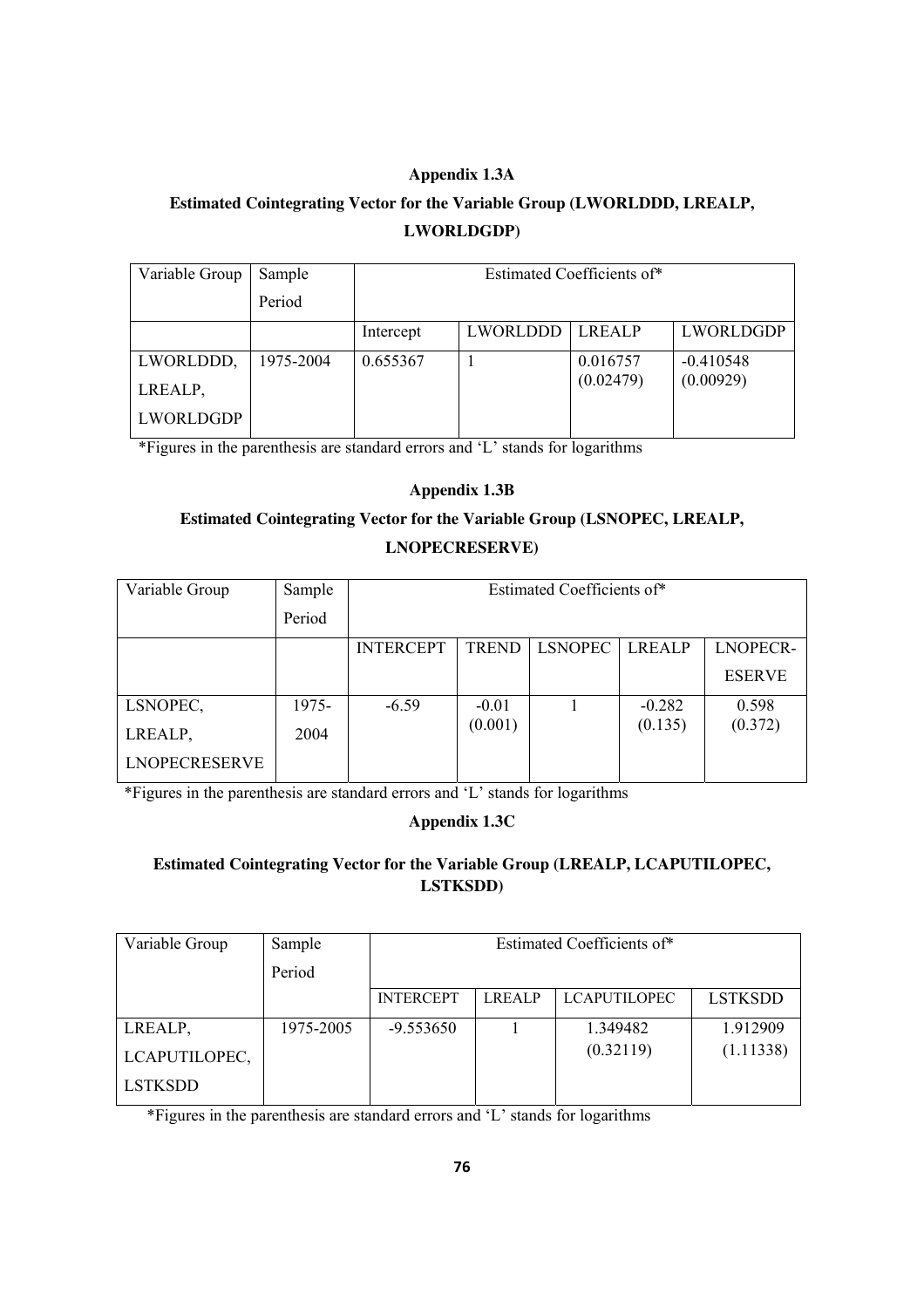### **Appendix 1.3A**

# **Estimated Cointegrating Vector for the Variable Group (LWORLDDD, LREALP, LWORLDGDP)**

| Variable Group       | Sample    | Estimated Coefficients of* |          |                       |                          |
|----------------------|-----------|----------------------------|----------|-----------------------|--------------------------|
|                      | Period    |                            |          |                       |                          |
|                      |           | Intercept                  | LWORLDDD | <b>LREALP</b>         | LWORLDGDP                |
| LWORLDDD,<br>LREALP, | 1975-2004 | 0.655367                   |          | 0.016757<br>(0.02479) | $-0.410548$<br>(0.00929) |
| LWORLDGDP            |           |                            |          |                       |                          |

\*Figures in the parenthesis are standard errors and 'L' stands for logarithms

### **Appendix 1.3B**

## **Estimated Cointegrating Vector for the Variable Group (LSNOPEC, LREALP, LNOPECRESERVE)**

| Variable Group       | Sample | Estimated Coefficients of* |              |                |               |                 |
|----------------------|--------|----------------------------|--------------|----------------|---------------|-----------------|
|                      | Period |                            |              |                |               |                 |
|                      |        | <b>INTERCEPT</b>           | <b>TREND</b> | <b>LSNOPEC</b> | <b>LREALP</b> | <b>LNOPECR-</b> |
|                      |        |                            |              |                |               | <b>ESERVE</b>   |
| LSNOPEC,             | 1975-  | $-6.59$                    | $-0.01$      |                | $-0.282$      | 0.598           |
| LREALP,              | 2004   |                            | (0.001)      |                | (0.135)       | (0.372)         |
| <b>LNOPECRESERVE</b> |        |                            |              |                |               |                 |

\*Figures in the parenthesis are standard errors and 'L' stands for logarithms

### **Appendix 1.3C**

### **Estimated Cointegrating Vector for the Variable Group (LREALP, LCAPUTILOPEC, LSTKSDD)**

| Variable Group | Sample    | Estimated Coefficients of* |               |                     |                |
|----------------|-----------|----------------------------|---------------|---------------------|----------------|
|                | Period    |                            |               |                     |                |
|                |           | <b>INTERCEPT</b>           | <b>LREALP</b> | <b>LCAPUTILOPEC</b> | <b>LSTKSDD</b> |
| LREALP,        | 1975-2005 | $-9.553650$                |               | 1.349482            | 1.912909       |
| LCAPUTILOPEC,  |           |                            |               | (0.32119)           | (1.11338)      |
| <b>LSTKSDD</b> |           |                            |               |                     |                |

\*Figures in the parenthesis are standard errors and 'L' stands for logarithms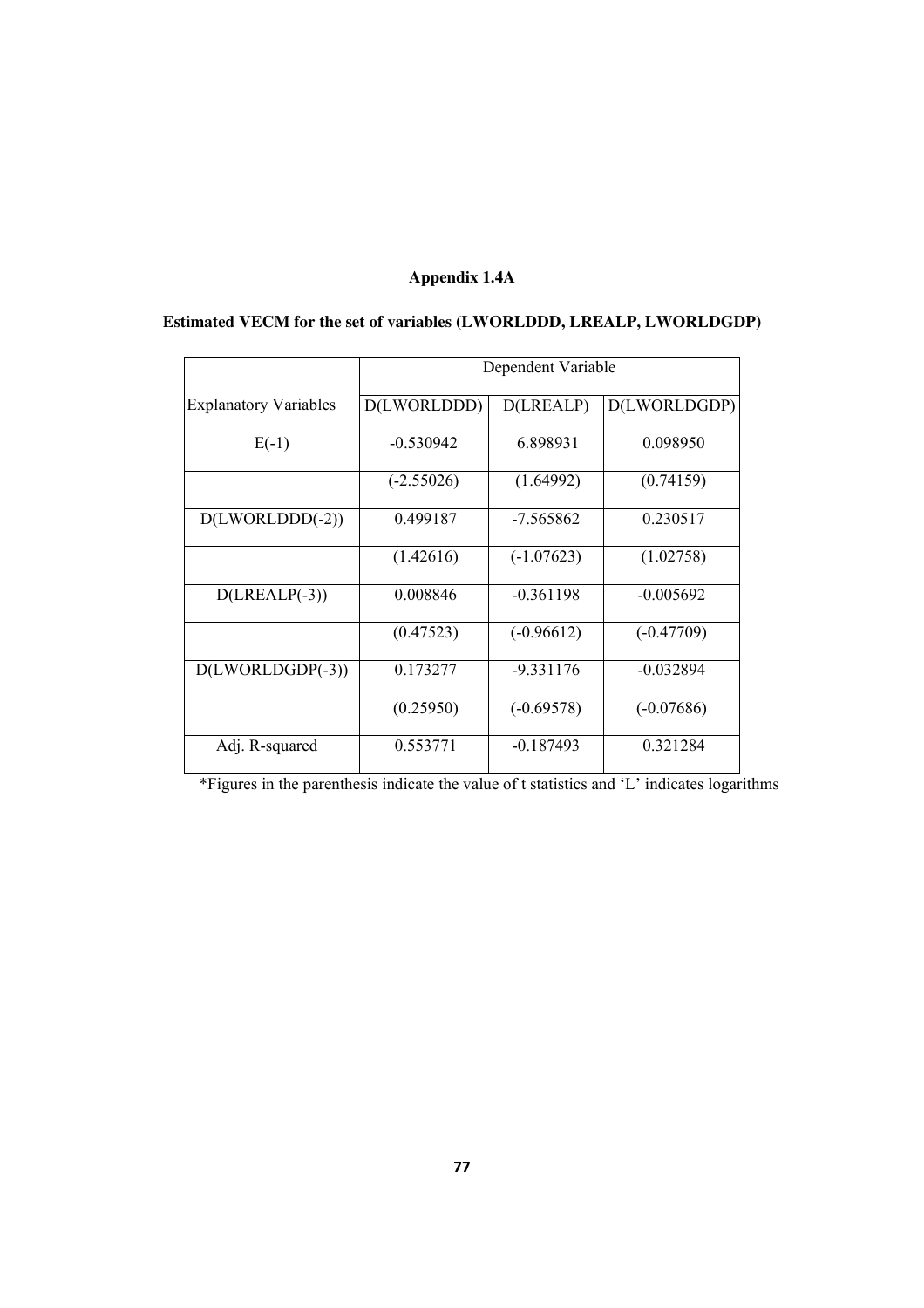### **Appendix 1.4A**

|                              | Dependent Variable |  |                                          |
|------------------------------|--------------------|--|------------------------------------------|
| <b>Explanatory Variables</b> |                    |  | $ D(LWORLDDD)  D(LREALP)  D(LWORLDGDP) $ |

E(-1) -0.530942 6.898931 0.098950

# **Estimated VECM for the set of variables (LWORLDDD, LREALP, LWORLDGDP)**

|                    | $(-2.55026)$ | (1.64992)    | (0.74159)    |
|--------------------|--------------|--------------|--------------|
| $D(LWORLDD(-2))$   | 0.499187     | -7.565862    | 0.230517     |
|                    | (1.42616)    | $(-1.07623)$ | (1.02758)    |
| $D(LREALP(-3))$    | 0.008846     | $-0.361198$  | $-0.005692$  |
|                    | (0.47523)    | $(-0.96612)$ | $(-0.47709)$ |
| $D(LWORLDGDP(-3))$ | 0.173277     | -9.331176    | $-0.032894$  |
|                    | (0.25950)    | $(-0.69578)$ | $(-0.07686)$ |
| Adj. R-squared     | 0.553771     | $-0.187493$  | 0.321284     |

\*Figures in the parenthesis indicate the value of t statistics and 'L' indicates logarithms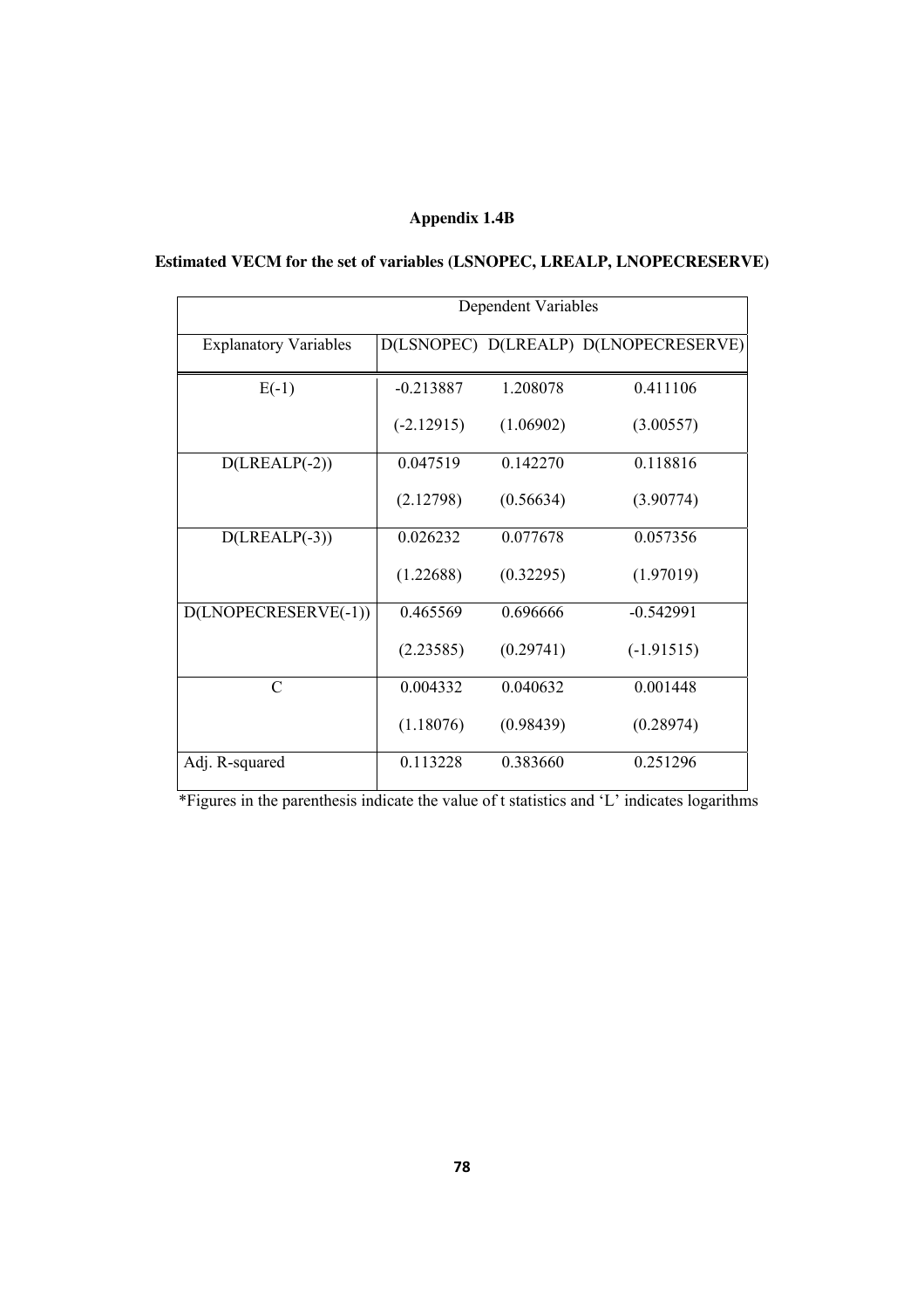### **Appendix 1.4B**

### **Estimated VECM for the set of variables (LSNOPEC, LREALP, LNOPECRESERVE)**

|                              | Dependent Variables |           |                                       |  |
|------------------------------|---------------------|-----------|---------------------------------------|--|
| <b>Explanatory Variables</b> |                     |           | D(LSNOPEC) D(LREALP) D(LNOPECRESERVE) |  |
| $E(-1)$                      | $-0.213887$         | 1.208078  | 0.411106                              |  |
|                              | $(-2.12915)$        | (1.06902) | (3.00557)                             |  |
| $D(IREALP(-2))$              | 0.047519            | 0.142270  | 0.118816                              |  |
|                              | (2.12798)           | (0.56634) | (3.90774)                             |  |
| $D(IREALP(-3))$              | 0.026232            | 0.077678  | 0.057356                              |  |
|                              | (1.22688)           | (0.32295) | (1.97019)                             |  |
| D(LNOPECRESERVE(-1))         | 0.465569            | 0.696666  | $-0.542991$                           |  |
|                              | (2.23585)           | (0.29741) | $(-1.91515)$                          |  |
| $\mathcal{C}$                | 0.004332            | 0.040632  | 0.001448                              |  |
|                              | (1.18076)           | (0.98439) | (0.28974)                             |  |
| Adj. R-squared               | 0.113228            | 0.383660  | 0.251296                              |  |

\*Figures in the parenthesis indicate the value of t statistics and 'L' indicates logarithms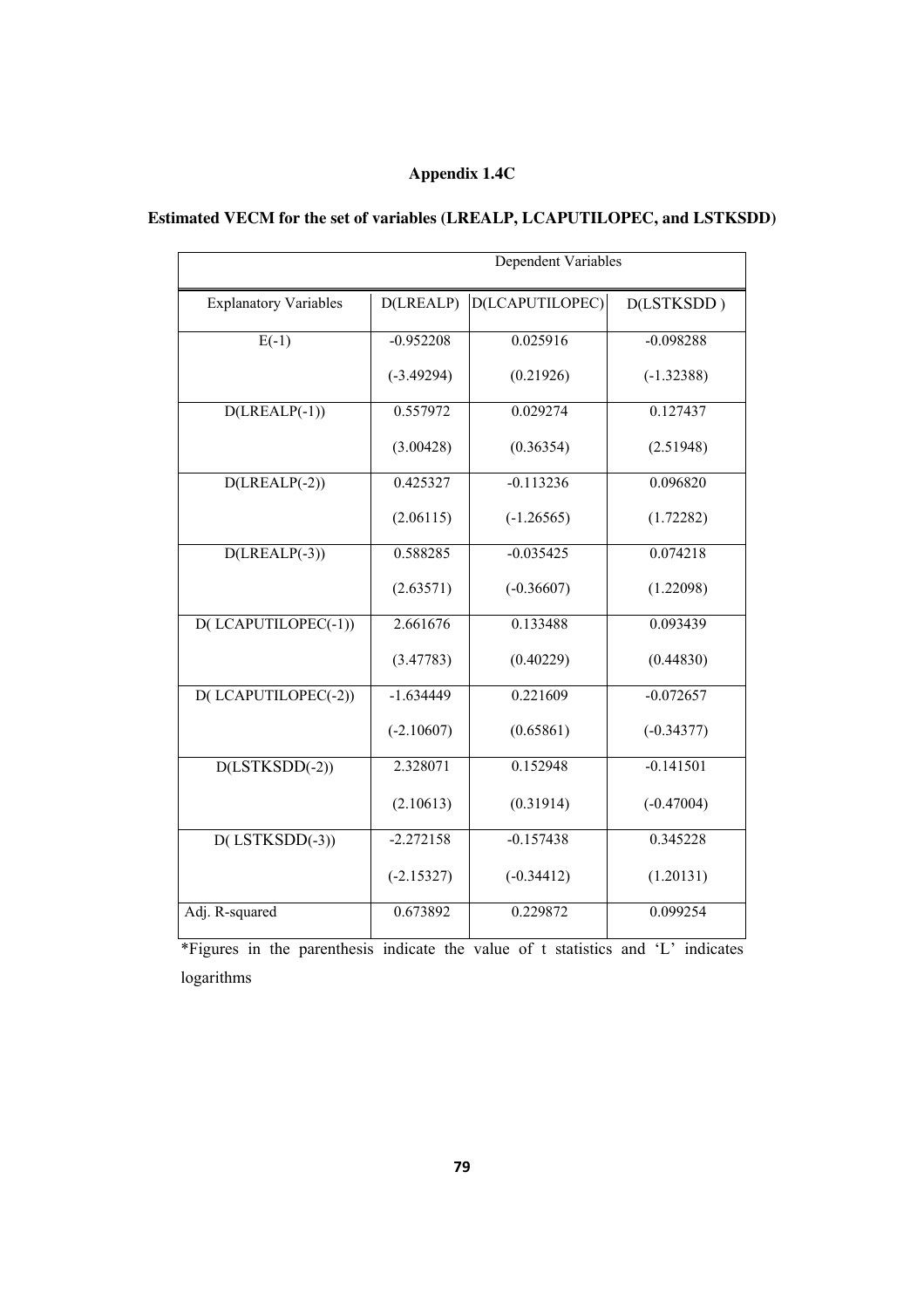## **Appendix 1.4C**

## **Estimated VECM for the set of variables (LREALP, LCAPUTILOPEC, and LSTKSDD)**

|                              | Dependent Variables |                 |              |  |  |  |
|------------------------------|---------------------|-----------------|--------------|--|--|--|
| <b>Explanatory Variables</b> | D(LREALP)           | D(LCAPUTILOPEC) | D(LSTKSDD)   |  |  |  |
| $E(-1)$                      | $-0.952208$         | 0.025916        | $-0.098288$  |  |  |  |
|                              | $(-3.49294)$        | (0.21926)       | $(-1.32388)$ |  |  |  |
| $D(IREALP(-1))$              | 0.557972            | 0.029274        | 0.127437     |  |  |  |
|                              | (3.00428)           | (0.36354)       | (2.51948)    |  |  |  |
| $D(IREALP(-2))$              | 0.425327            | $-0.113236$     | 0.096820     |  |  |  |
|                              | (2.06115)           | $(-1.26565)$    | (1.72282)    |  |  |  |
| $D(LREALP(-3))$              | 0.588285            | $-0.035425$     | 0.074218     |  |  |  |
|                              | (2.63571)           | $(-0.36607)$    | (1.22098)    |  |  |  |
| D(LCAPUTILOPEC(-1))          | 2.661676            | 0.133488        | 0.093439     |  |  |  |
|                              | (3.47783)           | (0.40229)       | (0.44830)    |  |  |  |
| D(LCAPUTILOPEC(-2))          | $-1.634449$         | 0.221609        | $-0.072657$  |  |  |  |
|                              | $(-2.10607)$        | (0.65861)       | $(-0.34377)$ |  |  |  |
| $D(LSTKSDD(-2))$             | 2.328071            | 0.152948        | $-0.141501$  |  |  |  |
|                              | (2.10613)           | (0.31914)       | $(-0.47004)$ |  |  |  |
| $D($ LSTKSDD $(-3))$         | $-2.272158$         | $-0.157438$     | 0.345228     |  |  |  |
|                              | $(-2.15327)$        | $(-0.34412)$    | (1.20131)    |  |  |  |
| Adj. R-squared               | 0.673892            | 0.229872        | 0.099254     |  |  |  |

\*Figures in the parenthesis indicate the value of t statistics and 'L' indicates logarithms